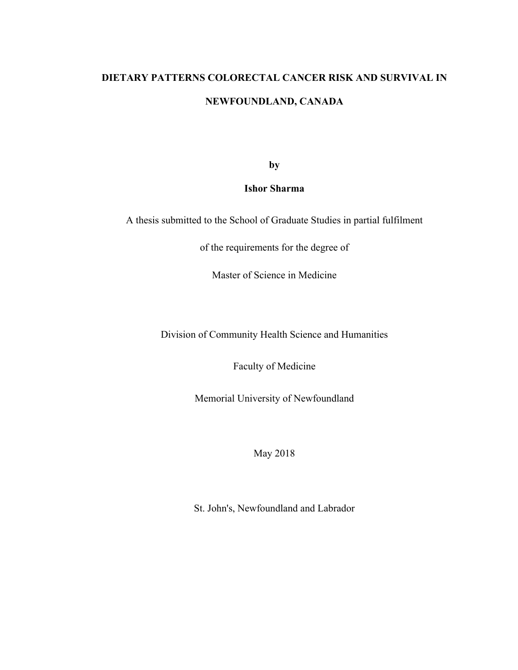# **DIETARY PATTERNS COLORECTAL CANCER RISK AND SURVIVAL IN NEWFOUNDLAND, CANADA**

**by** 

**Ishor Sharma**

A thesis submitted to the School of Graduate Studies in partial fulfilment

of the requirements for the degree of

Master of Science in Medicine

Division of Community Health Science and Humanities

Faculty of Medicine

Memorial University of Newfoundland

May 2018

St. John's, Newfoundland and Labrador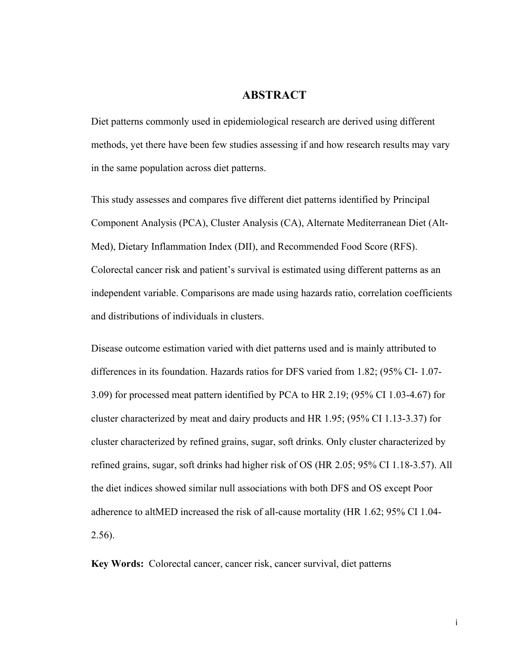## **ABSTRACT**

Diet patterns commonly used in epidemiological research are derived using different methods, yet there have been few studies assessing if and how research results may vary in the same population across diet patterns.

This study assesses and compares five different diet patterns identified by Principal Component Analysis (PCA), Cluster Analysis (CA), Alternate Mediterranean Diet (Alt-Med), Dietary Inflammation Index (DII), and Recommended Food Score (RFS). Colorectal cancer risk and patient's survival is estimated using different patterns as an independent variable. Comparisons are made using hazards ratio, correlation coefficients and distributions of individuals in clusters.

Disease outcome estimation varied with diet patterns used and is mainly attributed to differences in its foundation. Hazards ratios for DFS varied from 1.82; (95% CI- 1.07- 3.09) for processed meat pattern identified by PCA to HR 2.19; (95% CI 1.03-4.67) for cluster characterized by meat and dairy products and HR 1.95; (95% CI 1.13-3.37) for cluster characterized by refined grains, sugar, soft drinks. Only cluster characterized by refined grains, sugar, soft drinks had higher risk of OS (HR 2.05; 95% CI 1.18-3.57). All the diet indices showed similar null associations with both DFS and OS except Poor adherence to altMED increased the risk of all-cause mortality (HR 1.62; 95% CI 1.04- 2.56).

**Key Words:** Colorectal cancer, cancer risk, cancer survival, diet patterns

i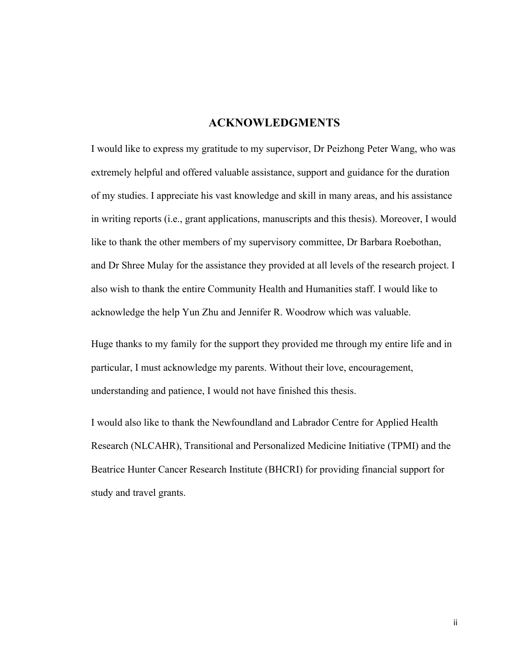## **ACKNOWLEDGMENTS**

I would like to express my gratitude to my supervisor, Dr Peizhong Peter Wang, who was extremely helpful and offered valuable assistance, support and guidance for the duration of my studies. I appreciate his vast knowledge and skill in many areas, and his assistance in writing reports (i.e., grant applications, manuscripts and this thesis). Moreover, I would like to thank the other members of my supervisory committee, Dr Barbara Roebothan, and Dr Shree Mulay for the assistance they provided at all levels of the research project. I also wish to thank the entire Community Health and Humanities staff. I would like to acknowledge the help Yun Zhu and Jennifer R. Woodrow which was valuable.

Huge thanks to my family for the support they provided me through my entire life and in particular, I must acknowledge my parents. Without their love, encouragement, understanding and patience, I would not have finished this thesis.

I would also like to thank the Newfoundland and Labrador Centre for Applied Health Research (NLCAHR), Transitional and Personalized Medicine Initiative (TPMI) and the Beatrice Hunter Cancer Research Institute (BHCRI) for providing financial support for study and travel grants.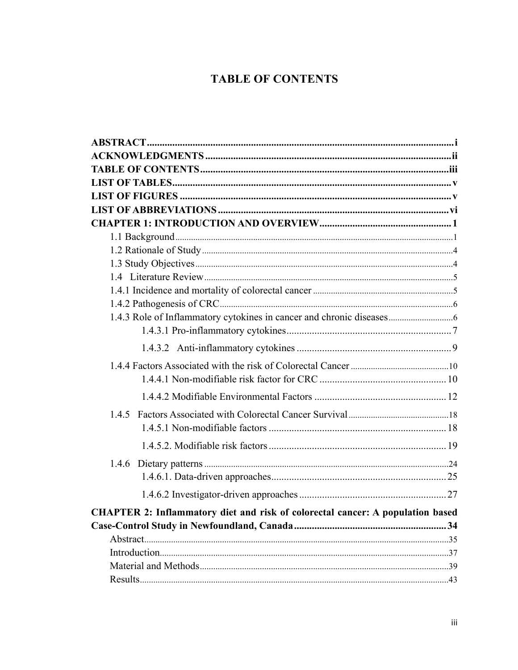## **TABLE OF CONTENTS**

| 1.4.5                                                                          |  |
|--------------------------------------------------------------------------------|--|
|                                                                                |  |
|                                                                                |  |
|                                                                                |  |
|                                                                                |  |
|                                                                                |  |
| CHAPTER 2: Inflammatory diet and risk of colorectal cancer: A population based |  |
|                                                                                |  |
|                                                                                |  |
|                                                                                |  |
|                                                                                |  |
|                                                                                |  |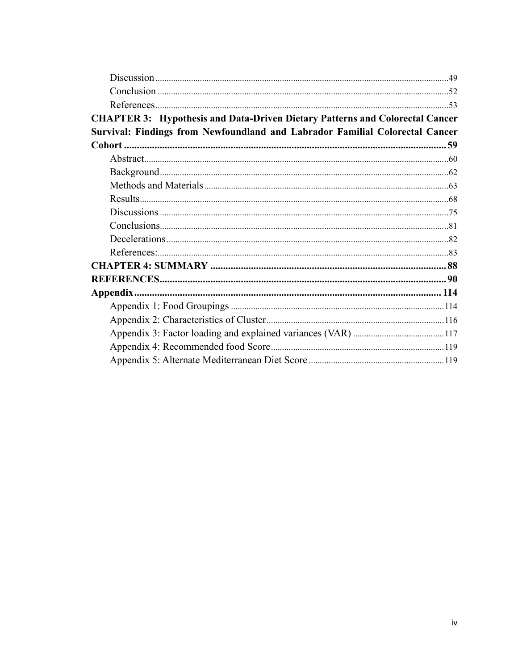| <b>CHAPTER 3: Hypothesis and Data-Driven Dietary Patterns and Colorectal Cancer</b> |  |
|-------------------------------------------------------------------------------------|--|
| Survival: Findings from Newfoundland and Labrador Familial Colorectal Cancer        |  |
|                                                                                     |  |
|                                                                                     |  |
|                                                                                     |  |
|                                                                                     |  |
|                                                                                     |  |
|                                                                                     |  |
|                                                                                     |  |
|                                                                                     |  |
|                                                                                     |  |
|                                                                                     |  |
|                                                                                     |  |
|                                                                                     |  |
|                                                                                     |  |
|                                                                                     |  |
|                                                                                     |  |
|                                                                                     |  |
|                                                                                     |  |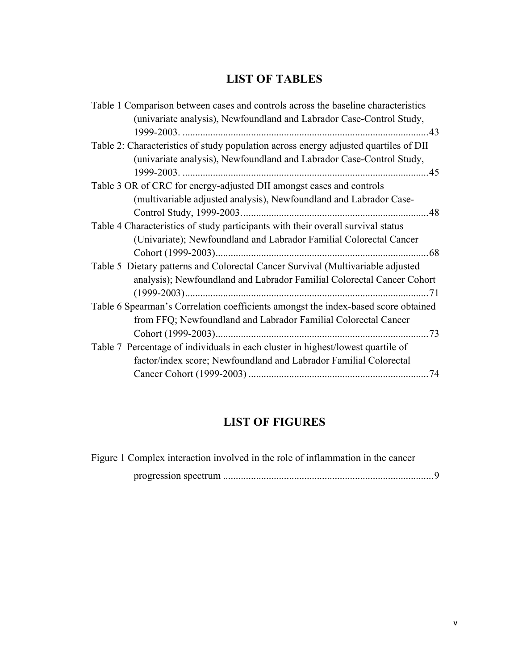## **LIST OF TABLES**

| Table 1 Comparison between cases and controls across the baseline characteristics    |      |
|--------------------------------------------------------------------------------------|------|
| (univariate analysis), Newfoundland and Labrador Case-Control Study,                 |      |
| 1999-2003.                                                                           | .43  |
| Table 2: Characteristics of study population across energy adjusted quartiles of DII |      |
| (univariate analysis), Newfoundland and Labrador Case-Control Study,                 |      |
|                                                                                      |      |
| Table 3 OR of CRC for energy-adjusted DII amongst cases and controls                 |      |
| (multivariable adjusted analysis), Newfoundland and Labrador Case-                   |      |
|                                                                                      |      |
| Table 4 Characteristics of study participants with their overall survival status     |      |
| (Univariate); Newfoundland and Labrador Familial Colorectal Cancer                   |      |
|                                                                                      | . 68 |
| Table 5 Dietary patterns and Colorectal Cancer Survival (Multivariable adjusted      |      |
| analysis); Newfoundland and Labrador Familial Colorectal Cancer Cohort               |      |
|                                                                                      | 71   |
| Table 6 Spearman's Correlation coefficients amongst the index-based score obtained   |      |
| from FFQ; Newfoundland and Labrador Familial Colorectal Cancer                       |      |
|                                                                                      | 73   |
| Table 7 Percentage of individuals in each cluster in highest/lowest quartile of      |      |
| factor/index score; Newfoundland and Labrador Familial Colorectal                    |      |
|                                                                                      |      |
|                                                                                      |      |

## **LIST OF FIGURES**

| Figure 1 Complex interaction involved in the role of inflammation in the cancer |  |
|---------------------------------------------------------------------------------|--|
|                                                                                 |  |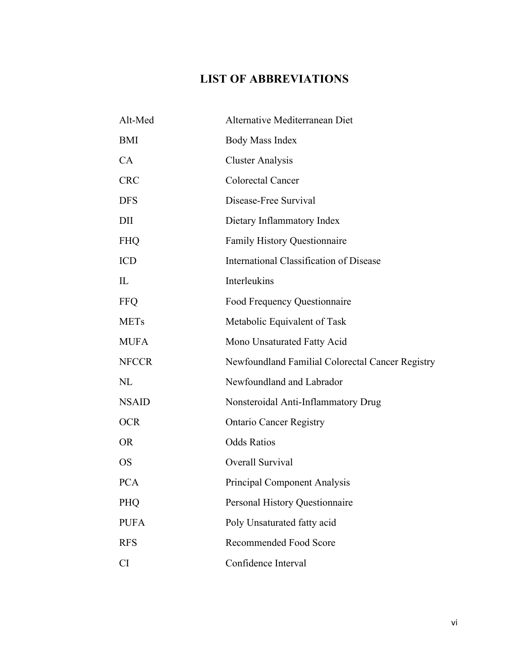## **LIST OF ABBREVIATIONS**

| Alt-Med      | Alternative Mediterranean Diet                   |
|--------------|--------------------------------------------------|
| <b>BMI</b>   | <b>Body Mass Index</b>                           |
| CA           | <b>Cluster Analysis</b>                          |
| <b>CRC</b>   | Colorectal Cancer                                |
| <b>DFS</b>   | Disease-Free Survival                            |
| DII          | Dietary Inflammatory Index                       |
| <b>FHQ</b>   | <b>Family History Questionnaire</b>              |
| <b>ICD</b>   | International Classification of Disease          |
| IL           | Interleukins                                     |
| <b>FFQ</b>   | Food Frequency Questionnaire                     |
| <b>METs</b>  | Metabolic Equivalent of Task                     |
| <b>MUFA</b>  | Mono Unsaturated Fatty Acid                      |
| <b>NFCCR</b> | Newfoundland Familial Colorectal Cancer Registry |
| NL           | Newfoundland and Labrador                        |
| <b>NSAID</b> | Nonsteroidal Anti-Inflammatory Drug              |
| <b>OCR</b>   | <b>Ontario Cancer Registry</b>                   |
| <b>OR</b>    | <b>Odds Ratios</b>                               |
| <b>OS</b>    | Overall Survival                                 |
| <b>PCA</b>   | <b>Principal Component Analysis</b>              |
| <b>PHQ</b>   | Personal History Questionnaire                   |
| <b>PUFA</b>  | Poly Unsaturated fatty acid                      |
| <b>RFS</b>   | <b>Recommended Food Score</b>                    |
| <b>CI</b>    | Confidence Interval                              |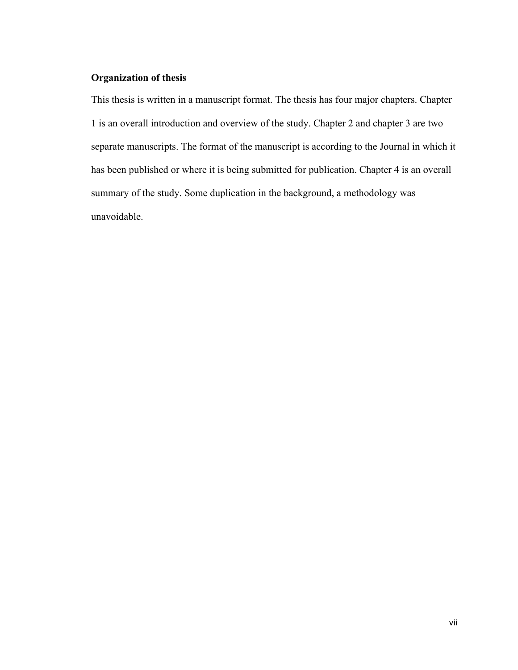## **Organization of thesis**

This thesis is written in a manuscript format. The thesis has four major chapters. Chapter 1 is an overall introduction and overview of the study. Chapter 2 and chapter 3 are two separate manuscripts. The format of the manuscript is according to the Journal in which it has been published or where it is being submitted for publication. Chapter 4 is an overall summary of the study. Some duplication in the background, a methodology was unavoidable.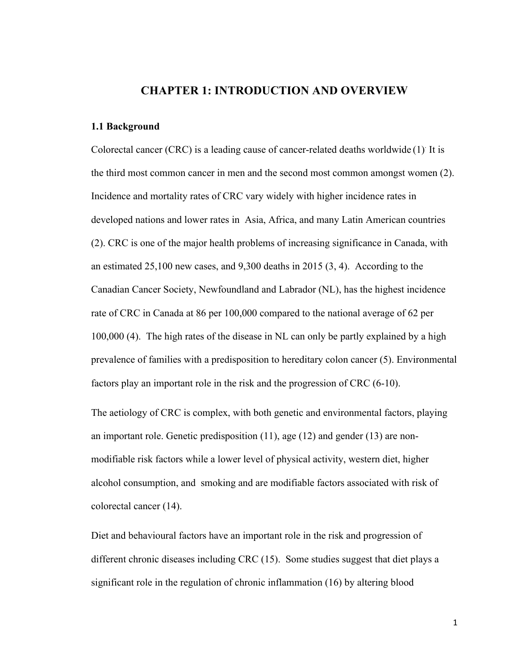## **CHAPTER 1: INTRODUCTION AND OVERVIEW**

#### **1.1 Background**

Colorectal cancer (CRC) is a leading cause of cancer-related deaths worldwide (1). It is the third most common cancer in men and the second most common amongst women (2). Incidence and mortality rates of CRC vary widely with higher incidence rates in developed nations and lower rates in Asia, Africa, and many Latin American countries (2). CRC is one of the major health problems of increasing significance in Canada, with an estimated 25,100 new cases, and 9,300 deaths in 2015 (3, 4). According to the Canadian Cancer Society, Newfoundland and Labrador (NL), has the highest incidence rate of CRC in Canada at 86 per 100,000 compared to the national average of 62 per 100,000 (4). The high rates of the disease in NL can only be partly explained by a high prevalence of families with a predisposition to hereditary colon cancer (5). Environmental factors play an important role in the risk and the progression of CRC (6-10).

The aetiology of CRC is complex, with both genetic and environmental factors, playing an important role. Genetic predisposition (11), age (12) and gender (13) are nonmodifiable risk factors while a lower level of physical activity, western diet, higher alcohol consumption, and smoking and are modifiable factors associated with risk of colorectal cancer (14).

Diet and behavioural factors have an important role in the risk and progression of different chronic diseases including CRC (15). Some studies suggest that diet plays a significant role in the regulation of chronic inflammation (16) by altering blood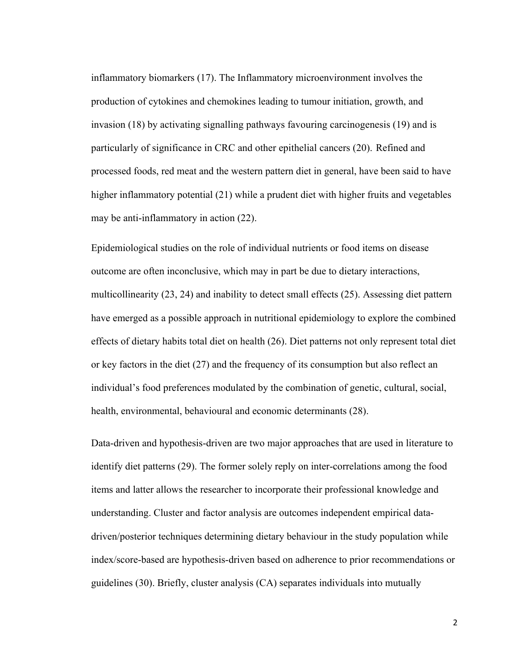inflammatory biomarkers (17). The Inflammatory microenvironment involves the production of cytokines and chemokines leading to tumour initiation, growth, and invasion (18) by activating signalling pathways favouring carcinogenesis (19) and is particularly of significance in CRC and other epithelial cancers (20). Refined and processed foods, red meat and the western pattern diet in general, have been said to have higher inflammatory potential (21) while a prudent diet with higher fruits and vegetables may be anti-inflammatory in action (22).

Epidemiological studies on the role of individual nutrients or food items on disease outcome are often inconclusive, which may in part be due to dietary interactions, multicollinearity (23, 24) and inability to detect small effects (25). Assessing diet pattern have emerged as a possible approach in nutritional epidemiology to explore the combined effects of dietary habits total diet on health (26). Diet patterns not only represent total diet or key factors in the diet (27) and the frequency of its consumption but also reflect an individual's food preferences modulated by the combination of genetic, cultural, social, health, environmental, behavioural and economic determinants (28).

Data-driven and hypothesis-driven are two major approaches that are used in literature to identify diet patterns (29). The former solely reply on inter-correlations among the food items and latter allows the researcher to incorporate their professional knowledge and understanding. Cluster and factor analysis are outcomes independent empirical datadriven/posterior techniques determining dietary behaviour in the study population while index/score-based are hypothesis-driven based on adherence to prior recommendations or guidelines (30). Briefly, cluster analysis (CA) separates individuals into mutually

2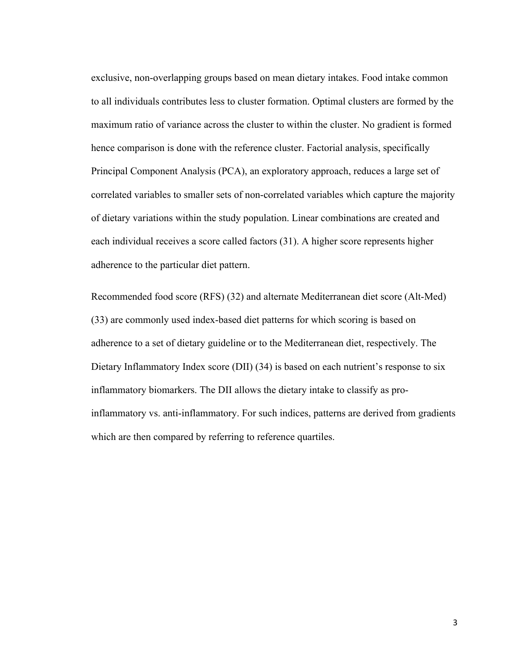exclusive, non-overlapping groups based on mean dietary intakes. Food intake common to all individuals contributes less to cluster formation. Optimal clusters are formed by the maximum ratio of variance across the cluster to within the cluster. No gradient is formed hence comparison is done with the reference cluster. Factorial analysis, specifically Principal Component Analysis (PCA), an exploratory approach, reduces a large set of correlated variables to smaller sets of non-correlated variables which capture the majority of dietary variations within the study population. Linear combinations are created and each individual receives a score called factors (31). A higher score represents higher adherence to the particular diet pattern.

Recommended food score (RFS) (32) and alternate Mediterranean diet score (Alt-Med) (33) are commonly used index-based diet patterns for which scoring is based on adherence to a set of dietary guideline or to the Mediterranean diet, respectively. The Dietary Inflammatory Index score (DII) (34) is based on each nutrient's response to six inflammatory biomarkers. The DII allows the dietary intake to classify as proinflammatory vs. anti-inflammatory. For such indices, patterns are derived from gradients which are then compared by referring to reference quartiles.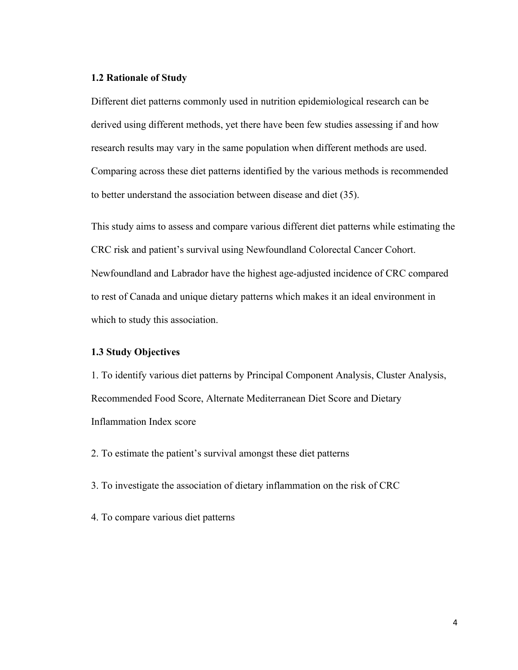#### **1.2 Rationale of Study**

Different diet patterns commonly used in nutrition epidemiological research can be derived using different methods, yet there have been few studies assessing if and how research results may vary in the same population when different methods are used. Comparing across these diet patterns identified by the various methods is recommended to better understand the association between disease and diet (35).

This study aims to assess and compare various different diet patterns while estimating the CRC risk and patient's survival using Newfoundland Colorectal Cancer Cohort. Newfoundland and Labrador have the highest age-adjusted incidence of CRC compared to rest of Canada and unique dietary patterns which makes it an ideal environment in which to study this association.

#### **1.3 Study Objectives**

1. To identify various diet patterns by Principal Component Analysis, Cluster Analysis, Recommended Food Score, Alternate Mediterranean Diet Score and Dietary Inflammation Index score

2. To estimate the patient's survival amongst these diet patterns

- 3. To investigate the association of dietary inflammation on the risk of CRC
- 4. To compare various diet patterns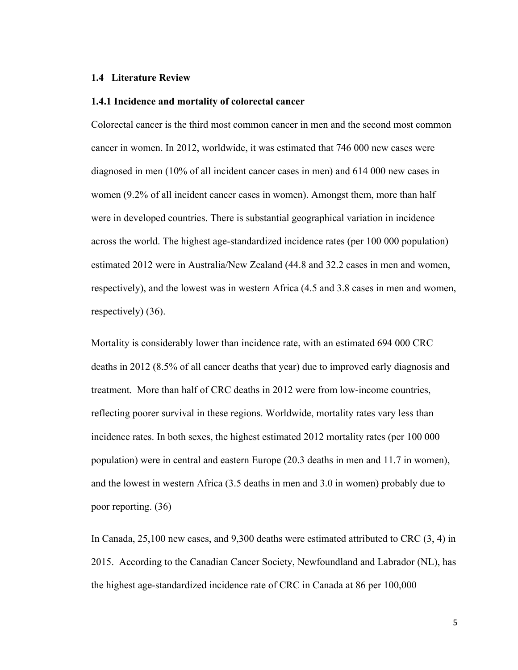#### **1.4 Literature Review**

### **1.4.1 Incidence and mortality of colorectal cancer**

Colorectal cancer is the third most common cancer in men and the second most common cancer in women. In 2012, worldwide, it was estimated that 746 000 new cases were diagnosed in men (10% of all incident cancer cases in men) and 614 000 new cases in women (9.2% of all incident cancer cases in women). Amongst them, more than half were in developed countries. There is substantial geographical variation in incidence across the world. The highest age-standardized incidence rates (per 100 000 population) estimated 2012 were in Australia/New Zealand (44.8 and 32.2 cases in men and women, respectively), and the lowest was in western Africa (4.5 and 3.8 cases in men and women, respectively) (36).

Mortality is considerably lower than incidence rate, with an estimated 694 000 CRC deaths in 2012 (8.5% of all cancer deaths that year) due to improved early diagnosis and treatment. More than half of CRC deaths in 2012 were from low-income countries, reflecting poorer survival in these regions. Worldwide, mortality rates vary less than incidence rates. In both sexes, the highest estimated 2012 mortality rates (per 100 000 population) were in central and eastern Europe (20.3 deaths in men and 11.7 in women), and the lowest in western Africa (3.5 deaths in men and 3.0 in women) probably due to poor reporting. (36)

In Canada, 25,100 new cases, and 9,300 deaths were estimated attributed to CRC (3, 4) in 2015. According to the Canadian Cancer Society, Newfoundland and Labrador (NL), has the highest age-standardized incidence rate of CRC in Canada at 86 per 100,000

5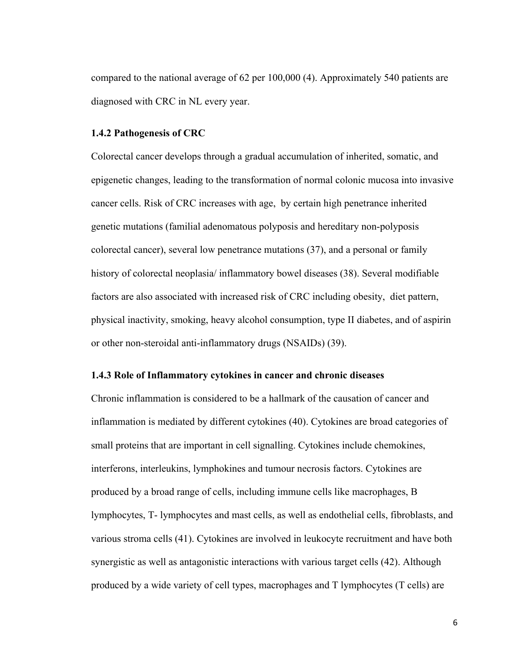compared to the national average of 62 per 100,000 (4). Approximately 540 patients are diagnosed with CRC in NL every year.

#### **1.4.2 Pathogenesis of CRC**

Colorectal cancer develops through a gradual accumulation of inherited, somatic, and epigenetic changes, leading to the transformation of normal colonic mucosa into invasive cancer cells. Risk of CRC increases with age, by certain high penetrance inherited genetic mutations (familial adenomatous polyposis and hereditary non-polyposis colorectal cancer), several low penetrance mutations (37), and a personal or family history of colorectal neoplasia/ inflammatory bowel diseases (38). Several modifiable factors are also associated with increased risk of CRC including obesity, diet pattern, physical inactivity, smoking, heavy alcohol consumption, type II diabetes, and of aspirin or other non-steroidal anti-inflammatory drugs (NSAIDs) (39).

#### **1.4.3 Role of Inflammatory cytokines in cancer and chronic diseases**

Chronic inflammation is considered to be a hallmark of the causation of cancer and inflammation is mediated by different cytokines (40). Cytokines are broad categories of small proteins that are important in cell signalling. Cytokines include chemokines, interferons, interleukins, lymphokines and tumour necrosis factors. Cytokines are produced by a broad range of cells, including immune cells like macrophages, B lymphocytes, T- lymphocytes and mast cells, as well as endothelial cells, fibroblasts, and various stroma cells (41). Cytokines are involved in leukocyte recruitment and have both synergistic as well as antagonistic interactions with various target cells (42). Although produced by a wide variety of cell types, macrophages and T lymphocytes (T cells) are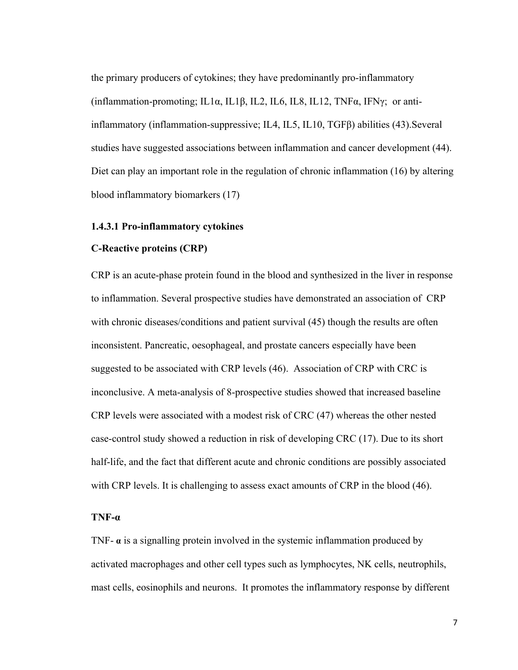the primary producers of cytokines; they have predominantly pro-inflammatory (inflammation-promoting; IL1α, IL1β, IL2, IL6, IL8, IL12, TNFα, IFNγ; or antiinflammatory (inflammation-suppressive; IL4, IL5, IL10, TGFβ) abilities (43).Several studies have suggested associations between inflammation and cancer development (44). Diet can play an important role in the regulation of chronic inflammation (16) by altering blood inflammatory biomarkers (17)

#### **1.4.3.1 Pro-inflammatory cytokines**

## **C-Reactive proteins (CRP)**

CRP is an acute-phase protein found in the blood and synthesized in the liver in response to inflammation. Several prospective studies have demonstrated an association of CRP with chronic diseases/conditions and patient survival (45) though the results are often inconsistent. Pancreatic, oesophageal, and prostate cancers especially have been suggested to be associated with CRP levels (46). Association of CRP with CRC is inconclusive. A meta-analysis of 8-prospective studies showed that increased baseline CRP levels were associated with a modest risk of CRC (47) whereas the other nested case-control study showed a reduction in risk of developing CRC (17). Due to its short half-life, and the fact that different acute and chronic conditions are possibly associated with CRP levels. It is challenging to assess exact amounts of CRP in the blood (46).

#### **TNF-α**

TNF- **α** is a signalling protein involved in the systemic inflammation produced by activated macrophages and other cell types such as lymphocytes, NK cells, neutrophils, mast cells, eosinophils and neurons. It promotes the inflammatory response by different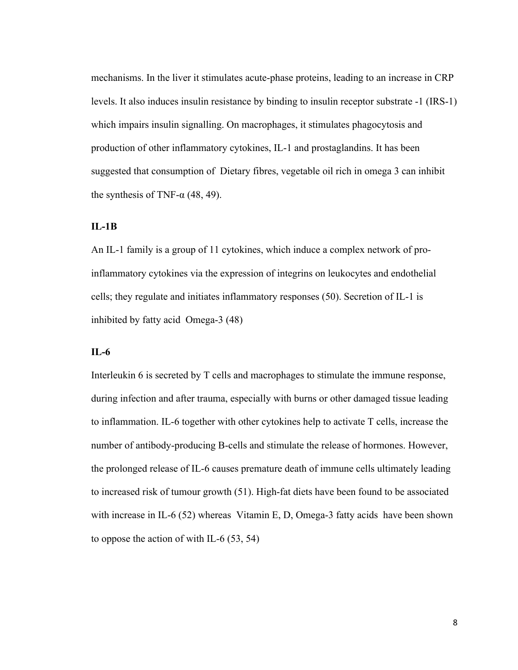mechanisms. In the liver it stimulates acute-phase proteins, leading to an increase in CRP levels. It also induces insulin resistance by binding to insulin receptor substrate -1 (IRS-1) which impairs insulin signalling. On macrophages, it stimulates phagocytosis and production of other inflammatory cytokines, IL-1 and prostaglandins. It has been suggested that consumption of Dietary fibres, vegetable oil rich in omega 3 can inhibit the synthesis of TNF- $\alpha$  (48, 49).

#### **IL-1B**

An IL-1 family is a group of 11 cytokines, which induce a complex network of proinflammatory cytokines via the expression of integrins on leukocytes and endothelial cells; they regulate and initiates inflammatory responses (50). Secretion of IL-1 is inhibited by fatty acid Omega-3 (48)

### **IL-6**

Interleukin 6 is secreted by T cells and macrophages to stimulate the immune response, during infection and after trauma, especially with burns or other damaged tissue leading to inflammation. IL-6 together with other cytokines help to activate T cells, increase the number of antibody-producing B-cells and stimulate the release of hormones. However, the prolonged release of IL-6 causes premature death of immune cells ultimately leading to increased risk of tumour growth (51). High-fat diets have been found to be associated with increase in IL-6 (52) whereas Vitamin E, D, Omega-3 fatty acids have been shown to oppose the action of with IL-6 (53, 54)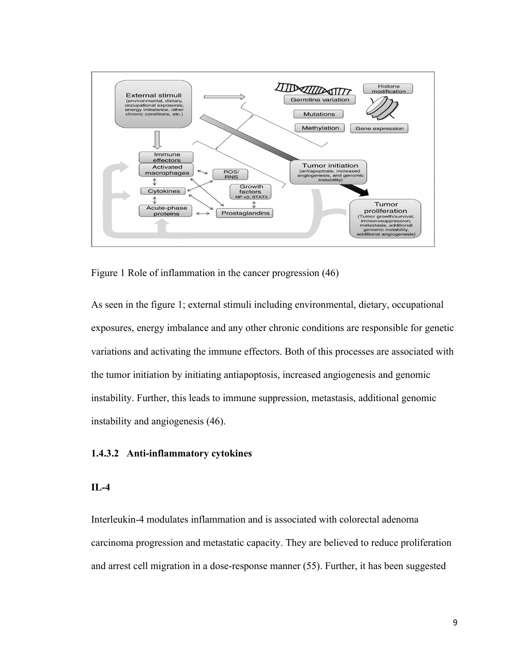

Figure 1 Role of inflammation in the cancer progression (46)

As seen in the figure 1; external stimuli including environmental, dietary, occupational exposures, energy imbalance and any other chronic conditions are responsible for genetic variations and activating the immune effectors. Both of this processes are associated with the tumor initiation by initiating antiapoptosis, increased angiogenesis and genomic instability. Further, this leads to immune suppression, metastasis, additional genomic instability and angiogenesis (46).

#### **1.4.3.2 Anti-inflammatory cytokines**

#### **IL-4**

Interleukin-4 modulates inflammation and is associated with colorectal adenoma carcinoma progression and metastatic capacity. They are believed to reduce proliferation and arrest cell migration in a dose-response manner (55). Further, it has been suggested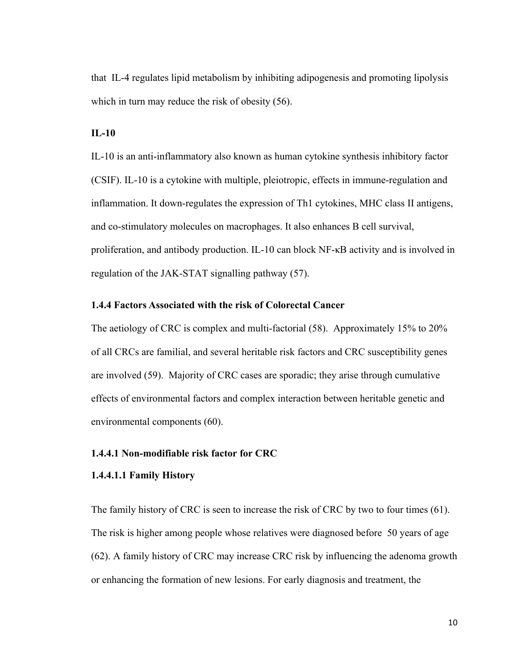that IL-4 regulates lipid metabolism by inhibiting adipogenesis and promoting lipolysis which in turn may reduce the risk of obesity (56).

#### **IL-10**

IL-10 is an anti-inflammatory also known as human cytokine synthesis inhibitory factor (CSIF). IL-10 is a cytokine with multiple, pleiotropic, effects in immune-regulation and inflammation. It down-regulates the expression of Th1 cytokines, MHC class II antigens, and co-stimulatory molecules on macrophages. It also enhances B cell survival, proliferation, and antibody production. IL-10 can block NF-κB activity and is involved in regulation of the JAK-STAT signalling pathway (57).

#### **1.4.4 Factors Associated with the risk of Colorectal Cancer**

The aetiology of CRC is complex and multi-factorial (58). Approximately 15% to 20% of all CRCs are familial, and several heritable risk factors and CRC susceptibility genes are involved (59). Majority of CRC cases are sporadic; they arise through cumulative effects of environmental factors and complex interaction between heritable genetic and environmental components (60).

#### **1.4.4.1 Non-modifiable risk factor for CRC**

#### **1.4.4.1.1 Family History**

The family history of CRC is seen to increase the risk of CRC by two to four times (61). The risk is higher among people whose relatives were diagnosed before 50 years of age (62). A family history of CRC may increase CRC risk by influencing the adenoma growth or enhancing the formation of new lesions. For early diagnosis and treatment, the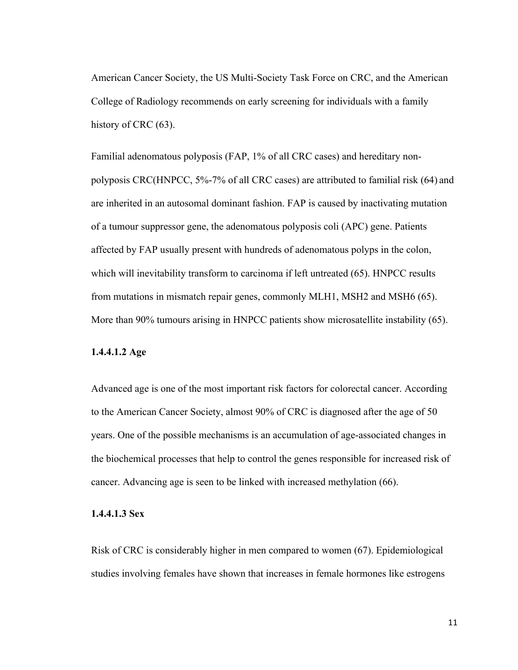American Cancer Society, the US Multi-Society Task Force on CRC, and the American College of Radiology recommends on early screening for individuals with a family history of CRC  $(63)$ .

Familial adenomatous polyposis (FAP, 1% of all CRC cases) and hereditary nonpolyposis CRC(HNPCC, 5%-7% of all CRC cases) are attributed to familial risk (64) and are inherited in an autosomal dominant fashion. FAP is caused by inactivating mutation of a tumour suppressor gene, the adenomatous polyposis coli (APC) gene. Patients affected by FAP usually present with hundreds of adenomatous polyps in the colon, which will inevitability transform to carcinoma if left untreated (65). HNPCC results from mutations in mismatch repair genes, commonly MLH1, MSH2 and MSH6 (65). More than 90% tumours arising in HNPCC patients show microsatellite instability (65).

### **1.4.4.1.2 Age**

Advanced age is one of the most important risk factors for colorectal cancer. According to the American Cancer Society, almost 90% of CRC is diagnosed after the age of 50 years. One of the possible mechanisms is an accumulation of age-associated changes in the biochemical processes that help to control the genes responsible for increased risk of cancer. Advancing age is seen to be linked with increased methylation (66).

#### **1.4.4.1.3 Sex**

Risk of CRC is considerably higher in men compared to women (67). Epidemiological studies involving females have shown that increases in female hormones like estrogens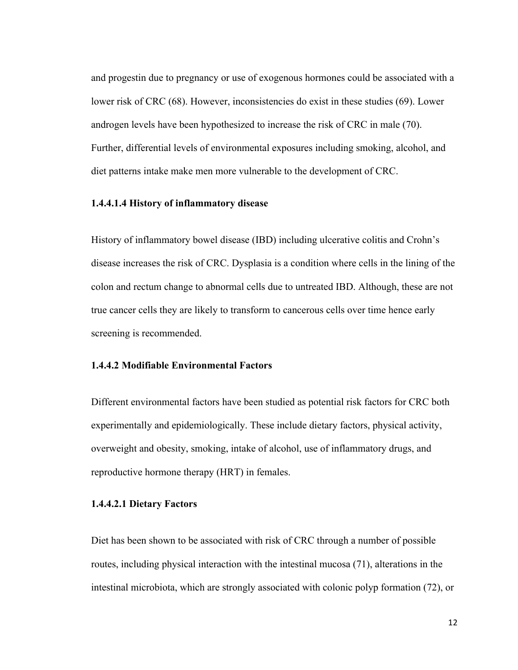and progestin due to pregnancy or use of exogenous hormones could be associated with a lower risk of CRC (68). However, inconsistencies do exist in these studies (69). Lower androgen levels have been hypothesized to increase the risk of CRC in male (70). Further, differential levels of environmental exposures including smoking, alcohol, and diet patterns intake make men more vulnerable to the development of CRC.

#### **1.4.4.1.4 History of inflammatory disease**

History of inflammatory bowel disease (IBD) including ulcerative colitis and Crohn's disease increases the risk of CRC. Dysplasia is a condition where cells in the lining of the colon and rectum change to abnormal cells due to untreated IBD. Although, these are not true cancer cells they are likely to transform to cancerous cells over time hence early screening is recommended.

#### **1.4.4.2 Modifiable Environmental Factors**

Different environmental factors have been studied as potential risk factors for CRC both experimentally and epidemiologically. These include dietary factors, physical activity, overweight and obesity, smoking, intake of alcohol, use of inflammatory drugs, and reproductive hormone therapy (HRT) in females.

#### **1.4.4.2.1 Dietary Factors**

Diet has been shown to be associated with risk of CRC through a number of possible routes, including physical interaction with the intestinal mucosa (71), alterations in the intestinal microbiota, which are strongly associated with colonic polyp formation (72), or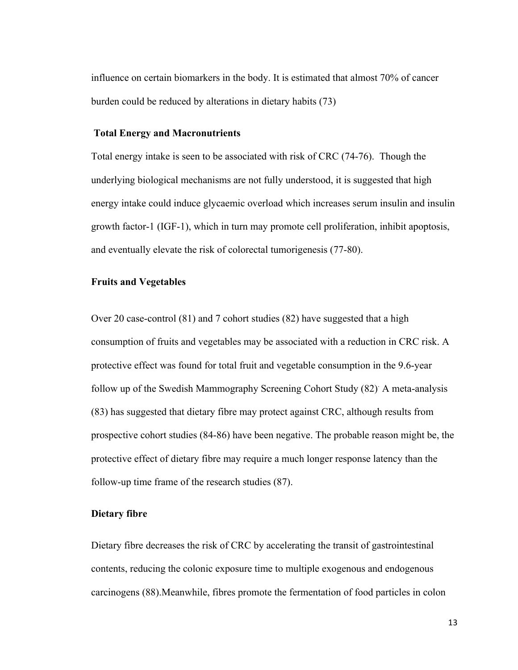influence on certain biomarkers in the body. It is estimated that almost 70% of cancer burden could be reduced by alterations in dietary habits (73)

#### **Total Energy and Macronutrients**

Total energy intake is seen to be associated with risk of CRC (74-76). Though the underlying biological mechanisms are not fully understood, it is suggested that high energy intake could induce glycaemic overload which increases serum insulin and insulin growth factor-1 (IGF-1), which in turn may promote cell proliferation, inhibit apoptosis, and eventually elevate the risk of colorectal tumorigenesis (77-80).

#### **Fruits and Vegetables**

Over 20 case-control (81) and 7 cohort studies (82) have suggested that a high consumption of fruits and vegetables may be associated with a reduction in CRC risk. A protective effect was found for total fruit and vegetable consumption in the 9.6-year follow up of the Swedish Mammography Screening Cohort Study (82). A meta-analysis (83) has suggested that dietary fibre may protect against CRC, although results from prospective cohort studies (84-86) have been negative. The probable reason might be, the protective effect of dietary fibre may require a much longer response latency than the follow-up time frame of the research studies (87).

#### **Dietary fibre**

Dietary fibre decreases the risk of CRC by accelerating the transit of gastrointestinal contents, reducing the colonic exposure time to multiple exogenous and endogenous carcinogens (88).Meanwhile, fibres promote the fermentation of food particles in colon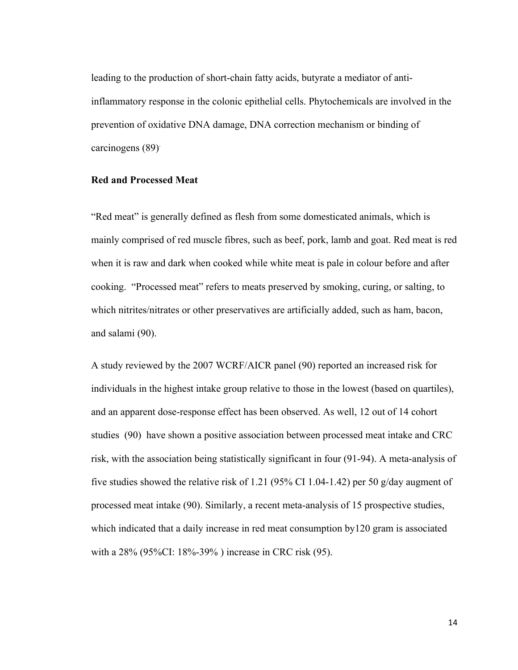leading to the production of short-chain fatty acids, butyrate a mediator of antiinflammatory response in the colonic epithelial cells. Phytochemicals are involved in the prevention of oxidative DNA damage, DNA correction mechanism or binding of carcinogens (89).

#### **Red and Processed Meat**

"Red meat" is generally defined as flesh from some domesticated animals, which is mainly comprised of red muscle fibres, such as beef, pork, lamb and goat. Red meat is red when it is raw and dark when cooked while white meat is pale in colour before and after cooking. "Processed meat" refers to meats preserved by smoking, curing, or salting, to which nitrites/nitrates or other preservatives are artificially added, such as ham, bacon, and salami (90).

A study reviewed by the 2007 WCRF/AICR panel (90) reported an increased risk for individuals in the highest intake group relative to those in the lowest (based on quartiles), and an apparent dose-response effect has been observed. As well, 12 out of 14 cohort studies (90) have shown a positive association between processed meat intake and CRC risk, with the association being statistically significant in four (91-94). A meta-analysis of five studies showed the relative risk of 1.21 (95% CI 1.04-1.42) per 50 g/day augment of processed meat intake (90). Similarly, a recent meta-analysis of 15 prospective studies, which indicated that a daily increase in red meat consumption by 120 gram is associated with a 28% (95%CI: 18%-39% ) increase in CRC risk (95).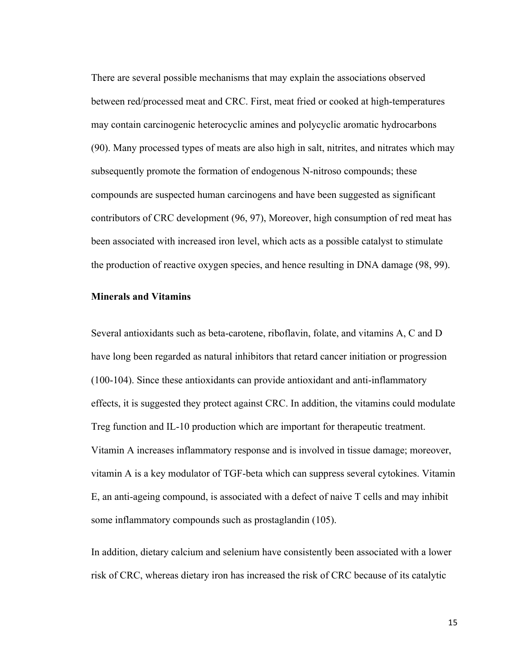There are several possible mechanisms that may explain the associations observed between red/processed meat and CRC. First, meat fried or cooked at high-temperatures may contain carcinogenic heterocyclic amines and polycyclic aromatic hydrocarbons (90). Many processed types of meats are also high in salt, nitrites, and nitrates which may subsequently promote the formation of endogenous N-nitroso compounds; these compounds are suspected human carcinogens and have been suggested as significant contributors of CRC development (96, 97), Moreover, high consumption of red meat has been associated with increased iron level, which acts as a possible catalyst to stimulate the production of reactive oxygen species, and hence resulting in DNA damage (98, 99).

#### **Minerals and Vitamins**

Several antioxidants such as beta-carotene, riboflavin, folate, and vitamins A, C and D have long been regarded as natural inhibitors that retard cancer initiation or progression (100-104). Since these antioxidants can provide antioxidant and anti-inflammatory effects, it is suggested they protect against CRC. In addition, the vitamins could modulate Treg function and IL-10 production which are important for therapeutic treatment. Vitamin A increases inflammatory response and is involved in tissue damage; moreover, vitamin A is a key modulator of TGF-beta which can suppress several cytokines. Vitamin E, an anti-ageing compound, is associated with a defect of naive T cells and may inhibit some inflammatory compounds such as prostaglandin (105).

In addition, dietary calcium and selenium have consistently been associated with a lower risk of CRC, whereas dietary iron has increased the risk of CRC because of its catalytic

15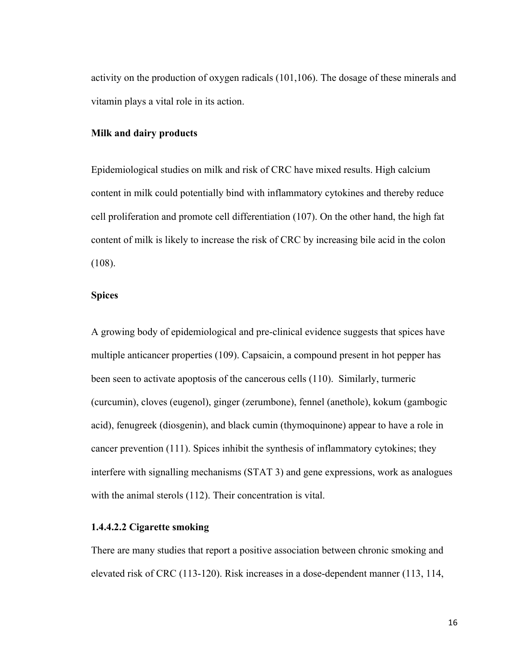activity on the production of oxygen radicals (101,106). The dosage of these minerals and vitamin plays a vital role in its action.

#### **Milk and dairy products**

Epidemiological studies on milk and risk of CRC have mixed results. High calcium content in milk could potentially bind with inflammatory cytokines and thereby reduce cell proliferation and promote cell differentiation (107). On the other hand, the high fat content of milk is likely to increase the risk of CRC by increasing bile acid in the colon (108).

### **Spices**

A growing body of epidemiological and pre-clinical evidence suggests that spices have multiple anticancer properties (109). Capsaicin, a compound present in hot pepper has been seen to activate apoptosis of the cancerous cells (110). Similarly, turmeric (curcumin), cloves (eugenol), ginger (zerumbone), fennel (anethole), kokum (gambogic acid), fenugreek (diosgenin), and black cumin (thymoquinone) appear to have a role in cancer prevention (111). Spices inhibit the synthesis of inflammatory cytokines; they interfere with signalling mechanisms (STAT 3) and gene expressions, work as analogues with the animal sterols (112). Their concentration is vital.

#### **1.4.4.2.2 Cigarette smoking**

There are many studies that report a positive association between chronic smoking and elevated risk of CRC (113-120). Risk increases in a dose-dependent manner (113, 114,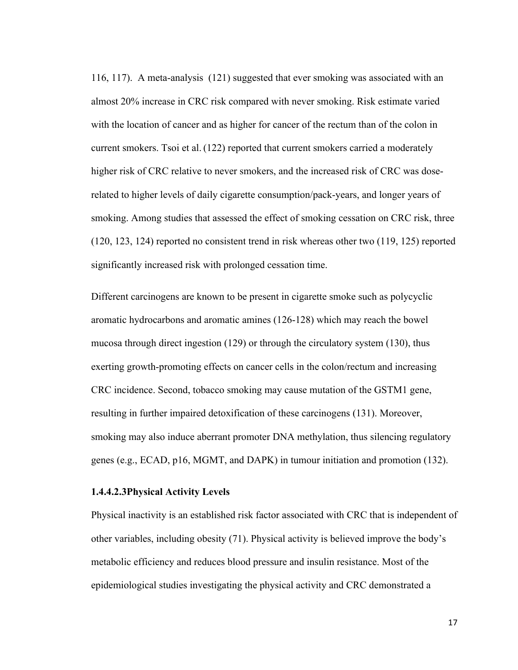116, 117). A meta-analysis (121) suggested that ever smoking was associated with an almost 20% increase in CRC risk compared with never smoking. Risk estimate varied with the location of cancer and as higher for cancer of the rectum than of the colon in current smokers. Tsoi et al. (122) reported that current smokers carried a moderately higher risk of CRC relative to never smokers, and the increased risk of CRC was doserelated to higher levels of daily cigarette consumption/pack-years, and longer years of smoking. Among studies that assessed the effect of smoking cessation on CRC risk, three (120, 123, 124) reported no consistent trend in risk whereas other two (119, 125) reported significantly increased risk with prolonged cessation time.

Different carcinogens are known to be present in cigarette smoke such as polycyclic aromatic hydrocarbons and aromatic amines (126-128) which may reach the bowel mucosa through direct ingestion (129) or through the circulatory system (130), thus exerting growth-promoting effects on cancer cells in the colon/rectum and increasing CRC incidence. Second, tobacco smoking may cause mutation of the GSTM1 gene, resulting in further impaired detoxification of these carcinogens (131). Moreover, smoking may also induce aberrant promoter DNA methylation, thus silencing regulatory genes (e.g., ECAD, p16, MGMT, and DAPK) in tumour initiation and promotion (132).

#### **1.4.4.2.3Physical Activity Levels**

Physical inactivity is an established risk factor associated with CRC that is independent of other variables, including obesity (71). Physical activity is believed improve the body's metabolic efficiency and reduces blood pressure and insulin resistance. Most of the epidemiological studies investigating the physical activity and CRC demonstrated a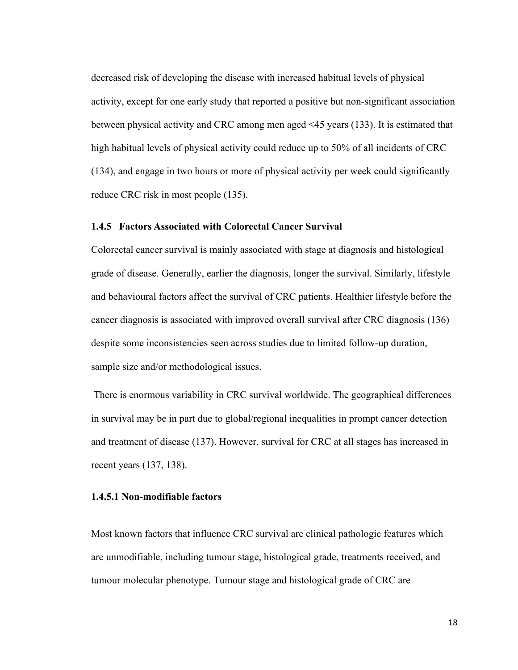decreased risk of developing the disease with increased habitual levels of physical activity, except for one early study that reported a positive but non-significant association between physical activity and CRC among men aged <45 years (133). It is estimated that high habitual levels of physical activity could reduce up to 50% of all incidents of CRC (134), and engage in two hours or more of physical activity per week could significantly reduce CRC risk in most people (135).

#### **1.4.5 Factors Associated with Colorectal Cancer Survival**

Colorectal cancer survival is mainly associated with stage at diagnosis and histological grade of disease. Generally, earlier the diagnosis, longer the survival. Similarly, lifestyle and behavioural factors affect the survival of CRC patients. Healthier lifestyle before the cancer diagnosis is associated with improved overall survival after CRC diagnosis (136) despite some inconsistencies seen across studies due to limited follow-up duration, sample size and/or methodological issues.

There is enormous variability in CRC survival worldwide. The geographical differences in survival may be in part due to global/regional inequalities in prompt cancer detection and treatment of disease (137). However, survival for CRC at all stages has increased in recent years (137, 138).

#### **1.4.5.1 Non-modifiable factors**

Most known factors that influence CRC survival are clinical pathologic features which are unmodifiable, including tumour stage, histological grade, treatments received, and tumour molecular phenotype. Tumour stage and histological grade of CRC are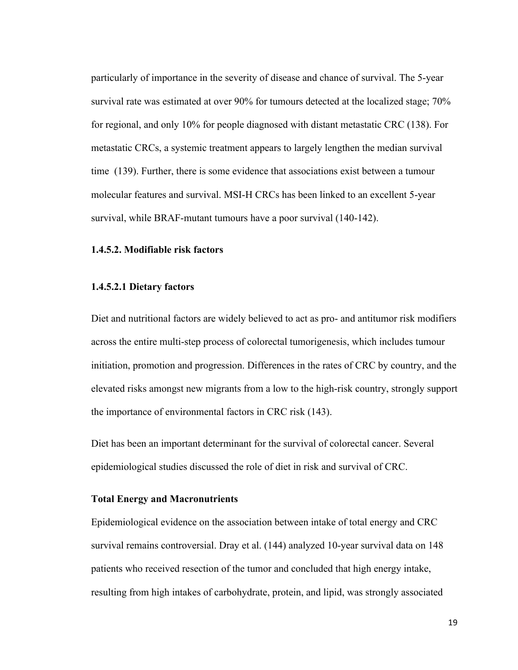particularly of importance in the severity of disease and chance of survival. The 5-year survival rate was estimated at over 90% for tumours detected at the localized stage; 70% for regional, and only 10% for people diagnosed with distant metastatic CRC (138). For metastatic CRCs, a systemic treatment appears to largely lengthen the median survival time (139). Further, there is some evidence that associations exist between a tumour molecular features and survival. MSI-H CRCs has been linked to an excellent 5-year survival, while BRAF-mutant tumours have a poor survival (140-142).

#### **1.4.5.2. Modifiable risk factors**

#### **1.4.5.2.1 Dietary factors**

Diet and nutritional factors are widely believed to act as pro- and antitumor risk modifiers across the entire multi-step process of colorectal tumorigenesis, which includes tumour initiation, promotion and progression. Differences in the rates of CRC by country, and the elevated risks amongst new migrants from a low to the high-risk country, strongly support the importance of environmental factors in CRC risk (143).

Diet has been an important determinant for the survival of colorectal cancer. Several epidemiological studies discussed the role of diet in risk and survival of CRC.

#### **Total Energy and Macronutrients**

Epidemiological evidence on the association between intake of total energy and CRC survival remains controversial. Dray et al. (144) analyzed 10-year survival data on 148 patients who received resection of the tumor and concluded that high energy intake, resulting from high intakes of carbohydrate, protein, and lipid, was strongly associated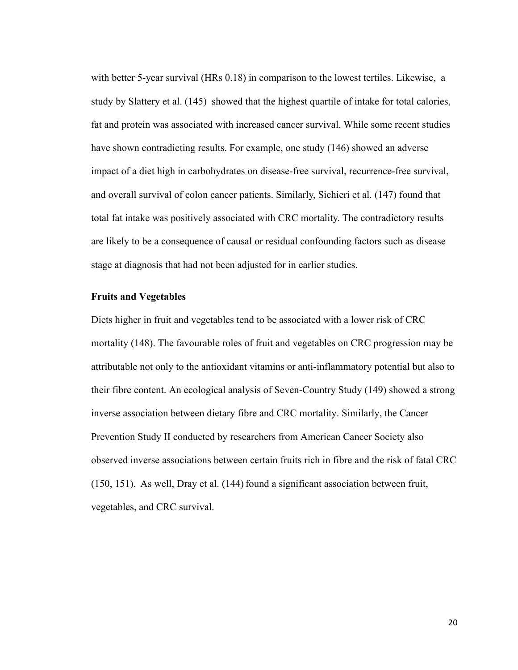with better 5-year survival (HRs 0.18) in comparison to the lowest tertiles. Likewise, a study by Slattery et al. (145) showed that the highest quartile of intake for total calories, fat and protein was associated with increased cancer survival. While some recent studies have shown contradicting results. For example, one study (146) showed an adverse impact of a diet high in carbohydrates on disease-free survival, recurrence-free survival, and overall survival of colon cancer patients. Similarly, Sichieri et al. (147) found that total fat intake was positively associated with CRC mortality. The contradictory results are likely to be a consequence of causal or residual confounding factors such as disease stage at diagnosis that had not been adjusted for in earlier studies.

#### **Fruits and Vegetables**

Diets higher in fruit and vegetables tend to be associated with a lower risk of CRC mortality (148). The favourable roles of fruit and vegetables on CRC progression may be attributable not only to the antioxidant vitamins or anti-inflammatory potential but also to their fibre content. An ecological analysis of Seven-Country Study (149) showed a strong inverse association between dietary fibre and CRC mortality. Similarly, the Cancer Prevention Study II conducted by researchers from American Cancer Society also observed inverse associations between certain fruits rich in fibre and the risk of fatal CRC  $(150, 151)$ . As well, Dray et al.  $(144)$  found a significant association between fruit, vegetables, and CRC survival.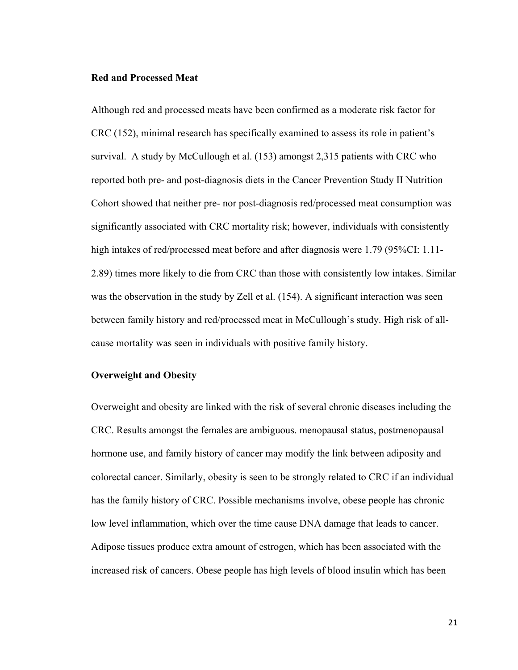#### **Red and Processed Meat**

Although red and processed meats have been confirmed as a moderate risk factor for CRC (152), minimal research has specifically examined to assess its role in patient's survival. A study by McCullough et al. (153) amongst 2,315 patients with CRC who reported both pre- and post-diagnosis diets in the Cancer Prevention Study II Nutrition Cohort showed that neither pre- nor post-diagnosis red/processed meat consumption was significantly associated with CRC mortality risk; however, individuals with consistently high intakes of red/processed meat before and after diagnosis were 1.79 (95%CI: 1.11-2.89) times more likely to die from CRC than those with consistently low intakes. Similar was the observation in the study by Zell et al. (154). A significant interaction was seen between family history and red/processed meat in McCullough's study. High risk of allcause mortality was seen in individuals with positive family history.

#### **Overweight and Obesity**

Overweight and obesity are linked with the risk of several chronic diseases including the CRC. Results amongst the females are ambiguous. menopausal status, postmenopausal hormone use, and family history of cancer may modify the link between adiposity and colorectal cancer. Similarly, obesity is seen to be strongly related to CRC if an individual has the family history of CRC. Possible mechanisms involve, obese people has chronic low level inflammation, which over the time cause DNA damage that leads to cancer. Adipose tissues produce extra amount of estrogen, which has been associated with the increased risk of cancers. Obese people has high levels of blood insulin which has been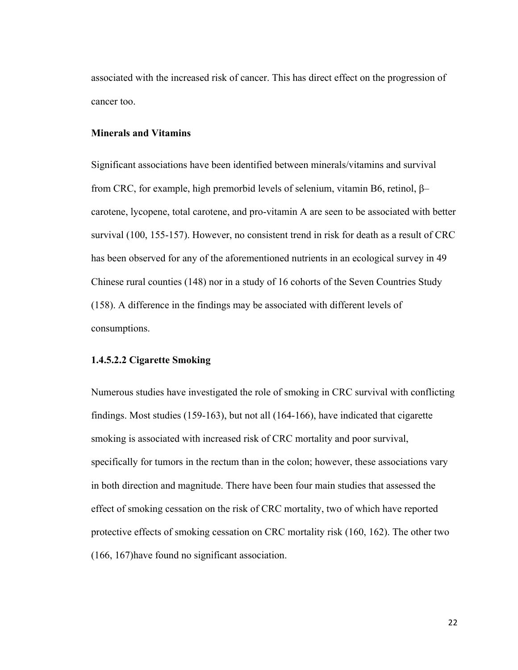associated with the increased risk of cancer. This has direct effect on the progression of cancer too.

#### **Minerals and Vitamins**

Significant associations have been identified between minerals/vitamins and survival from CRC, for example, high premorbid levels of selenium, vitamin B6, retinol, β– carotene, lycopene, total carotene, and pro-vitamin A are seen to be associated with better survival (100, 155-157). However, no consistent trend in risk for death as a result of CRC has been observed for any of the aforementioned nutrients in an ecological survey in 49 Chinese rural counties (148) nor in a study of 16 cohorts of the Seven Countries Study (158). A difference in the findings may be associated with different levels of consumptions.

#### **1.4.5.2.2 Cigarette Smoking**

Numerous studies have investigated the role of smoking in CRC survival with conflicting findings. Most studies (159-163), but not all (164-166), have indicated that cigarette smoking is associated with increased risk of CRC mortality and poor survival, specifically for tumors in the rectum than in the colon; however, these associations vary in both direction and magnitude. There have been four main studies that assessed the effect of smoking cessation on the risk of CRC mortality, two of which have reported protective effects of smoking cessation on CRC mortality risk (160, 162). The other two (166, 167)have found no significant association.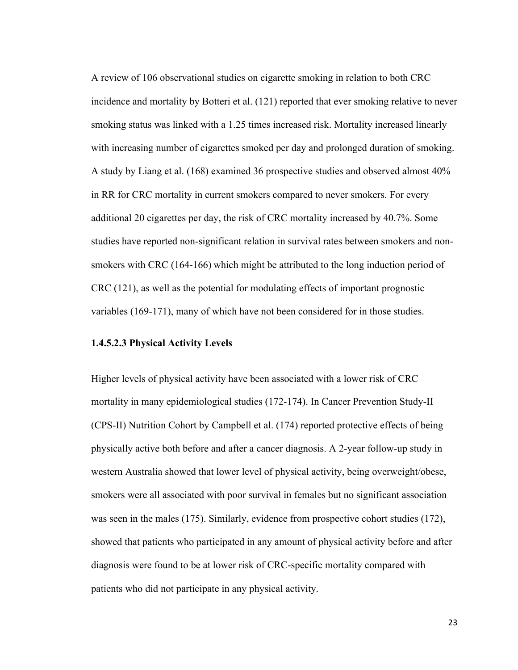A review of 106 observational studies on cigarette smoking in relation to both CRC incidence and mortality by Botteri et al. (121) reported that ever smoking relative to never smoking status was linked with a 1.25 times increased risk. Mortality increased linearly with increasing number of cigarettes smoked per day and prolonged duration of smoking. A study by Liang et al. (168) examined 36 prospective studies and observed almost 40% in RR for CRC mortality in current smokers compared to never smokers. For every additional 20 cigarettes per day, the risk of CRC mortality increased by 40.7%. Some studies have reported non-significant relation in survival rates between smokers and nonsmokers with CRC (164-166) which might be attributed to the long induction period of CRC (121), as well as the potential for modulating effects of important prognostic variables (169-171), many of which have not been considered for in those studies.

#### **1.4.5.2.3 Physical Activity Levels**

Higher levels of physical activity have been associated with a lower risk of CRC mortality in many epidemiological studies (172-174). In Cancer Prevention Study-II (CPS-II) Nutrition Cohort by Campbell et al. (174) reported protective effects of being physically active both before and after a cancer diagnosis. A 2-year follow-up study in western Australia showed that lower level of physical activity, being overweight/obese, smokers were all associated with poor survival in females but no significant association was seen in the males (175). Similarly, evidence from prospective cohort studies (172), showed that patients who participated in any amount of physical activity before and after diagnosis were found to be at lower risk of CRC-specific mortality compared with patients who did not participate in any physical activity.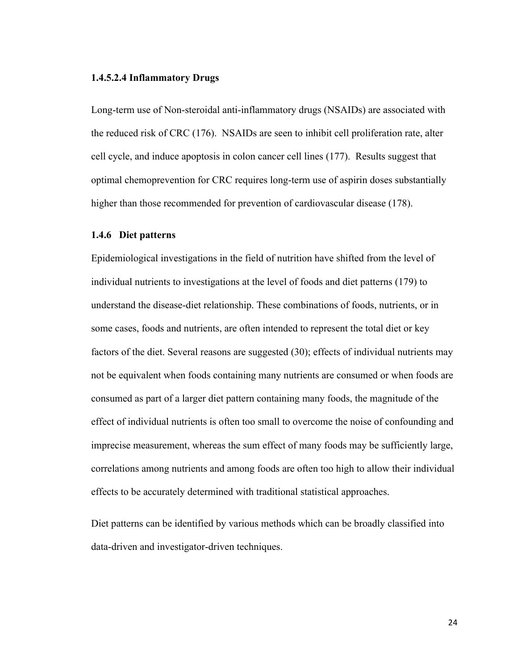#### **1.4.5.2.4 Inflammatory Drugs**

Long-term use of Non-steroidal anti-inflammatory drugs (NSAIDs) are associated with the reduced risk of CRC (176). NSAIDs are seen to inhibit cell proliferation rate, alter cell cycle, and induce apoptosis in colon cancer cell lines (177). Results suggest that optimal chemoprevention for CRC requires long-term use of aspirin doses substantially higher than those recommended for prevention of cardiovascular disease (178).

#### **1.4.6 Diet patterns**

Epidemiological investigations in the field of nutrition have shifted from the level of individual nutrients to investigations at the level of foods and diet patterns (179) to understand the disease-diet relationship. These combinations of foods, nutrients, or in some cases, foods and nutrients, are often intended to represent the total diet or key factors of the diet. Several reasons are suggested (30); effects of individual nutrients may not be equivalent when foods containing many nutrients are consumed or when foods are consumed as part of a larger diet pattern containing many foods, the magnitude of the effect of individual nutrients is often too small to overcome the noise of confounding and imprecise measurement, whereas the sum effect of many foods may be sufficiently large, correlations among nutrients and among foods are often too high to allow their individual effects to be accurately determined with traditional statistical approaches.

Diet patterns can be identified by various methods which can be broadly classified into data-driven and investigator-driven techniques.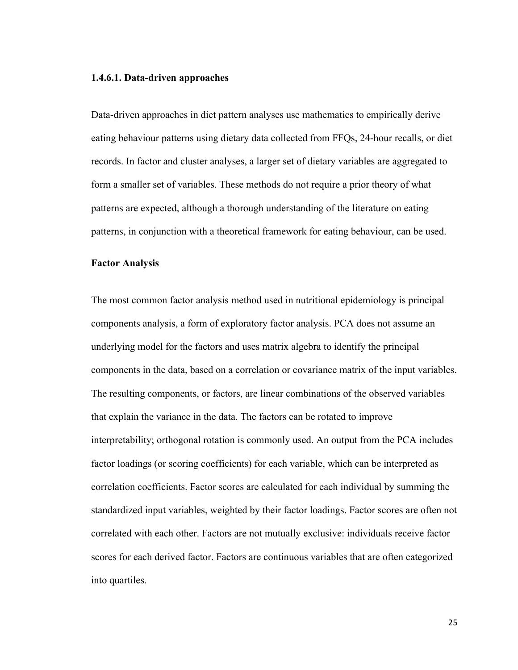#### **1.4.6.1. Data-driven approaches**

Data-driven approaches in diet pattern analyses use mathematics to empirically derive eating behaviour patterns using dietary data collected from FFQs, 24-hour recalls, or diet records. In factor and cluster analyses, a larger set of dietary variables are aggregated to form a smaller set of variables. These methods do not require a prior theory of what patterns are expected, although a thorough understanding of the literature on eating patterns, in conjunction with a theoretical framework for eating behaviour, can be used.

#### **Factor Analysis**

The most common factor analysis method used in nutritional epidemiology is principal components analysis, a form of exploratory factor analysis. PCA does not assume an underlying model for the factors and uses matrix algebra to identify the principal components in the data, based on a correlation or covariance matrix of the input variables. The resulting components, or factors, are linear combinations of the observed variables that explain the variance in the data. The factors can be rotated to improve interpretability; orthogonal rotation is commonly used. An output from the PCA includes factor loadings (or scoring coefficients) for each variable, which can be interpreted as correlation coefficients. Factor scores are calculated for each individual by summing the standardized input variables, weighted by their factor loadings. Factor scores are often not correlated with each other. Factors are not mutually exclusive: individuals receive factor scores for each derived factor. Factors are continuous variables that are often categorized into quartiles.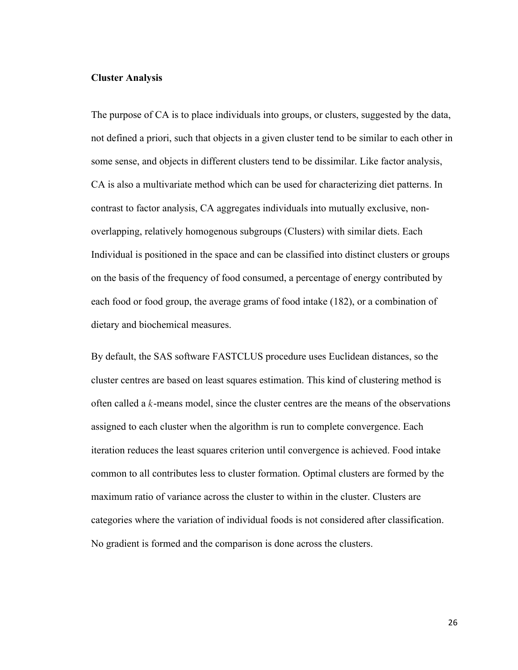#### **Cluster Analysis**

The purpose of CA is to place individuals into groups, or clusters, suggested by the data, not defined a priori, such that objects in a given cluster tend to be similar to each other in some sense, and objects in different clusters tend to be dissimilar. Like factor analysis, CA is also a multivariate method which can be used for characterizing diet patterns. In contrast to factor analysis, CA aggregates individuals into mutually exclusive, nonoverlapping, relatively homogenous subgroups (Clusters) with similar diets. Each Individual is positioned in the space and can be classified into distinct clusters or groups on the basis of the frequency of food consumed, a percentage of energy contributed by each food or food group, the average grams of food intake (182), or a combination of dietary and biochemical measures.

By default, the SAS software FASTCLUS procedure uses Euclidean distances, so the cluster centres are based on least squares estimation. This kind of clustering method is often called a  $k$ -means model, since the cluster centres are the means of the observations assigned to each cluster when the algorithm is run to complete convergence. Each iteration reduces the least squares criterion until convergence is achieved. Food intake common to all contributes less to cluster formation. Optimal clusters are formed by the maximum ratio of variance across the cluster to within in the cluster. Clusters are categories where the variation of individual foods is not considered after classification. No gradient is formed and the comparison is done across the clusters.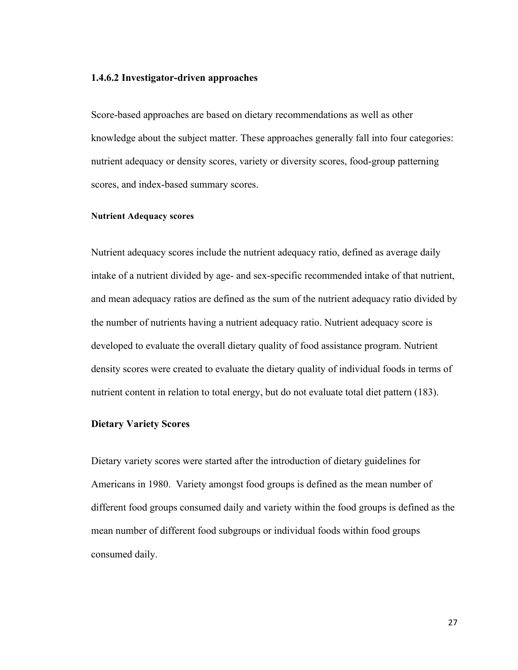#### **1.4.6.2 Investigator-driven approaches**

Score-based approaches are based on dietary recommendations as well as other knowledge about the subject matter. These approaches generally fall into four categories: nutrient adequacy or density scores, variety or diversity scores, food-group patterning scores, and index-based summary scores.

#### **Nutrient Adequacy scores**

Nutrient adequacy scores include the nutrient adequacy ratio, defined as average daily intake of a nutrient divided by age- and sex-specific recommended intake of that nutrient, and mean adequacy ratios are defined as the sum of the nutrient adequacy ratio divided by the number of nutrients having a nutrient adequacy ratio. Nutrient adequacy score is developed to evaluate the overall dietary quality of food assistance program. Nutrient density scores were created to evaluate the dietary quality of individual foods in terms of nutrient content in relation to total energy, but do not evaluate total diet pattern (183).

#### **Dietary Variety Scores**

Dietary variety scores were started after the introduction of dietary guidelines for Americans in 1980. Variety amongst food groups is defined as the mean number of different food groups consumed daily and variety within the food groups is defined as the mean number of different food subgroups or individual foods within food groups consumed daily.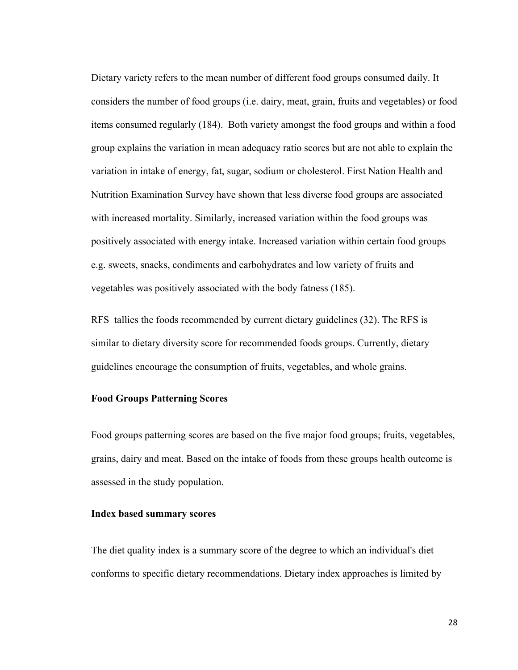Dietary variety refers to the mean number of different food groups consumed daily. It considers the number of food groups (i.e. dairy, meat, grain, fruits and vegetables) or food items consumed regularly (184). Both variety amongst the food groups and within a food group explains the variation in mean adequacy ratio scores but are not able to explain the variation in intake of energy, fat, sugar, sodium or cholesterol. First Nation Health and Nutrition Examination Survey have shown that less diverse food groups are associated with increased mortality. Similarly, increased variation within the food groups was positively associated with energy intake. Increased variation within certain food groups e.g. sweets, snacks, condiments and carbohydrates and low variety of fruits and vegetables was positively associated with the body fatness (185).

RFS tallies the foods recommended by current dietary guidelines (32). The RFS is similar to dietary diversity score for recommended foods groups. Currently, dietary guidelines encourage the consumption of fruits, vegetables, and whole grains.

#### **Food Groups Patterning Scores**

Food groups patterning scores are based on the five major food groups; fruits, vegetables, grains, dairy and meat. Based on the intake of foods from these groups health outcome is assessed in the study population.

## **Index based summary scores**

The diet quality index is a summary score of the degree to which an individual's diet conforms to specific dietary recommendations. Dietary index approaches is limited by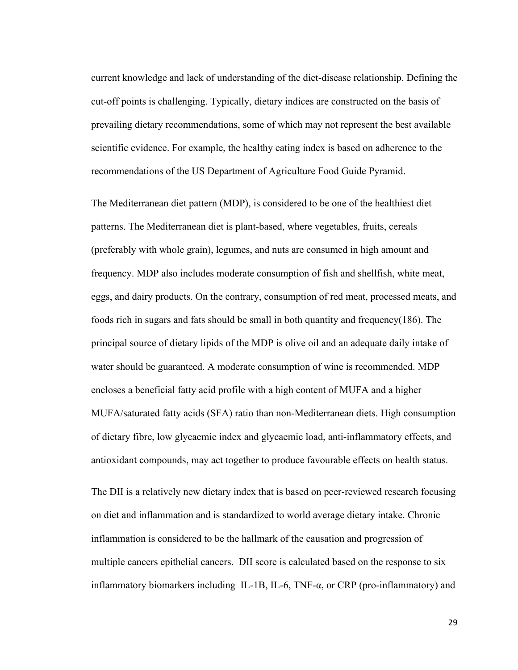current knowledge and lack of understanding of the diet-disease relationship. Defining the cut-off points is challenging. Typically, dietary indices are constructed on the basis of prevailing dietary recommendations, some of which may not represent the best available scientific evidence. For example, the healthy eating index is based on adherence to the recommendations of the US Department of Agriculture Food Guide Pyramid.

The Mediterranean diet pattern (MDP), is considered to be one of the healthiest diet patterns. The Mediterranean diet is plant-based, where vegetables, fruits, cereals (preferably with whole grain), legumes, and nuts are consumed in high amount and frequency. MDP also includes moderate consumption of fish and shellfish, white meat, eggs, and dairy products. On the contrary, consumption of red meat, processed meats, and foods rich in sugars and fats should be small in both quantity and frequency(186). The principal source of dietary lipids of the MDP is olive oil and an adequate daily intake of water should be guaranteed. A moderate consumption of wine is recommended. MDP encloses a beneficial fatty acid profile with a high content of MUFA and a higher MUFA/saturated fatty acids (SFA) ratio than non-Mediterranean diets. High consumption of dietary fibre, low glycaemic index and glycaemic load, anti-inflammatory effects, and antioxidant compounds, may act together to produce favourable effects on health status.

The DII is a relatively new dietary index that is based on peer-reviewed research focusing on diet and inflammation and is standardized to world average dietary intake. Chronic inflammation is considered to be the hallmark of the causation and progression of multiple cancers epithelial cancers. DII score is calculated based on the response to six inflammatory biomarkers including IL-1B, IL-6, TNF-α, or CRP (pro-inflammatory) and

29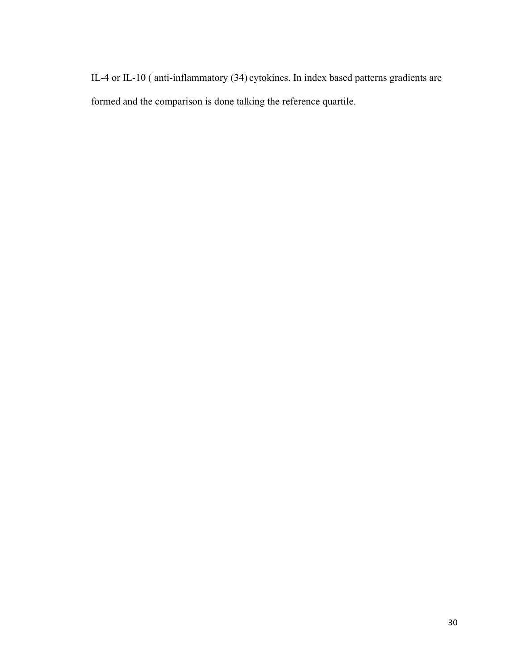IL-4 or IL-10 ( anti-inflammatory (34) cytokines. In index based patterns gradients are formed and the comparison is done talking the reference quartile.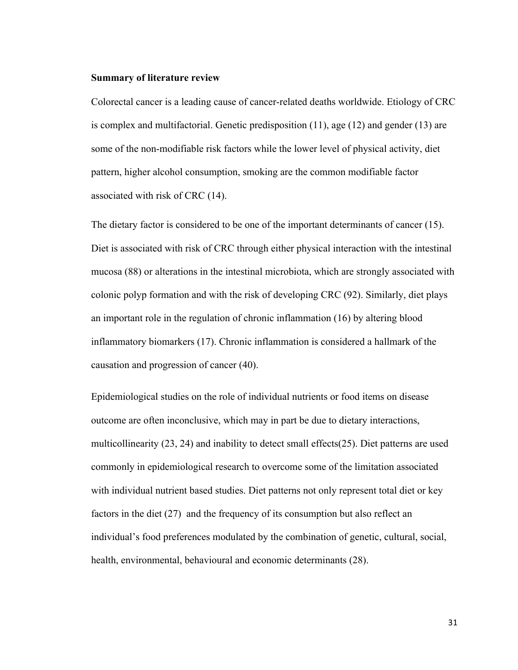#### **Summary of literature review**

Colorectal cancer is a leading cause of cancer-related deaths worldwide. Etiology of CRC is complex and multifactorial. Genetic predisposition (11), age (12) and gender (13) are some of the non-modifiable risk factors while the lower level of physical activity, diet pattern, higher alcohol consumption, smoking are the common modifiable factor associated with risk of CRC (14).

The dietary factor is considered to be one of the important determinants of cancer (15). Diet is associated with risk of CRC through either physical interaction with the intestinal mucosa (88) or alterations in the intestinal microbiota, which are strongly associated with colonic polyp formation and with the risk of developing CRC (92). Similarly, diet plays an important role in the regulation of chronic inflammation (16) by altering blood inflammatory biomarkers (17). Chronic inflammation is considered a hallmark of the causation and progression of cancer (40).

Epidemiological studies on the role of individual nutrients or food items on disease outcome are often inconclusive, which may in part be due to dietary interactions, multicollinearity (23, 24) and inability to detect small effects(25). Diet patterns are used commonly in epidemiological research to overcome some of the limitation associated with individual nutrient based studies. Diet patterns not only represent total diet or key factors in the diet (27) and the frequency of its consumption but also reflect an individual's food preferences modulated by the combination of genetic, cultural, social, health, environmental, behavioural and economic determinants (28).

31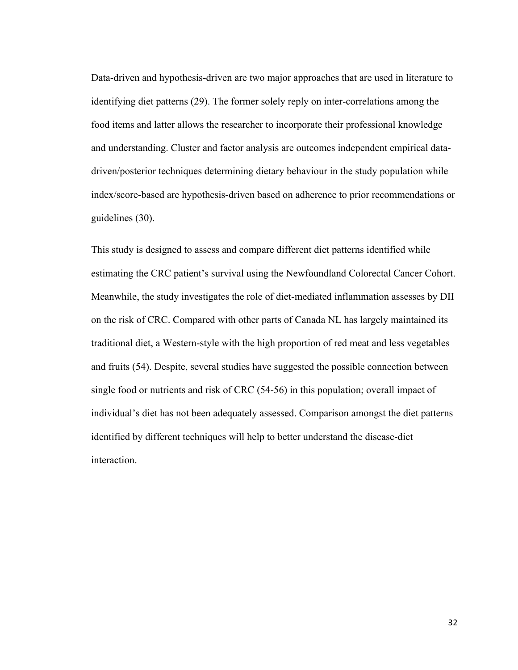Data-driven and hypothesis-driven are two major approaches that are used in literature to identifying diet patterns (29). The former solely reply on inter-correlations among the food items and latter allows the researcher to incorporate their professional knowledge and understanding. Cluster and factor analysis are outcomes independent empirical datadriven/posterior techniques determining dietary behaviour in the study population while index/score-based are hypothesis-driven based on adherence to prior recommendations or guidelines (30).

This study is designed to assess and compare different diet patterns identified while estimating the CRC patient's survival using the Newfoundland Colorectal Cancer Cohort. Meanwhile, the study investigates the role of diet-mediated inflammation assesses by DII on the risk of CRC. Compared with other parts of Canada NL has largely maintained its traditional diet, a Western-style with the high proportion of red meat and less vegetables and fruits (54). Despite, several studies have suggested the possible connection between single food or nutrients and risk of CRC (54-56) in this population; overall impact of individual's diet has not been adequately assessed. Comparison amongst the diet patterns identified by different techniques will help to better understand the disease-diet interaction.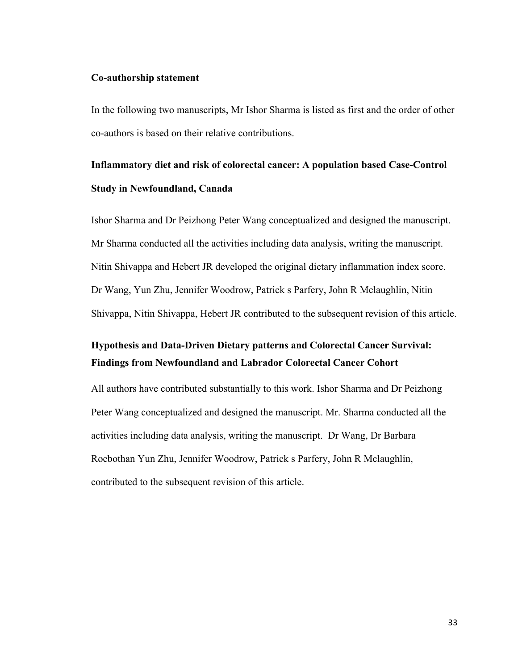#### **Co-authorship statement**

In the following two manuscripts, Mr Ishor Sharma is listed as first and the order of other co-authors is based on their relative contributions.

# **Inflammatory diet and risk of colorectal cancer: A population based Case-Control Study in Newfoundland, Canada**

Ishor Sharma and Dr Peizhong Peter Wang conceptualized and designed the manuscript. Mr Sharma conducted all the activities including data analysis, writing the manuscript. Nitin Shivappa and Hebert JR developed the original dietary inflammation index score. Dr Wang, Yun Zhu, Jennifer Woodrow, Patrick s Parfery, John R Mclaughlin, Nitin Shivappa, Nitin Shivappa, Hebert JR contributed to the subsequent revision of this article.

# **Hypothesis and Data-Driven Dietary patterns and Colorectal Cancer Survival: Findings from Newfoundland and Labrador Colorectal Cancer Cohort**

All authors have contributed substantially to this work. Ishor Sharma and Dr Peizhong Peter Wang conceptualized and designed the manuscript. Mr. Sharma conducted all the activities including data analysis, writing the manuscript. Dr Wang, Dr Barbara Roebothan Yun Zhu, Jennifer Woodrow, Patrick s Parfery, John R Mclaughlin, contributed to the subsequent revision of this article.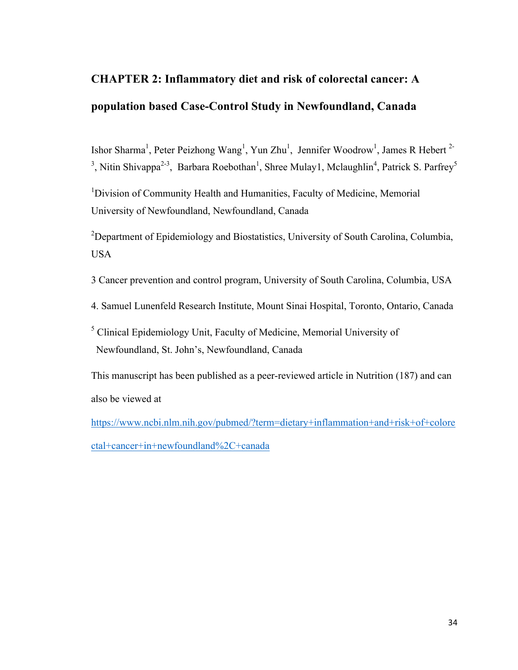# **CHAPTER 2: Inflammatory diet and risk of colorectal cancer: A population based Case-Control Study in Newfoundland, Canada**

Ishor Sharma<sup>1</sup>, Peter Peizhong Wang<sup>1</sup>, Yun Zhu<sup>1</sup>, Jennifer Woodrow<sup>1</sup>, James R Hebert<sup>2-</sup> <sup>3</sup>, Nitin Shivappa<sup>2-3</sup>, Barbara Roebothan<sup>1</sup>, Shree Mulay1, Mclaughlin<sup>4</sup>, Patrick S. Parfrey<sup>5</sup>

<sup>1</sup>Division of Community Health and Humanities, Faculty of Medicine, Memorial University of Newfoundland, Newfoundland, Canada

<sup>2</sup>Department of Epidemiology and Biostatistics, University of South Carolina, Columbia, USA

- 3 Cancer prevention and control program, University of South Carolina, Columbia, USA
- 4. Samuel Lunenfeld Research Institute, Mount Sinai Hospital, Toronto, Ontario, Canada
- <sup>5</sup> Clinical Epidemiology Unit, Faculty of Medicine, Memorial University of Newfoundland, St. John's, Newfoundland, Canada

This manuscript has been published as a peer-reviewed article in Nutrition (187) and can also be viewed at

https://www.ncbi.nlm.nih.gov/pubmed/?term=dietary+inflammation+and+risk+of+colore ctal+cancer+in+newfoundland%2C+canada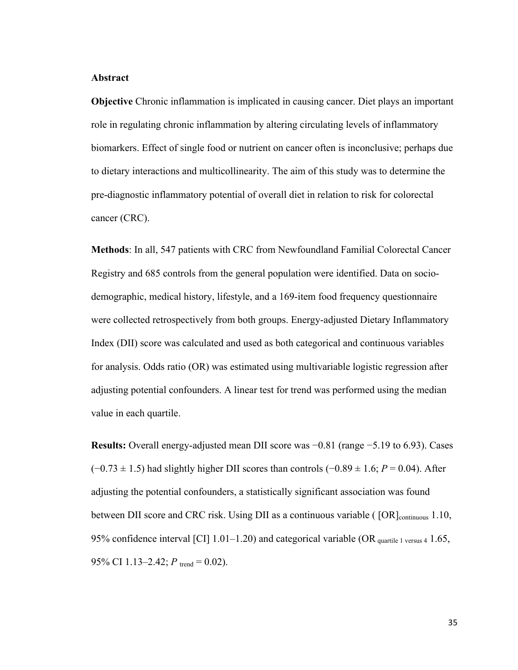#### **Abstract**

**Objective** Chronic inflammation is implicated in causing cancer. Diet plays an important role in regulating chronic inflammation by altering circulating levels of inflammatory biomarkers. Effect of single food or nutrient on cancer often is inconclusive; perhaps due to dietary interactions and multicollinearity. The aim of this study was to determine the pre-diagnostic inflammatory potential of overall diet in relation to risk for colorectal cancer (CRC).

**Methods**: In all, 547 patients with CRC from Newfoundland Familial Colorectal Cancer Registry and 685 controls from the general population were identified. Data on sociodemographic, medical history, lifestyle, and a 169-item food frequency questionnaire were collected retrospectively from both groups. Energy-adjusted Dietary Inflammatory Index (DII) score was calculated and used as both categorical and continuous variables for analysis. Odds ratio (OR) was estimated using multivariable logistic regression after adjusting potential confounders. A linear test for trend was performed using the median value in each quartile.

**Results:** Overall energy-adjusted mean DII score was −0.81 (range −5.19 to 6.93). Cases (−0.73 ± 1.5) had slightly higher DII scores than controls (−0.89 ± 1.6; *P* = 0.04). After adjusting the potential confounders, a statistically significant association was found between DII score and CRC risk. Using DII as a continuous variable ( [OR]<sub>continuous</sub> 1.10, 95% confidence interval [CI]  $1.01-1.20$ ) and categorical variable (OR <sub>quartile 1 versus 4</sub> 1.65, 95% CI 1.13–2.42;  $P_{\text{trend}} = 0.02$ ).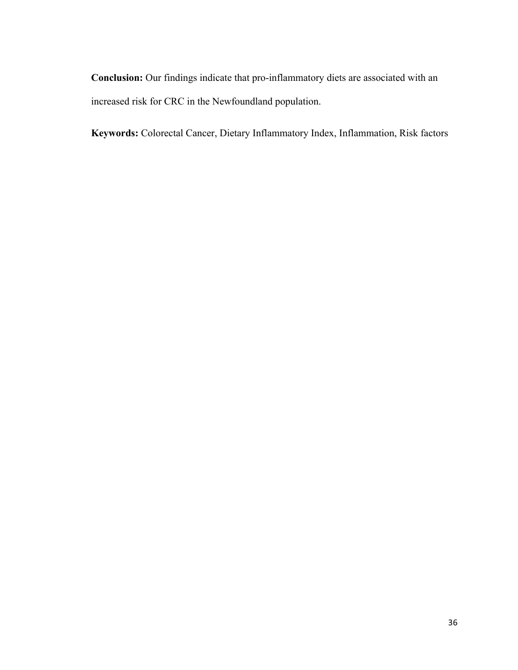**Conclusion:** Our findings indicate that pro-inflammatory diets are associated with an increased risk for CRC in the Newfoundland population.

**Keywords:** Colorectal Cancer, Dietary Inflammatory Index, Inflammation, Risk factors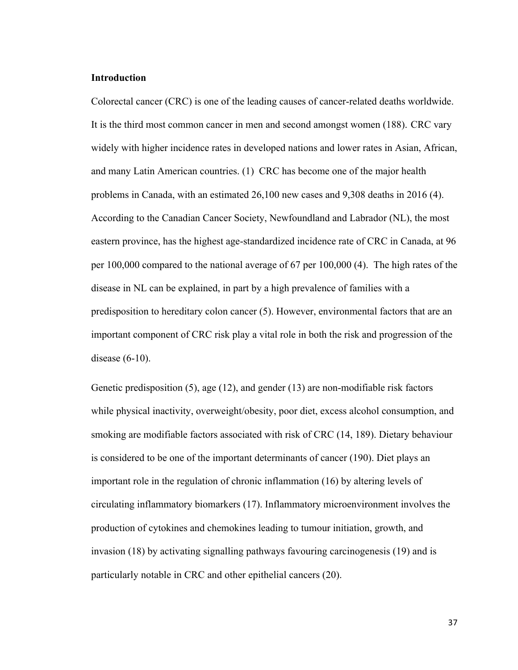## **Introduction**

Colorectal cancer (CRC) is one of the leading causes of cancer-related deaths worldwide. It is the third most common cancer in men and second amongst women (188). CRC vary widely with higher incidence rates in developed nations and lower rates in Asian, African, and many Latin American countries. (1) CRC has become one of the major health problems in Canada, with an estimated 26,100 new cases and 9,308 deaths in 2016 (4). According to the Canadian Cancer Society, Newfoundland and Labrador (NL), the most eastern province, has the highest age-standardized incidence rate of CRC in Canada, at 96 per 100,000 compared to the national average of 67 per 100,000 (4). The high rates of the disease in NL can be explained, in part by a high prevalence of families with a predisposition to hereditary colon cancer (5). However, environmental factors that are an important component of CRC risk play a vital role in both the risk and progression of the disease (6-10).

Genetic predisposition (5), age (12), and gender (13) are non-modifiable risk factors while physical inactivity, overweight/obesity, poor diet, excess alcohol consumption, and smoking are modifiable factors associated with risk of CRC (14, 189). Dietary behaviour is considered to be one of the important determinants of cancer (190). Diet plays an important role in the regulation of chronic inflammation (16) by altering levels of circulating inflammatory biomarkers (17). Inflammatory microenvironment involves the production of cytokines and chemokines leading to tumour initiation, growth, and invasion (18) by activating signalling pathways favouring carcinogenesis (19) and is particularly notable in CRC and other epithelial cancers (20).

37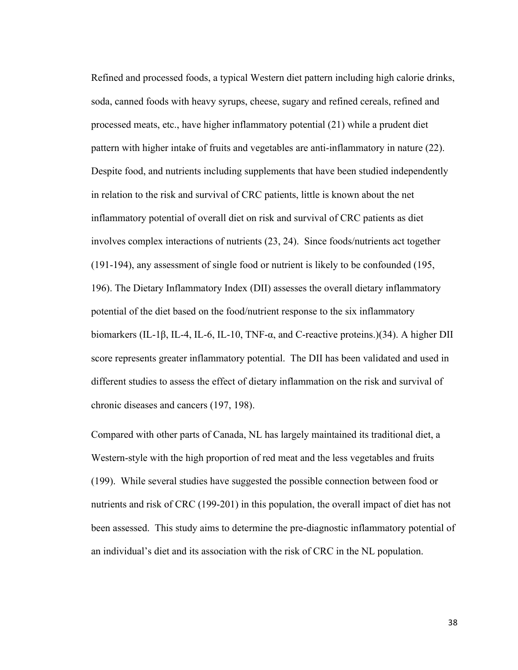Refined and processed foods, a typical Western diet pattern including high calorie drinks, soda, canned foods with heavy syrups, cheese, sugary and refined cereals, refined and processed meats, etc., have higher inflammatory potential (21) while a prudent diet pattern with higher intake of fruits and vegetables are anti-inflammatory in nature (22). Despite food, and nutrients including supplements that have been studied independently in relation to the risk and survival of CRC patients, little is known about the net inflammatory potential of overall diet on risk and survival of CRC patients as diet involves complex interactions of nutrients (23, 24). Since foods/nutrients act together (191-194), any assessment of single food or nutrient is likely to be confounded (195, 196). The Dietary Inflammatory Index (DII) assesses the overall dietary inflammatory potential of the diet based on the food/nutrient response to the six inflammatory biomarkers (IL-1β, IL-4, IL-6, IL-10, TNF-α, and C-reactive proteins.)(34). A higher DII score represents greater inflammatory potential. The DII has been validated and used in different studies to assess the effect of dietary inflammation on the risk and survival of chronic diseases and cancers (197, 198).

Compared with other parts of Canada, NL has largely maintained its traditional diet, a Western-style with the high proportion of red meat and the less vegetables and fruits (199). While several studies have suggested the possible connection between food or nutrients and risk of CRC (199-201) in this population, the overall impact of diet has not been assessed. This study aims to determine the pre-diagnostic inflammatory potential of an individual's diet and its association with the risk of CRC in the NL population.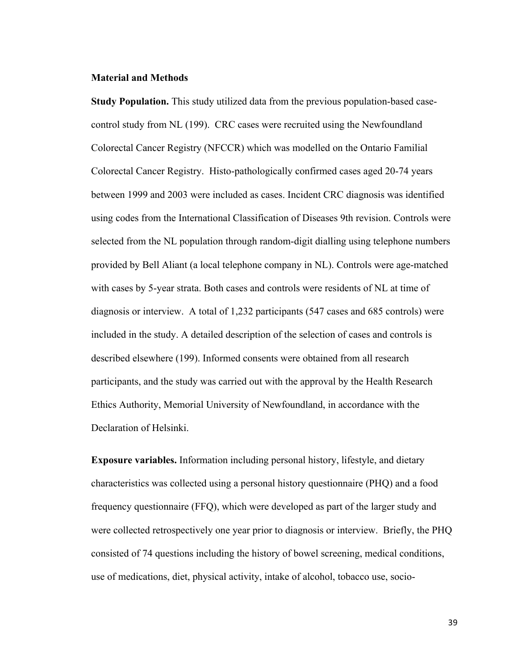## **Material and Methods**

**Study Population.** This study utilized data from the previous population-based casecontrol study from NL (199). CRC cases were recruited using the Newfoundland Colorectal Cancer Registry (NFCCR) which was modelled on the Ontario Familial Colorectal Cancer Registry. Histo-pathologically confirmed cases aged 20-74 years between 1999 and 2003 were included as cases. Incident CRC diagnosis was identified using codes from the International Classification of Diseases 9th revision. Controls were selected from the NL population through random-digit dialling using telephone numbers provided by Bell Aliant (a local telephone company in NL). Controls were age-matched with cases by 5-year strata. Both cases and controls were residents of NL at time of diagnosis or interview. A total of 1,232 participants (547 cases and 685 controls) were included in the study. A detailed description of the selection of cases and controls is described elsewhere (199). Informed consents were obtained from all research participants, and the study was carried out with the approval by the Health Research Ethics Authority, Memorial University of Newfoundland, in accordance with the Declaration of Helsinki.

**Exposure variables.** Information including personal history, lifestyle, and dietary characteristics was collected using a personal history questionnaire (PHQ) and a food frequency questionnaire (FFQ), which were developed as part of the larger study and were collected retrospectively one year prior to diagnosis or interview. Briefly, the PHQ consisted of 74 questions including the history of bowel screening, medical conditions, use of medications, diet, physical activity, intake of alcohol, tobacco use, socio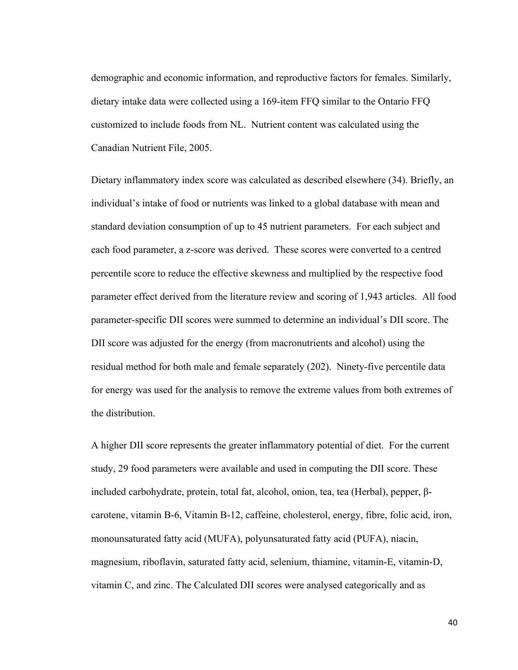demographic and economic information, and reproductive factors for females. Similarly, dietary intake data were collected using a 169-item FFQ similar to the Ontario FFQ customized to include foods from NL. Nutrient content was calculated using the Canadian Nutrient File, 2005.

Dietary inflammatory index score was calculated as described elsewhere (34). Briefly, an individual's intake of food or nutrients was linked to a global database with mean and standard deviation consumption of up to 45 nutrient parameters. For each subject and each food parameter, a z-score was derived. These scores were converted to a centred percentile score to reduce the effective skewness and multiplied by the respective food parameter effect derived from the literature review and scoring of 1,943 articles. All food parameter-specific DII scores were summed to determine an individual's DII score. The DII score was adjusted for the energy (from macronutrients and alcohol) using the residual method for both male and female separately (202). Ninety-five percentile data for energy was used for the analysis to remove the extreme values from both extremes of the distribution.

A higher DII score represents the greater inflammatory potential of diet. For the current study, 29 food parameters were available and used in computing the DII score. These included carbohydrate, protein, total fat, alcohol, onion, tea, tea (Herbal), pepper, βcarotene, vitamin B-6, Vitamin B-12, caffeine, cholesterol, energy, fibre, folic acid, iron, monounsaturated fatty acid (MUFA), polyunsaturated fatty acid (PUFA), niacin, magnesium, riboflavin, saturated fatty acid, selenium, thiamine, vitamin-E, vitamin-D, vitamin C, and zinc. The Calculated DII scores were analysed categorically and as

40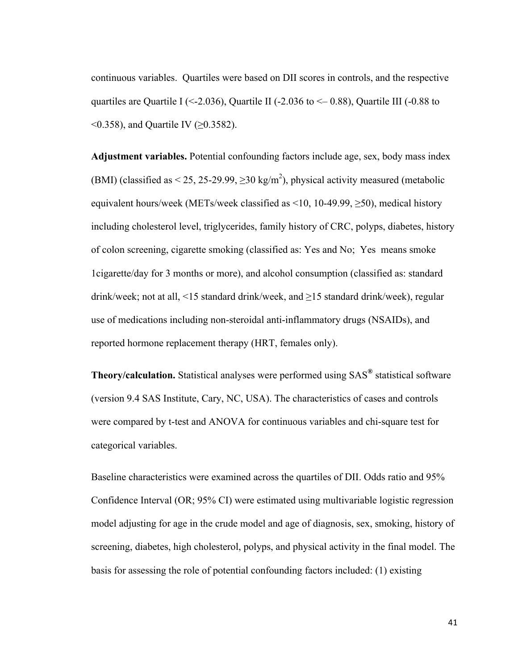continuous variables. Quartiles were based on DII scores in controls, and the respective quartiles are Quartile I (<-2.036), Quartile II (-2.036 to  $\leq$  0.88), Quartile III (-0.88 to  $(0.358)$ , and Quartile IV ( $\geq 0.3582$ ).

**Adjustment variables.** Potential confounding factors include age, sex, body mass index (BMI) (classified as  $\leq$  25, 25-29.99,  $\geq$  30 kg/m<sup>2</sup>), physical activity measured (metabolic equivalent hours/week (METs/week classified as <10, 10-49.99,  $\geq$ 50), medical history including cholesterol level, triglycerides, family history of CRC, polyps, diabetes, history of colon screening, cigarette smoking (classified as: Yes and No; Yes means smoke 1cigarette/day for 3 months or more), and alcohol consumption (classified as: standard drink/week; not at all, <15 standard drink/week, and ≥15 standard drink/week), regular use of medications including non-steroidal anti-inflammatory drugs (NSAIDs), and reported hormone replacement therapy (HRT, females only).

**Theory/calculation.** Statistical analyses were performed using SAS**®** statistical software (version 9.4 SAS Institute, Cary, NC, USA). The characteristics of cases and controls were compared by t-test and ANOVA for continuous variables and chi-square test for categorical variables.

Baseline characteristics were examined across the quartiles of DII. Odds ratio and 95% Confidence Interval (OR; 95% CI) were estimated using multivariable logistic regression model adjusting for age in the crude model and age of diagnosis, sex, smoking, history of screening, diabetes, high cholesterol, polyps, and physical activity in the final model. The basis for assessing the role of potential confounding factors included: (1) existing

41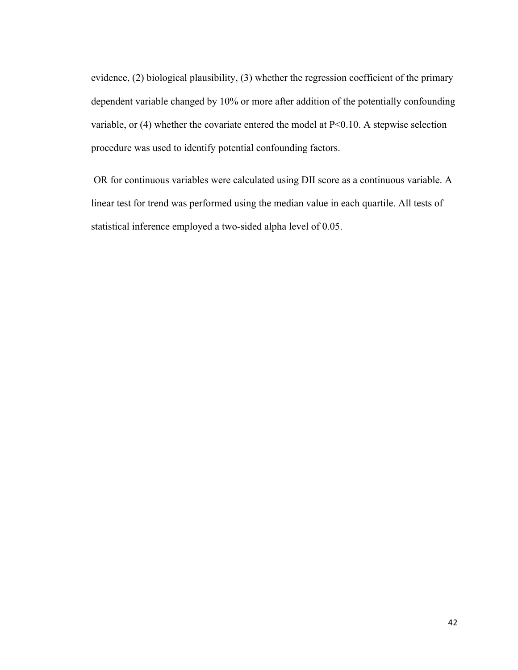evidence, (2) biological plausibility, (3) whether the regression coefficient of the primary dependent variable changed by 10% or more after addition of the potentially confounding variable, or  $(4)$  whether the covariate entered the model at P<0.10. A stepwise selection procedure was used to identify potential confounding factors.

OR for continuous variables were calculated using DII score as a continuous variable. A linear test for trend was performed using the median value in each quartile. All tests of statistical inference employed a two-sided alpha level of 0.05.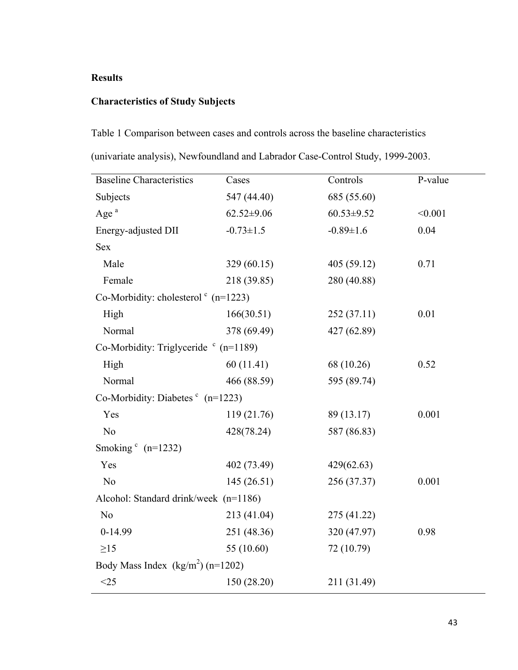# **Results**

# **Characteristics of Study Subjects**

Table 1 Comparison between cases and controls across the baseline characteristics (univariate analysis), Newfoundland and Labrador Case-Control Study, 1999-2003.

| <b>Baseline Characteristics</b>                  | Cases            | Controls         | P-value |  |  |  |
|--------------------------------------------------|------------------|------------------|---------|--|--|--|
| Subjects                                         | 547 (44.40)      | 685 (55.60)      |         |  |  |  |
| Age $a$                                          | $62.52 \pm 9.06$ | $60.53 \pm 9.52$ | < 0.001 |  |  |  |
| Energy-adjusted DII                              | $-0.73 \pm 1.5$  | $-0.89 \pm 1.6$  | 0.04    |  |  |  |
| Sex                                              |                  |                  |         |  |  |  |
| Male                                             | 329 (60.15)      | 405(59.12)       | 0.71    |  |  |  |
| Female                                           | 218 (39.85)      | 280 (40.88)      |         |  |  |  |
| Co-Morbidity: cholesterol $\textdegree$ (n=1223) |                  |                  |         |  |  |  |
| High                                             | 166(30.51)       | 252(37.11)       | 0.01    |  |  |  |
| Normal                                           | 378 (69.49)      | 427 (62.89)      |         |  |  |  |
| Co-Morbidity: Triglyceride $\degree$ (n=1189)    |                  |                  |         |  |  |  |
| High                                             | 60(11.41)        | 68 (10.26)       | 0.52    |  |  |  |
| Normal                                           | 466 (88.59)      | 595 (89.74)      |         |  |  |  |
| Co-Morbidity: Diabetes $\text{c}_{n=1223}$       |                  |                  |         |  |  |  |
| Yes                                              | 119 (21.76)      | 89 (13.17)       | 0.001   |  |  |  |
| No                                               | 428(78.24)       | 587 (86.83)      |         |  |  |  |
| Smoking $(n=1232)$                               |                  |                  |         |  |  |  |
| Yes                                              | 402 (73.49)      | 429(62.63)       |         |  |  |  |
| N <sub>o</sub>                                   | 145(26.51)       | 256 (37.37)      | 0.001   |  |  |  |
| Alcohol: Standard drink/week (n=1186)            |                  |                  |         |  |  |  |
| N <sub>o</sub>                                   | 213 (41.04)      | 275 (41.22)      |         |  |  |  |
| $0-14.99$                                        | 251 (48.36)      | 320 (47.97)      | 0.98    |  |  |  |
| $\geq$ 15                                        | 55 (10.60)       | 72 (10.79)       |         |  |  |  |
| Body Mass Index $(kg/m^2)$ (n=1202)              |                  |                  |         |  |  |  |
| $<$ 25                                           | 150 (28.20)      | 211 (31.49)      |         |  |  |  |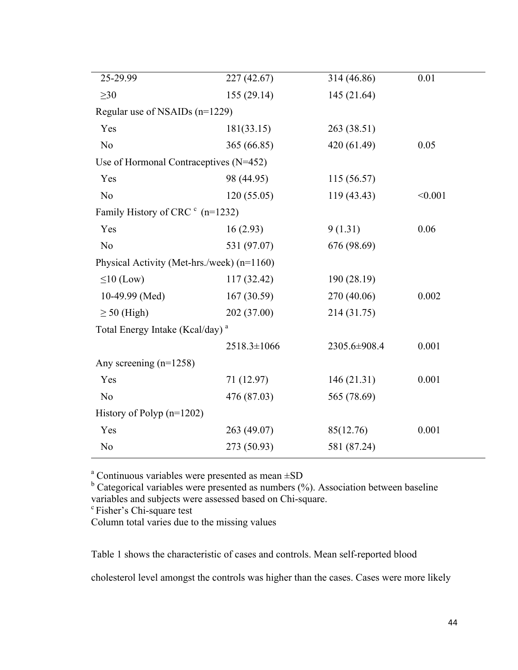| 25-29.99                                    | 227 (42.67) | 314 (46.86)  | 0.01    |
|---------------------------------------------|-------------|--------------|---------|
| $\geq 30$                                   | 155(29.14)  | 145 (21.64)  |         |
| Regular use of NSAIDs (n=1229)              |             |              |         |
| Yes                                         | 181(33.15)  | 263 (38.51)  |         |
| N <sub>o</sub>                              | 365 (66.85) | 420 (61.49)  | 0.05    |
| Use of Hormonal Contraceptives (N=452)      |             |              |         |
| Yes                                         | 98 (44.95)  | 115 (56.57)  |         |
| N <sub>o</sub>                              | 120(55.05)  | 119 (43.43)  | < 0.001 |
| Family History of CRC <sup>c</sup> (n=1232) |             |              |         |
| Yes                                         | 16(2.93)    | 9(1.31)      | 0.06    |
| N <sub>o</sub>                              | 531 (97.07) | 676 (98.69)  |         |
| Physical Activity (Met-hrs./week) (n=1160)  |             |              |         |
| $\leq 10$ (Low)                             | 117 (32.42) | 190 (28.19)  |         |
| 10-49.99 (Med)                              | 167(30.59)  | 270 (40.06)  | 0.002   |
| $\geq$ 50 (High)                            | 202 (37.00) | 214 (31.75)  |         |
| Total Energy Intake (Kcal/day) <sup>a</sup> |             |              |         |
|                                             | 2518.3±1066 | 2305.6±908.4 | 0.001   |
| Any screening $(n=1258)$                    |             |              |         |
| Yes                                         | 71 (12.97)  | 146(21.31)   | 0.001   |
| N <sub>0</sub>                              | 476 (87.03) | 565 (78.69)  |         |
| History of Polyp $(n=1202)$                 |             |              |         |
| Yes                                         | 263 (49.07) | 85(12.76)    | 0.001   |
| N <sub>0</sub>                              | 273 (50.93) | 581 (87.24)  |         |
|                                             |             |              |         |

 $a^a$  Continuous variables were presented as mean  $\pm SD$ 

 $b$  Categorical variables were presented as numbers (%). Association between baseline variables and subjects were assessed based on Chi-square.<br>
<sup>c</sup> Fisher's Chi-square test

Column total varies due to the missing values

Table 1 shows the characteristic of cases and controls. Mean self-reported blood

cholesterol level amongst the controls was higher than the cases. Cases were more likely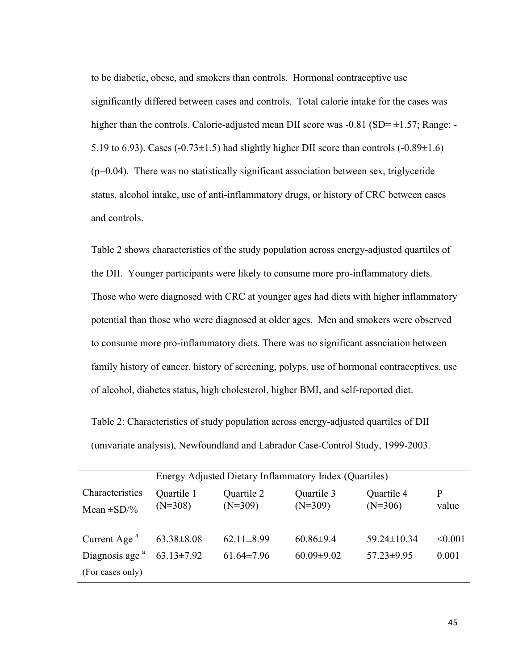to be diabetic, obese, and smokers than controls. Hormonal contraceptive use significantly differed between cases and controls. Total calorie intake for the cases was higher than the controls. Calorie-adjusted mean DII score was  $-0.81$  (SD= $\pm 1.57$ ; Range: -5.19 to 6.93). Cases  $(-0.73 \pm 1.5)$  had slightly higher DII score than controls  $(-0.89 \pm 1.6)$  $(p=0.04)$ . There was no statistically significant association between sex, triglyceride status, alcohol intake, use of anti-inflammatory drugs, or history of CRC between cases and controls.

Table 2 shows characteristics of the study population across energy-adjusted quartiles of the DII. Younger participants were likely to consume more pro-inflammatory diets. Those who were diagnosed with CRC at younger ages had diets with higher inflammatory potential than those who were diagnosed at older ages. Men and smokers were observed to consume more pro-inflammatory diets. There was no significant association between family history of cancer, history of screening, polyps, use of hormonal contraceptives, use of alcohol, diabetes status, high cholesterol, higher BMI, and self-reported diet.

Table 2: Characteristics of study population across energy-adjusted quartiles of DII (univariate analysis), Newfoundland and Labrador Case-Control Study, 1999-2003.

|                                    | Energy Adjusted Dietary Inflammatory Index (Quartiles) |                         |                         |                         |              |  |
|------------------------------------|--------------------------------------------------------|-------------------------|-------------------------|-------------------------|--------------|--|
| Characteristics<br>Mean $\pm$ SD/% | Quartile 1<br>$(N=308)$                                | Quartile 2<br>$(N=309)$ | Quartile 3<br>$(N=309)$ | Quartile 4<br>$(N=306)$ | P<br>value   |  |
| Current Age $a$                    | $63.38 \pm 8.08$                                       | $62.11 \pm 8.99$        | $60.86 \pm 9.4$         | $59.24 \pm 10.34$       | $\leq 0.001$ |  |
| Diagnosis age <sup>a</sup>         | $63.13 \pm 7.92$                                       | $61.64 \pm 7.96$        | $60.09 \pm 9.02$        | $57.23 \pm 9.95$        | 0.001        |  |
| (For cases only)                   |                                                        |                         |                         |                         |              |  |
|                                    |                                                        |                         |                         |                         |              |  |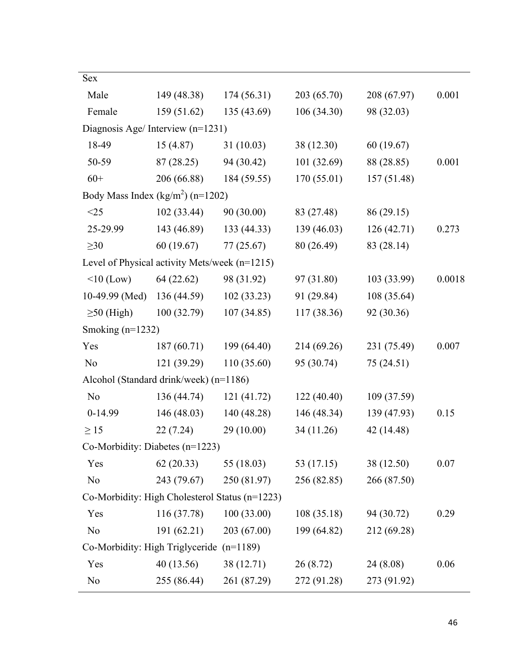| Sex                                            |             |              |             |             |        |
|------------------------------------------------|-------------|--------------|-------------|-------------|--------|
| Male                                           | 149 (48.38) | 174 (56.31)  | 203 (65.70) | 208 (67.97) | 0.001  |
| Female                                         | 159(51.62)  | 135 (43.69)  | 106(34.30)  | 98 (32.03)  |        |
| Diagnosis Age/Interview (n=1231)               |             |              |             |             |        |
| 18-49                                          | 15(4.87)    | 31(10.03)    | 38 (12.30)  | 60(19.67)   |        |
| 50-59                                          | 87(28.25)   | 94 (30.42)   | 101(32.69)  | 88 (28.85)  | 0.001  |
| $60+$                                          | 206 (66.88) | 184 (59.55)  | 170(55.01)  | 157 (51.48) |        |
| Body Mass Index $(kg/m^2)$ (n=1202)            |             |              |             |             |        |
| $<$ 25                                         | 102(33.44)  | 90(30.00)    | 83 (27.48)  | 86(29.15)   |        |
| 25-29.99                                       | 143 (46.89) | 133(44.33)   | 139(46.03)  | 126(42.71)  | 0.273  |
| $\geq 30$                                      | 60(19.67)   | 77(25.67)    | 80 (26.49)  | 83 (28.14)  |        |
| Level of Physical activity Mets/week (n=1215)  |             |              |             |             |        |
| $\leq 10$ (Low)                                | 64(22.62)   | 98 (31.92)   | 97 (31.80)  | 103 (33.99) | 0.0018 |
| 10-49.99 (Med)                                 | 136(44.59)  | 102(33.23)   | 91 (29.84)  | 108 (35.64) |        |
| $\geq$ 50 (High)                               | 100(32.79)  | 107(34.85)   | 117(38.36)  | 92 (30.36)  |        |
| Smoking $(n=1232)$                             |             |              |             |             |        |
| Yes                                            | 187(60.71)  | 199 (64.40)  | 214 (69.26) | 231 (75.49) | 0.007  |
| N <sub>o</sub>                                 | 121 (39.29) | 110 (35.60)  | 95 (30.74)  | 75(24.51)   |        |
| Alcohol (Standard drink/week) (n=1186)         |             |              |             |             |        |
| N <sub>0</sub>                                 | 136 (44.74) | 121(41.72)   | 122(40.40)  | 109 (37.59) |        |
| $0-14.99$                                      | 146(48.03)  | 140 (48.28)  | 146 (48.34) | 139 (47.93) | 0.15   |
| $\geq$ 15                                      | 22(7.24)    | 29 (10.00)   | 34 (11.26)  | 42 (14.48)  |        |
| Co-Morbidity: Diabetes $(n=1223)$              |             |              |             |             |        |
| Yes                                            | 62(20.33)   | 55 $(18.03)$ | 53 (17.15)  | 38 (12.50)  | 0.07   |
| N <sub>0</sub>                                 | 243 (79.67) | 250 (81.97)  | 256 (82.85) | 266 (87.50) |        |
| Co-Morbidity: High Cholesterol Status (n=1223) |             |              |             |             |        |
| Yes                                            | 116 (37.78) | 100(33.00)   | 108(35.18)  | 94 (30.72)  | 0.29   |
| N <sub>o</sub>                                 | 191 (62.21) | 203 (67.00)  | 199 (64.82) | 212 (69.28) |        |
| Co-Morbidity: High Triglyceride $(n=1189)$     |             |              |             |             |        |
| Yes                                            | 40(13.56)   | 38 (12.71)   | 26(8.72)    | 24 (8.08)   | 0.06   |
| N <sub>0</sub>                                 | 255 (86.44) | 261 (87.29)  | 272 (91.28) | 273 (91.92) |        |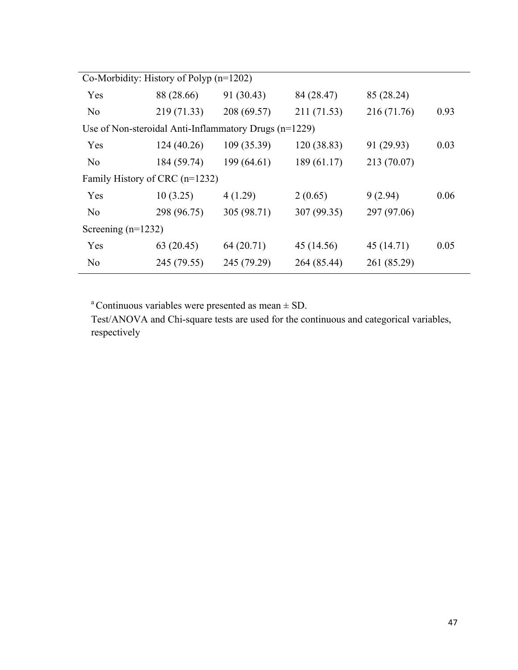| Co-Morbidity: History of Polyp $(n=1202)$ |             |                                                       |             |             |      |  |
|-------------------------------------------|-------------|-------------------------------------------------------|-------------|-------------|------|--|
| Yes                                       | 88 (28.66)  | 91 (30.43)                                            | 84 (28.47)  | 85 (28.24)  |      |  |
| N <sub>0</sub>                            | 219 (71.33) | 208 (69.57)                                           | 211 (71.53) | 216 (71.76) | 0.93 |  |
|                                           |             | Use of Non-steroidal Anti-Inflammatory Drugs (n=1229) |             |             |      |  |
| Yes                                       | 124(40.26)  | 109 (35.39)                                           | 120 (38.83) | 91 (29.93)  | 0.03 |  |
| N <sub>0</sub>                            | 184 (59.74) | 199(64.61)                                            | 189(61.17)  | 213 (70.07) |      |  |
| Family History of CRC (n=1232)            |             |                                                       |             |             |      |  |
| Yes                                       | 10(3.25)    | 4(1.29)                                               | 2(0.65)     | 9(2.94)     | 0.06 |  |
| N <sub>0</sub>                            | 298 (96.75) | 305 (98.71)                                           | 307 (99.35) | 297 (97.06) |      |  |
| Screening $(n=1232)$                      |             |                                                       |             |             |      |  |
| Yes                                       | 63(20.45)   | 64 (20.71)                                            | 45 (14.56)  | 45 (14.71)  | 0.05 |  |
| N <sub>0</sub>                            | 245 (79.55) | 245 (79.29)                                           | 264 (85.44) | 261 (85.29) |      |  |
|                                           |             |                                                       |             |             |      |  |

<sup>a</sup> Continuous variables were presented as mean  $\pm$  SD.

Test/ANOVA and Chi-square tests are used for the continuous and categorical variables, respectively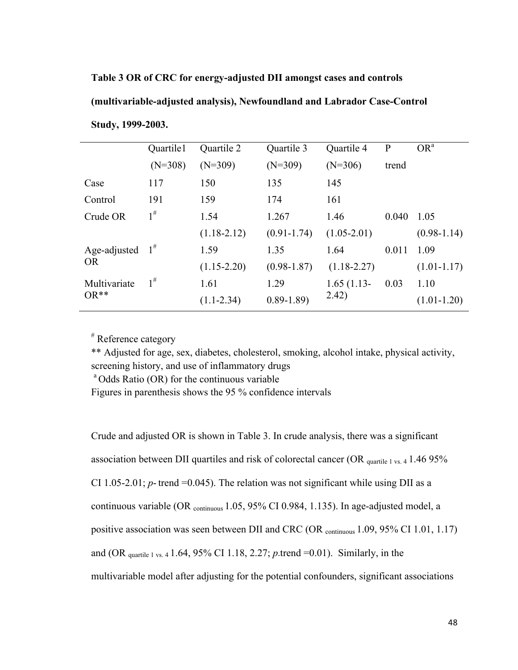# **Table 3 OR of CRC for energy-adjusted DII amongst cases and controls**

# **(multivariable-adjusted analysis), Newfoundland and Labrador Case-Control**

|              | Quartile1 | Quartile 2      | Quartile 3      | Quartile 4      | $\mathbf{P}$ | OR <sup>a</sup> |
|--------------|-----------|-----------------|-----------------|-----------------|--------------|-----------------|
|              | $(N=308)$ | $(N=309)$       | $(N=309)$       | $(N=306)$       | trend        |                 |
| Case         | 117       | 150             | 135             | 145             |              |                 |
| Control      | 191       | 159             | 174             | 161             |              |                 |
| Crude OR     | $1^{\#}$  | 1.54            | 1.267           | 1.46            | 0.040        | 1.05            |
|              |           | $(1.18-2.12)$   | $(0.91 - 1.74)$ | $(1.05 - 2.01)$ |              | $(0.98-1.14)$   |
| Age-adjusted | $1^{\#}$  | 1.59            | 1.35            | 1.64            | 0.011        | 1.09            |
| <b>OR</b>    |           | $(1.15 - 2.20)$ | $(0.98 - 1.87)$ | $(1.18 - 2.27)$ |              | $(1.01 - 1.17)$ |
| Multivariate | $1^{\#}$  | 1.61            | 1.29            | $1.65(1.13-$    | 0.03         | 1.10            |
| $OR**$       |           | $(1.1 - 2.34)$  | $0.89 - 1.89$   | 2.42)           |              | $(1.01 - 1.20)$ |
|              |           |                 |                 |                 |              |                 |

**Study, 1999-2003.**

# Reference category

\*\* Adjusted for age, sex, diabetes, cholesterol, smoking, alcohol intake, physical activity, screening history, and use of inflammatory drugs<br><sup>a</sup> Odds Ratio (OR) for the continuous variable

Figures in parenthesis shows the 95 % confidence intervals

Crude and adjusted OR is shown in Table 3. In crude analysis, there was a significant association between DII quartiles and risk of colorectal cancer (OR  $_{quartile 1 vs. 4}$  1.46 95%) CI 1.05-2.01;  $p$ - trend =0.045). The relation was not significant while using DII as a continuous variable (OR continuous 1.05, 95% CI 0.984, 1.135). In age-adjusted model, a positive association was seen between DII and CRC (OR continuous 1.09, 95% CI 1.01, 1.17) and (OR quartile 1 vs. 4 1.64, 95% CI 1.18, 2.27; *p*-trend =0.01). Similarly, in the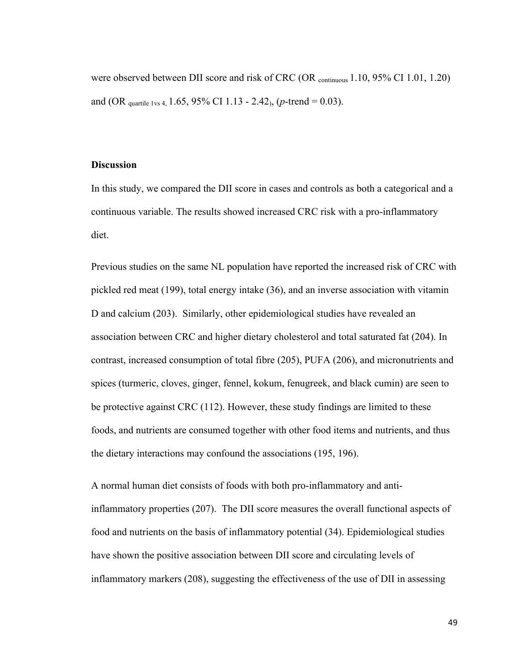were observed between DII score and risk of CRC (OR continuous 1.10, 95% CI 1.01, 1.20) and (OR quartile 1vs 4, 1.65, 95% CI 1.13 - 2.42), (*p*-trend = 0.03).

# **Discussion**

In this study, we compared the DII score in cases and controls as both a categorical and a continuous variable. The results showed increased CRC risk with a pro-inflammatory diet.

Previous studies on the same NL population have reported the increased risk of CRC with pickled red meat (199), total energy intake (36), and an inverse association with vitamin D and calcium (203). Similarly, other epidemiological studies have revealed an association between CRC and higher dietary cholesterol and total saturated fat (204). In contrast, increased consumption of total fibre (205), PUFA (206), and micronutrients and spices (turmeric, cloves, ginger, fennel, kokum, fenugreek, and black cumin) are seen to be protective against CRC (112). However, these study findings are limited to these foods, and nutrients are consumed together with other food items and nutrients, and thus the dietary interactions may confound the associations (195, 196).

A normal human diet consists of foods with both pro-inflammatory and antiinflammatory properties (207). The DII score measures the overall functional aspects of food and nutrients on the basis of inflammatory potential (34). Epidemiological studies have shown the positive association between DII score and circulating levels of inflammatory markers (208), suggesting the effectiveness of the use of DII in assessing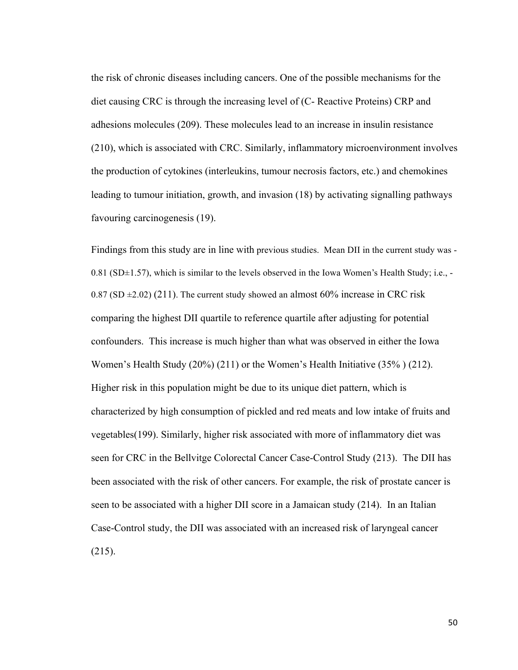the risk of chronic diseases including cancers. One of the possible mechanisms for the diet causing CRC is through the increasing level of (C- Reactive Proteins) CRP and adhesions molecules (209). These molecules lead to an increase in insulin resistance (210), which is associated with CRC. Similarly, inflammatory microenvironment involves the production of cytokines (interleukins, tumour necrosis factors, etc.) and chemokines leading to tumour initiation, growth, and invasion (18) by activating signalling pathways favouring carcinogenesis (19).

Findings from this study are in line with previous studies. Mean DII in the current study was -  $0.81$  (SD $\pm$ 1.57), which is similar to the levels observed in the Iowa Women's Health Study; i.e., -0.87 (SD  $\pm$ 2.02) (211). The current study showed an almost 60% increase in CRC risk comparing the highest DII quartile to reference quartile after adjusting for potential confounders. This increase is much higher than what was observed in either the Iowa Women's Health Study (20%) (211) or the Women's Health Initiative (35% ) (212). Higher risk in this population might be due to its unique diet pattern, which is characterized by high consumption of pickled and red meats and low intake of fruits and vegetables(199). Similarly, higher risk associated with more of inflammatory diet was seen for CRC in the Bellvitge Colorectal Cancer Case-Control Study (213). The DII has been associated with the risk of other cancers. For example, the risk of prostate cancer is seen to be associated with a higher DII score in a Jamaican study (214). In an Italian Case-Control study, the DII was associated with an increased risk of laryngeal cancer (215).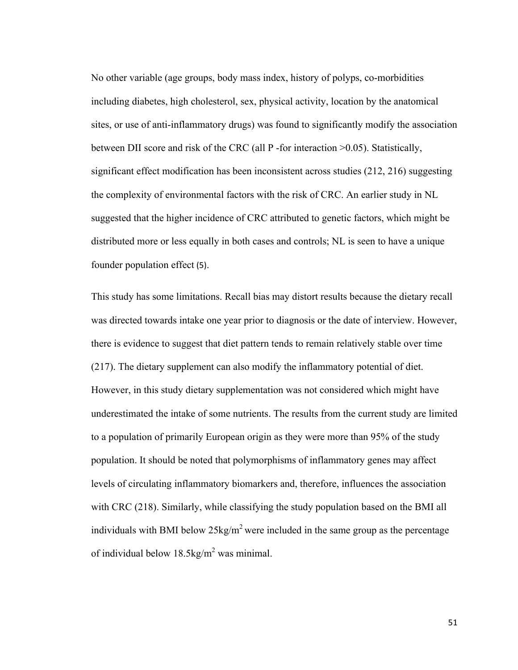No other variable (age groups, body mass index, history of polyps, co-morbidities including diabetes, high cholesterol, sex, physical activity, location by the anatomical sites, or use of anti-inflammatory drugs) was found to significantly modify the association between DII score and risk of the CRC (all P -for interaction >0.05). Statistically, significant effect modification has been inconsistent across studies (212, 216) suggesting the complexity of environmental factors with the risk of CRC. An earlier study in NL suggested that the higher incidence of CRC attributed to genetic factors, which might be distributed more or less equally in both cases and controls; NL is seen to have a unique founder population effect (5).

This study has some limitations. Recall bias may distort results because the dietary recall was directed towards intake one year prior to diagnosis or the date of interview. However, there is evidence to suggest that diet pattern tends to remain relatively stable over time (217). The dietary supplement can also modify the inflammatory potential of diet. However, in this study dietary supplementation was not considered which might have underestimated the intake of some nutrients. The results from the current study are limited to a population of primarily European origin as they were more than 95% of the study population. It should be noted that polymorphisms of inflammatory genes may affect levels of circulating inflammatory biomarkers and, therefore, influences the association with CRC (218). Similarly, while classifying the study population based on the BMI all individuals with BMI below  $25\text{kg/m}^2$  were included in the same group as the percentage of individual below  $18.5 \text{kg/m}^2$  was minimal.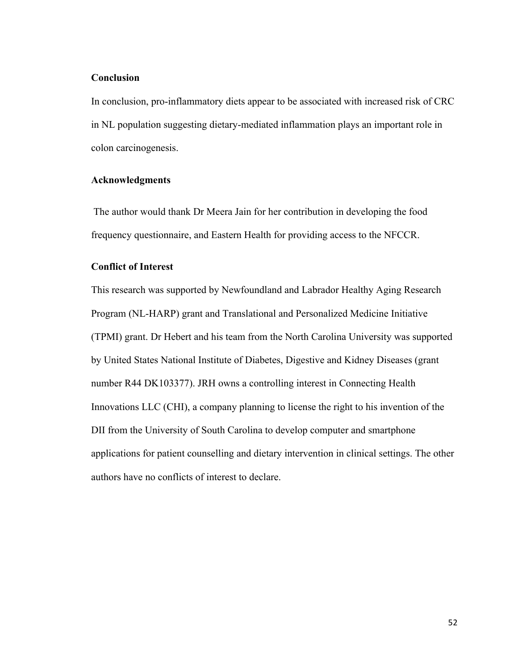# **Conclusion**

In conclusion, pro-inflammatory diets appear to be associated with increased risk of CRC in NL population suggesting dietary-mediated inflammation plays an important role in colon carcinogenesis.

# **Acknowledgments**

The author would thank Dr Meera Jain for her contribution in developing the food frequency questionnaire, and Eastern Health for providing access to the NFCCR.

# **Conflict of Interest**

This research was supported by Newfoundland and Labrador Healthy Aging Research Program (NL-HARP) grant and Translational and Personalized Medicine Initiative (TPMI) grant. Dr Hebert and his team from the North Carolina University was supported by United States National Institute of Diabetes, Digestive and Kidney Diseases (grant number R44 DK103377). JRH owns a controlling interest in Connecting Health Innovations LLC (CHI), a company planning to license the right to his invention of the DII from the University of South Carolina to develop computer and smartphone applications for patient counselling and dietary intervention in clinical settings. The other authors have no conflicts of interest to declare.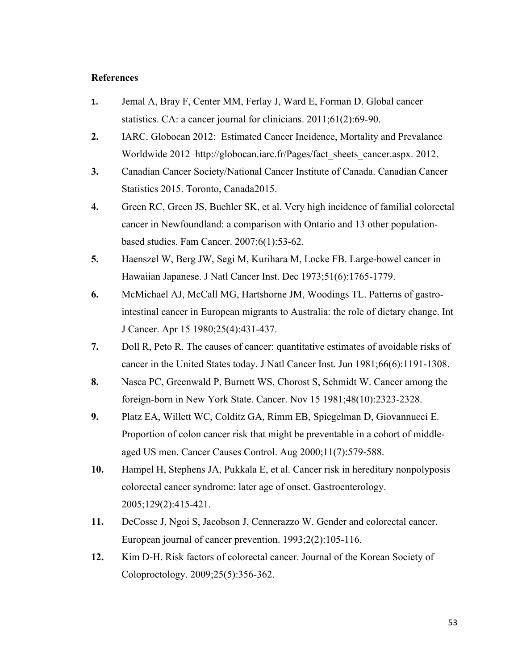# **References**

- **1.** Jemal A, Bray F, Center MM, Ferlay J, Ward E, Forman D. Global cancer statistics. CA: a cancer journal for clinicians. 2011;61(2):69-90.
- **2.** IARC. Globocan 2012: Estimated Cancer Incidence, Mortality and Prevalance Worldwide 2012 http://globocan.iarc.fr/Pages/fact\_sheets\_cancer.aspx. 2012.
- **3.** Canadian Cancer Society/National Cancer Institute of Canada. Canadian Cancer Statistics 2015. Toronto, Canada2015.
- **4.** Green RC, Green JS, Buehler SK, et al. Very high incidence of familial colorectal cancer in Newfoundland: a comparison with Ontario and 13 other populationbased studies. Fam Cancer. 2007;6(1):53-62.
- **5.** Haenszel W, Berg JW, Segi M, Kurihara M, Locke FB. Large-bowel cancer in Hawaiian Japanese. J Natl Cancer Inst. Dec 1973;51(6):1765-1779.
- **6.** McMichael AJ, McCall MG, Hartshorne JM, Woodings TL. Patterns of gastrointestinal cancer in European migrants to Australia: the role of dietary change. Int J Cancer. Apr 15 1980;25(4):431-437.
- **7.** Doll R, Peto R. The causes of cancer: quantitative estimates of avoidable risks of cancer in the United States today. J Natl Cancer Inst. Jun 1981;66(6):1191-1308.
- **8.** Nasca PC, Greenwald P, Burnett WS, Chorost S, Schmidt W. Cancer among the foreign-born in New York State. Cancer. Nov 15 1981;48(10):2323-2328.
- **9.** Platz EA, Willett WC, Colditz GA, Rimm EB, Spiegelman D, Giovannucci E. Proportion of colon cancer risk that might be preventable in a cohort of middleaged US men. Cancer Causes Control. Aug 2000;11(7):579-588.
- **10.** Hampel H, Stephens JA, Pukkala E, et al. Cancer risk in hereditary nonpolyposis colorectal cancer syndrome: later age of onset. Gastroenterology. 2005;129(2):415-421.
- **11.** DeCosse J, Ngoi S, Jacobson J, Cennerazzo W. Gender and colorectal cancer. European journal of cancer prevention. 1993;2(2):105-116.
- **12.** Kim D-H. Risk factors of colorectal cancer. Journal of the Korean Society of Coloproctology. 2009;25(5):356-362.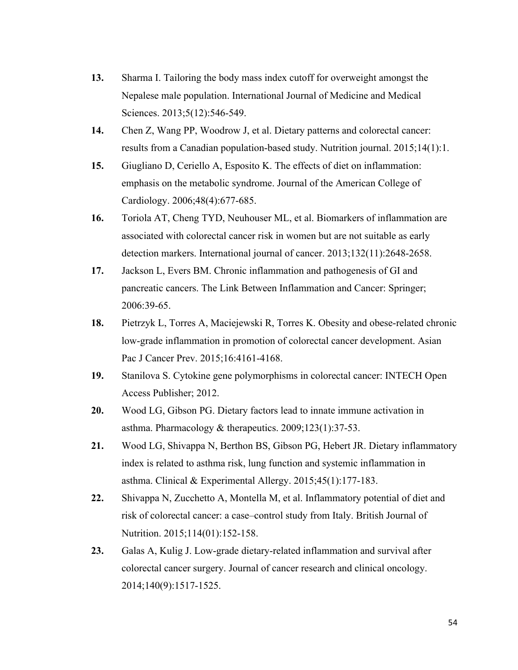- **13.** Sharma I. Tailoring the body mass index cutoff for overweight amongst the Nepalese male population. International Journal of Medicine and Medical Sciences. 2013;5(12):546-549.
- **14.** Chen Z, Wang PP, Woodrow J, et al. Dietary patterns and colorectal cancer: results from a Canadian population-based study. Nutrition journal. 2015;14(1):1.
- **15.** Giugliano D, Ceriello A, Esposito K. The effects of diet on inflammation: emphasis on the metabolic syndrome. Journal of the American College of Cardiology. 2006;48(4):677-685.
- **16.** Toriola AT, Cheng TYD, Neuhouser ML, et al. Biomarkers of inflammation are associated with colorectal cancer risk in women but are not suitable as early detection markers. International journal of cancer. 2013;132(11):2648-2658.
- **17.** Jackson L, Evers BM. Chronic inflammation and pathogenesis of GI and pancreatic cancers. The Link Between Inflammation and Cancer: Springer; 2006:39-65.
- **18.** Pietrzyk L, Torres A, Maciejewski R, Torres K. Obesity and obese-related chronic low-grade inflammation in promotion of colorectal cancer development. Asian Pac J Cancer Prev. 2015;16:4161-4168.
- **19.** Stanilova S. Cytokine gene polymorphisms in colorectal cancer: INTECH Open Access Publisher; 2012.
- **20.** Wood LG, Gibson PG. Dietary factors lead to innate immune activation in asthma. Pharmacology & therapeutics. 2009;123(1):37-53.
- **21.** Wood LG, Shivappa N, Berthon BS, Gibson PG, Hebert JR. Dietary inflammatory index is related to asthma risk, lung function and systemic inflammation in asthma. Clinical & Experimental Allergy. 2015;45(1):177-183.
- **22.** Shivappa N, Zucchetto A, Montella M, et al. Inflammatory potential of diet and risk of colorectal cancer: a case–control study from Italy. British Journal of Nutrition. 2015;114(01):152-158.
- **23.** Galas A, Kulig J. Low-grade dietary-related inflammation and survival after colorectal cancer surgery. Journal of cancer research and clinical oncology. 2014;140(9):1517-1525.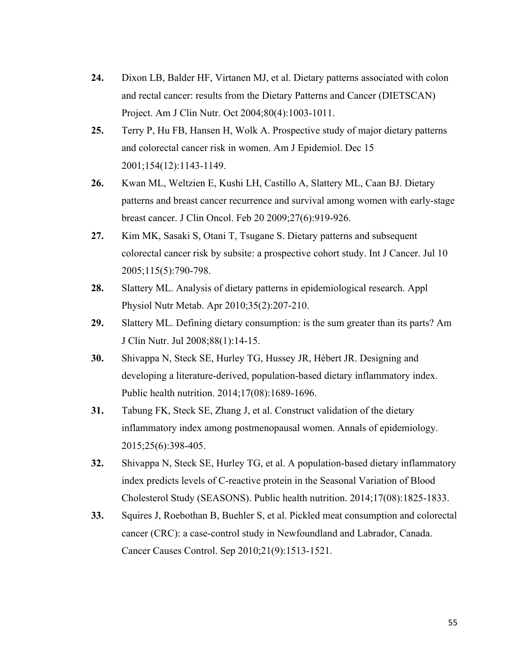- **24.** Dixon LB, Balder HF, Virtanen MJ, et al. Dietary patterns associated with colon and rectal cancer: results from the Dietary Patterns and Cancer (DIETSCAN) Project. Am J Clin Nutr. Oct 2004;80(4):1003-1011.
- **25.** Terry P, Hu FB, Hansen H, Wolk A. Prospective study of major dietary patterns and colorectal cancer risk in women. Am J Epidemiol. Dec 15 2001;154(12):1143-1149.
- **26.** Kwan ML, Weltzien E, Kushi LH, Castillo A, Slattery ML, Caan BJ. Dietary patterns and breast cancer recurrence and survival among women with early-stage breast cancer. J Clin Oncol. Feb 20 2009;27(6):919-926.
- **27.** Kim MK, Sasaki S, Otani T, Tsugane S. Dietary patterns and subsequent colorectal cancer risk by subsite: a prospective cohort study. Int J Cancer. Jul 10 2005;115(5):790-798.
- **28.** Slattery ML. Analysis of dietary patterns in epidemiological research. Appl Physiol Nutr Metab. Apr 2010;35(2):207-210.
- **29.** Slattery ML. Defining dietary consumption: is the sum greater than its parts? Am J Clin Nutr. Jul 2008;88(1):14-15.
- **30.** Shivappa N, Steck SE, Hurley TG, Hussey JR, Hébert JR. Designing and developing a literature-derived, population-based dietary inflammatory index. Public health nutrition. 2014;17(08):1689-1696.
- **31.** Tabung FK, Steck SE, Zhang J, et al. Construct validation of the dietary inflammatory index among postmenopausal women. Annals of epidemiology. 2015;25(6):398-405.
- **32.** Shivappa N, Steck SE, Hurley TG, et al. A population-based dietary inflammatory index predicts levels of C-reactive protein in the Seasonal Variation of Blood Cholesterol Study (SEASONS). Public health nutrition. 2014;17(08):1825-1833.
- **33.** Squires J, Roebothan B, Buehler S, et al. Pickled meat consumption and colorectal cancer (CRC): a case-control study in Newfoundland and Labrador, Canada. Cancer Causes Control. Sep 2010;21(9):1513-1521.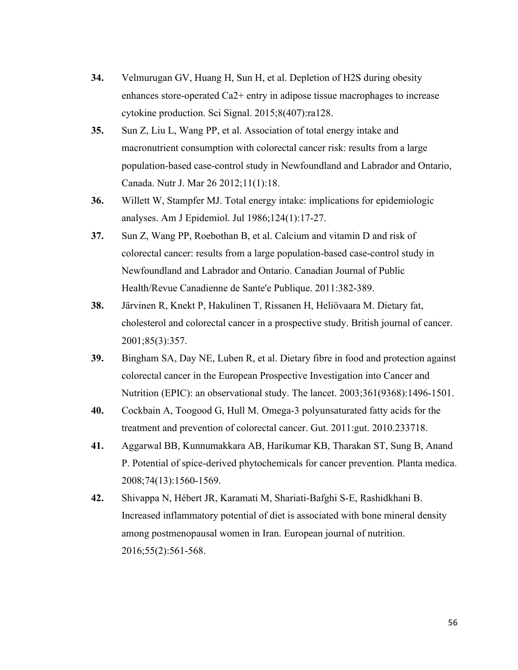- **34.** Velmurugan GV, Huang H, Sun H, et al. Depletion of H2S during obesity enhances store-operated Ca2+ entry in adipose tissue macrophages to increase cytokine production. Sci Signal. 2015;8(407):ra128.
- **35.** Sun Z, Liu L, Wang PP, et al. Association of total energy intake and macronutrient consumption with colorectal cancer risk: results from a large population-based case-control study in Newfoundland and Labrador and Ontario, Canada. Nutr J. Mar 26 2012;11(1):18.
- **36.** Willett W, Stampfer MJ. Total energy intake: implications for epidemiologic analyses. Am J Epidemiol. Jul 1986;124(1):17-27.
- **37.** Sun Z, Wang PP, Roebothan B, et al. Calcium and vitamin D and risk of colorectal cancer: results from a large population-based case-control study in Newfoundland and Labrador and Ontario. Canadian Journal of Public Health/Revue Canadienne de Sante'e Publique. 2011:382-389.
- **38.** Järvinen R, Knekt P, Hakulinen T, Rissanen H, Heliövaara M. Dietary fat, cholesterol and colorectal cancer in a prospective study. British journal of cancer. 2001;85(3):357.
- **39.** Bingham SA, Day NE, Luben R, et al. Dietary fibre in food and protection against colorectal cancer in the European Prospective Investigation into Cancer and Nutrition (EPIC): an observational study. The lancet. 2003;361(9368):1496-1501.
- **40.** Cockbain A, Toogood G, Hull M. Omega-3 polyunsaturated fatty acids for the treatment and prevention of colorectal cancer. Gut. 2011:gut. 2010.233718.
- **41.** Aggarwal BB, Kunnumakkara AB, Harikumar KB, Tharakan ST, Sung B, Anand P. Potential of spice-derived phytochemicals for cancer prevention. Planta medica. 2008;74(13):1560-1569.
- **42.** Shivappa N, Hébert JR, Karamati M, Shariati-Bafghi S-E, Rashidkhani B. Increased inflammatory potential of diet is associated with bone mineral density among postmenopausal women in Iran. European journal of nutrition. 2016;55(2):561-568.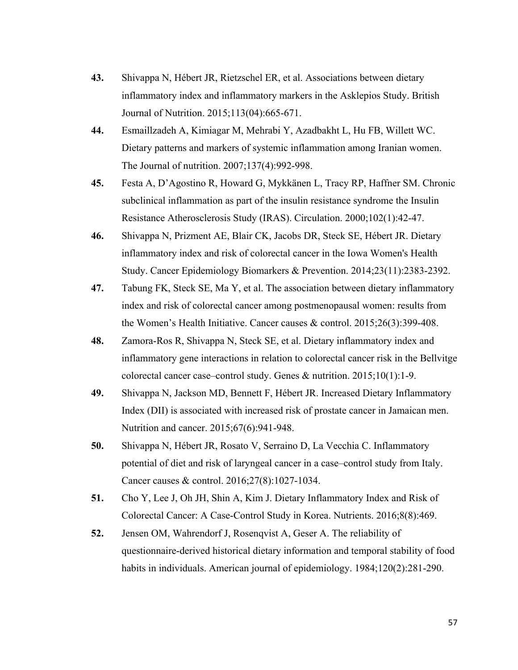- **43.** Shivappa N, Hébert JR, Rietzschel ER, et al. Associations between dietary inflammatory index and inflammatory markers in the Asklepios Study. British Journal of Nutrition. 2015;113(04):665-671.
- **44.** Esmaillzadeh A, Kimiagar M, Mehrabi Y, Azadbakht L, Hu FB, Willett WC. Dietary patterns and markers of systemic inflammation among Iranian women. The Journal of nutrition. 2007;137(4):992-998.
- **45.** Festa A, D'Agostino R, Howard G, Mykkänen L, Tracy RP, Haffner SM. Chronic subclinical inflammation as part of the insulin resistance syndrome the Insulin Resistance Atherosclerosis Study (IRAS). Circulation. 2000;102(1):42-47.
- **46.** Shivappa N, Prizment AE, Blair CK, Jacobs DR, Steck SE, Hébert JR. Dietary inflammatory index and risk of colorectal cancer in the Iowa Women's Health Study. Cancer Epidemiology Biomarkers & Prevention. 2014;23(11):2383-2392.
- **47.** Tabung FK, Steck SE, Ma Y, et al. The association between dietary inflammatory index and risk of colorectal cancer among postmenopausal women: results from the Women's Health Initiative. Cancer causes & control. 2015;26(3):399-408.
- **48.** Zamora-Ros R, Shivappa N, Steck SE, et al. Dietary inflammatory index and inflammatory gene interactions in relation to colorectal cancer risk in the Bellvitge colorectal cancer case–control study. Genes & nutrition. 2015;10(1):1-9.
- **49.** Shivappa N, Jackson MD, Bennett F, Hébert JR. Increased Dietary Inflammatory Index (DII) is associated with increased risk of prostate cancer in Jamaican men. Nutrition and cancer. 2015;67(6):941-948.
- **50.** Shivappa N, Hébert JR, Rosato V, Serraino D, La Vecchia C. Inflammatory potential of diet and risk of laryngeal cancer in a case–control study from Italy. Cancer causes & control. 2016;27(8):1027-1034.
- **51.** Cho Y, Lee J, Oh JH, Shin A, Kim J. Dietary Inflammatory Index and Risk of Colorectal Cancer: A Case-Control Study in Korea. Nutrients. 2016;8(8):469.
- **52.** Jensen OM, Wahrendorf J, Rosenqvist A, Geser A. The reliability of questionnaire-derived historical dietary information and temporal stability of food habits in individuals. American journal of epidemiology. 1984;120(2):281-290.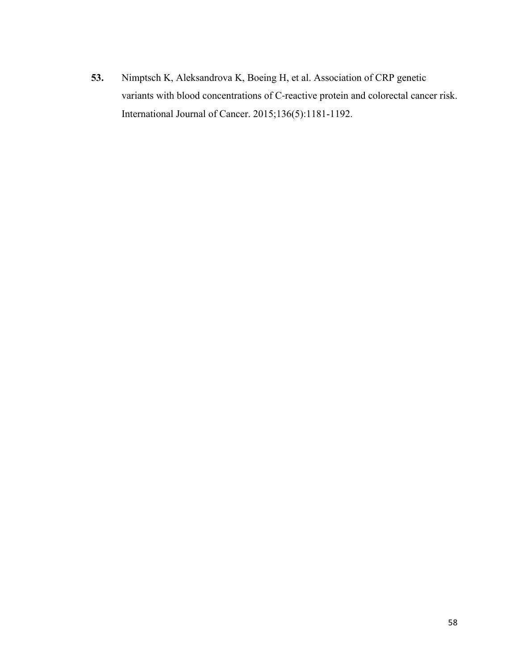**53.** Nimptsch K, Aleksandrova K, Boeing H, et al. Association of CRP genetic variants with blood concentrations of C-reactive protein and colorectal cancer risk. International Journal of Cancer. 2015;136(5):1181-1192.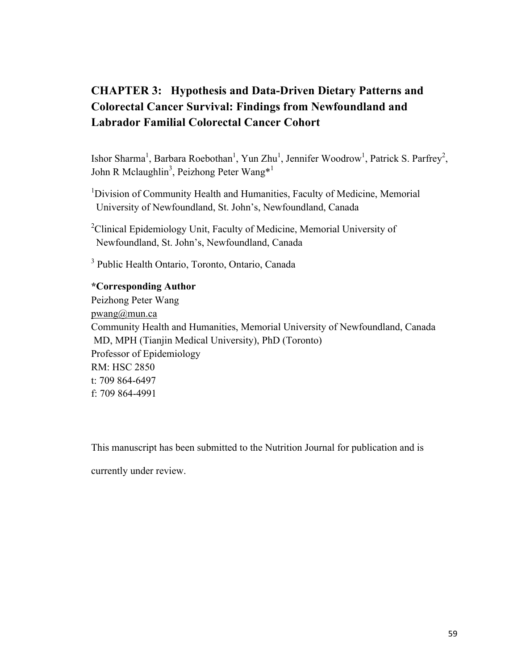# **CHAPTER 3: Hypothesis and Data-Driven Dietary Patterns and Colorectal Cancer Survival: Findings from Newfoundland and Labrador Familial Colorectal Cancer Cohort**

Ishor Sharma<sup>1</sup>, Barbara Roebothan<sup>1</sup>, Yun Zhu<sup>1</sup>, Jennifer Woodrow<sup>1</sup>, Patrick S. Parfrey<sup>2</sup>, John R Mclaughlin<sup>3</sup>, Peizhong Peter Wang<sup>\*1</sup>

<sup>1</sup>Division of Community Health and Humanities, Faculty of Medicine, Memorial University of Newfoundland, St. John's, Newfoundland, Canada

<sup>2</sup>Clinical Epidemiology Unit, Faculty of Medicine, Memorial University of Newfoundland, St. John's, Newfoundland, Canada

<sup>3</sup> Public Health Ontario, Toronto, Ontario, Canada

# **\*Corresponding Author**

Peizhong Peter Wang pwang@mun.ca Community Health and Humanities, Memorial University of Newfoundland, Canada MD, MPH (Tianjin Medical University), PhD (Toronto) Professor of Epidemiology RM: HSC 2850 t: 709 864-6497 f: 709 864-4991

This manuscript has been submitted to the Nutrition Journal for publication and is

currently under review.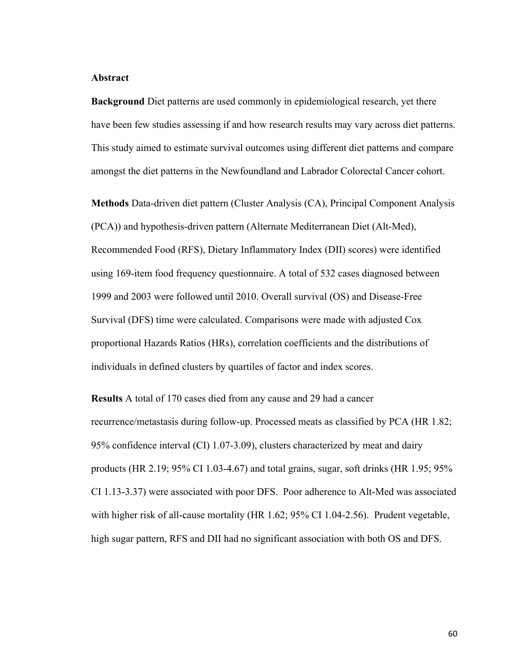#### **Abstract**

**Background** Diet patterns are used commonly in epidemiological research, yet there have been few studies assessing if and how research results may vary across diet patterns. This study aimed to estimate survival outcomes using different diet patterns and compare amongst the diet patterns in the Newfoundland and Labrador Colorectal Cancer cohort.

**Methods** Data-driven diet pattern (Cluster Analysis (CA), Principal Component Analysis (PCA)) and hypothesis-driven pattern (Alternate Mediterranean Diet (Alt-Med), Recommended Food (RFS), Dietary Inflammatory Index (DII) scores) were identified using 169-item food frequency questionnaire. A total of 532 cases diagnosed between 1999 and 2003 were followed until 2010. Overall survival (OS) and Disease-Free Survival (DFS) time were calculated. Comparisons were made with adjusted Cox proportional Hazards Ratios (HRs), correlation coefficients and the distributions of individuals in defined clusters by quartiles of factor and index scores.

**Results** A total of 170 cases died from any cause and 29 had a cancer recurrence/metastasis during follow-up. Processed meats as classified by PCA (HR 1.82; 95% confidence interval (CI) 1.07-3.09), clusters characterized by meat and dairy products (HR 2.19; 95% CI 1.03-4.67) and total grains, sugar, soft drinks (HR 1.95; 95% CI 1.13-3.37) were associated with poor DFS. Poor adherence to Alt-Med was associated with higher risk of all-cause mortality (HR 1.62; 95% CI 1.04-2.56). Prudent vegetable, high sugar pattern, RFS and DII had no significant association with both OS and DFS.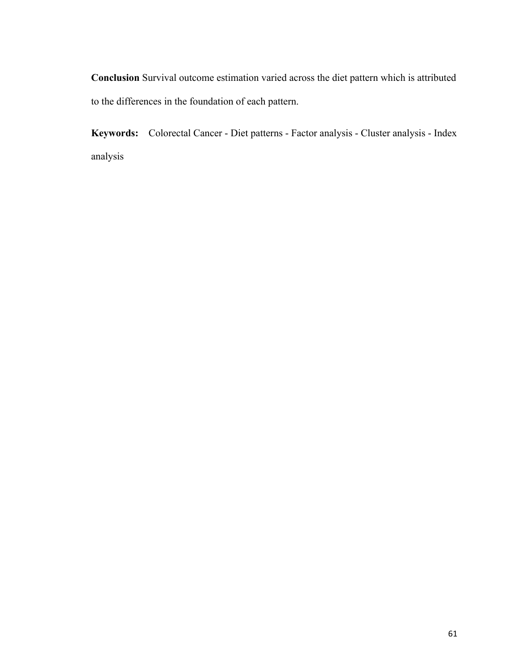**Conclusion** Survival outcome estimation varied across the diet pattern which is attributed to the differences in the foundation of each pattern.

**Keywords:** Colorectal Cancer - Diet patterns - Factor analysis - Cluster analysis - Index analysis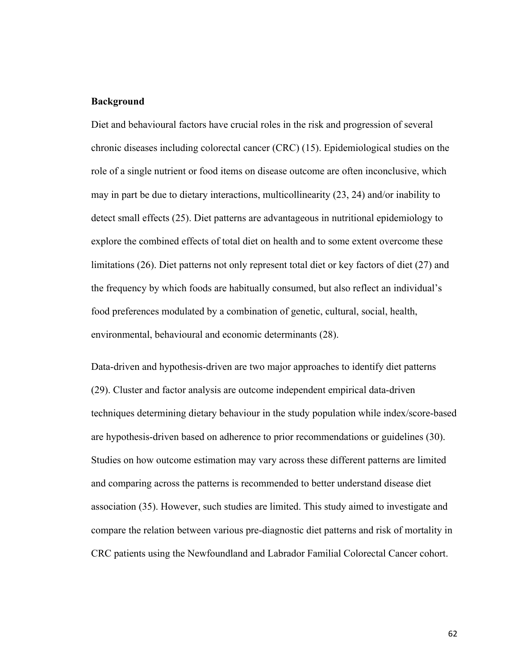## **Background**

Diet and behavioural factors have crucial roles in the risk and progression of several chronic diseases including colorectal cancer (CRC) (15). Epidemiological studies on the role of a single nutrient or food items on disease outcome are often inconclusive, which may in part be due to dietary interactions, multicollinearity (23, 24) and/or inability to detect small effects (25). Diet patterns are advantageous in nutritional epidemiology to explore the combined effects of total diet on health and to some extent overcome these limitations (26). Diet patterns not only represent total diet or key factors of diet (27) and the frequency by which foods are habitually consumed, but also reflect an individual's food preferences modulated by a combination of genetic, cultural, social, health, environmental, behavioural and economic determinants (28).

Data-driven and hypothesis-driven are two major approaches to identify diet patterns (29). Cluster and factor analysis are outcome independent empirical data-driven techniques determining dietary behaviour in the study population while index/score-based are hypothesis-driven based on adherence to prior recommendations or guidelines (30). Studies on how outcome estimation may vary across these different patterns are limited and comparing across the patterns is recommended to better understand disease diet association (35). However, such studies are limited. This study aimed to investigate and compare the relation between various pre-diagnostic diet patterns and risk of mortality in CRC patients using the Newfoundland and Labrador Familial Colorectal Cancer cohort.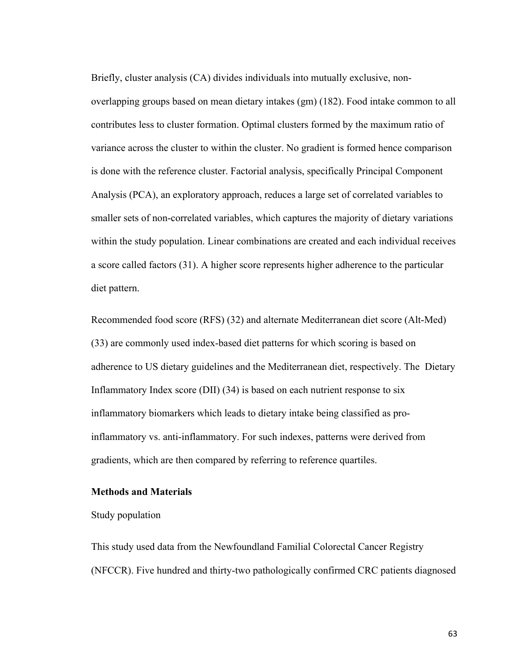Briefly, cluster analysis (CA) divides individuals into mutually exclusive, nonoverlapping groups based on mean dietary intakes (gm) (182). Food intake common to all contributes less to cluster formation. Optimal clusters formed by the maximum ratio of variance across the cluster to within the cluster. No gradient is formed hence comparison is done with the reference cluster. Factorial analysis, specifically Principal Component Analysis (PCA), an exploratory approach, reduces a large set of correlated variables to smaller sets of non-correlated variables, which captures the majority of dietary variations within the study population. Linear combinations are created and each individual receives a score called factors (31). A higher score represents higher adherence to the particular diet pattern.

Recommended food score (RFS) (32) and alternate Mediterranean diet score (Alt-Med) (33) are commonly used index-based diet patterns for which scoring is based on adherence to US dietary guidelines and the Mediterranean diet, respectively. The Dietary Inflammatory Index score (DII) (34) is based on each nutrient response to six inflammatory biomarkers which leads to dietary intake being classified as proinflammatory vs. anti-inflammatory. For such indexes, patterns were derived from gradients, which are then compared by referring to reference quartiles.

# **Methods and Materials**

Study population

This study used data from the Newfoundland Familial Colorectal Cancer Registry (NFCCR). Five hundred and thirty-two pathologically confirmed CRC patients diagnosed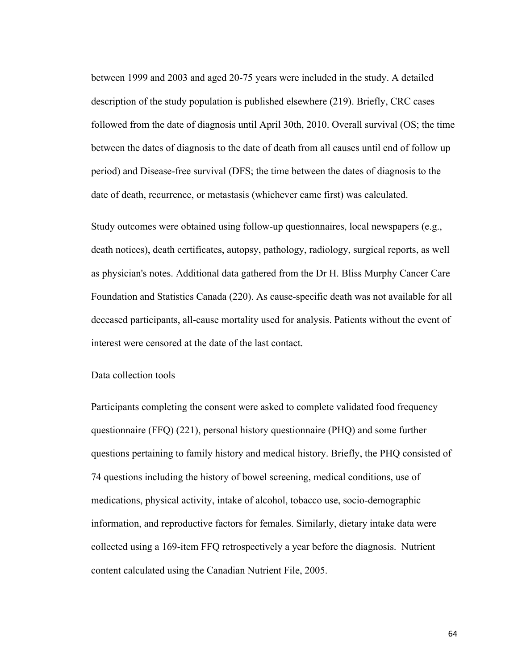between 1999 and 2003 and aged 20-75 years were included in the study. A detailed description of the study population is published elsewhere (219). Briefly, CRC cases followed from the date of diagnosis until April 30th, 2010. Overall survival (OS; the time between the dates of diagnosis to the date of death from all causes until end of follow up period) and Disease-free survival (DFS; the time between the dates of diagnosis to the date of death, recurrence, or metastasis (whichever came first) was calculated.

Study outcomes were obtained using follow-up questionnaires, local newspapers (e.g., death notices), death certificates, autopsy, pathology, radiology, surgical reports, as well as physician's notes. Additional data gathered from the Dr H. Bliss Murphy Cancer Care Foundation and Statistics Canada (220). As cause-specific death was not available for all deceased participants, all-cause mortality used for analysis. Patients without the event of interest were censored at the date of the last contact.

# Data collection tools

Participants completing the consent were asked to complete validated food frequency questionnaire (FFQ) (221), personal history questionnaire (PHQ) and some further questions pertaining to family history and medical history. Briefly, the PHQ consisted of 74 questions including the history of bowel screening, medical conditions, use of medications, physical activity, intake of alcohol, tobacco use, socio-demographic information, and reproductive factors for females. Similarly, dietary intake data were collected using a 169-item FFQ retrospectively a year before the diagnosis. Nutrient content calculated using the Canadian Nutrient File, 2005.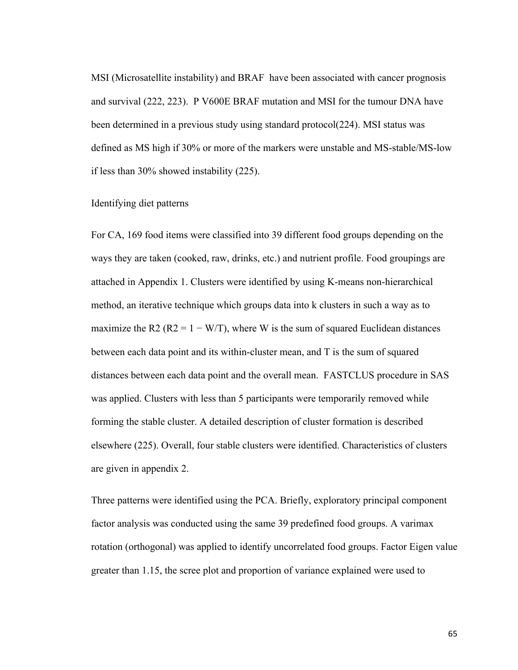MSI (Microsatellite instability) and BRAF have been associated with cancer prognosis and survival (222, 223). P V600E BRAF mutation and MSI for the tumour DNA have been determined in a previous study using standard protocol(224). MSI status was defined as MS high if 30% or more of the markers were unstable and MS-stable/MS-low if less than 30% showed instability (225).

### Identifying diet patterns

For CA, 169 food items were classified into 39 different food groups depending on the ways they are taken (cooked, raw, drinks, etc.) and nutrient profile. Food groupings are attached in Appendix 1. Clusters were identified by using K-means non-hierarchical method, an iterative technique which groups data into k clusters in such a way as to maximize the R2 ( $R2 = 1 - W/T$ ), where W is the sum of squared Euclidean distances between each data point and its within-cluster mean, and T is the sum of squared distances between each data point and the overall mean. FASTCLUS procedure in SAS was applied. Clusters with less than 5 participants were temporarily removed while forming the stable cluster. A detailed description of cluster formation is described elsewhere (225). Overall, four stable clusters were identified. Characteristics of clusters are given in appendix 2.

Three patterns were identified using the PCA. Briefly, exploratory principal component factor analysis was conducted using the same 39 predefined food groups. A varimax rotation (orthogonal) was applied to identify uncorrelated food groups. Factor Eigen value greater than 1.15, the scree plot and proportion of variance explained were used to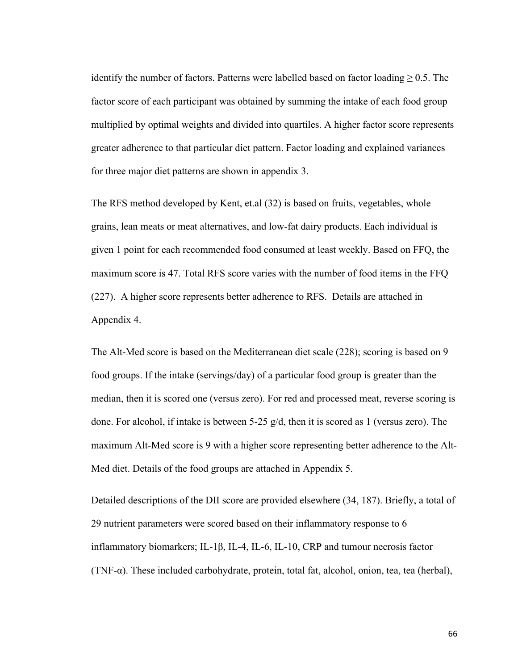identify the number of factors. Patterns were labelled based on factor loading  $\geq 0.5$ . The factor score of each participant was obtained by summing the intake of each food group multiplied by optimal weights and divided into quartiles. A higher factor score represents greater adherence to that particular diet pattern. Factor loading and explained variances for three major diet patterns are shown in appendix 3.

The RFS method developed by Kent, et.al (32) is based on fruits, vegetables, whole grains, lean meats or meat alternatives, and low-fat dairy products. Each individual is given 1 point for each recommended food consumed at least weekly. Based on FFQ, the maximum score is 47. Total RFS score varies with the number of food items in the FFQ (227). A higher score represents better adherence to RFS. Details are attached in Appendix 4.

The Alt-Med score is based on the Mediterranean diet scale (228); scoring is based on 9 food groups. If the intake (servings/day) of a particular food group is greater than the median, then it is scored one (versus zero). For red and processed meat, reverse scoring is done. For alcohol, if intake is between 5-25 g/d, then it is scored as 1 (versus zero). The maximum Alt-Med score is 9 with a higher score representing better adherence to the Alt-Med diet. Details of the food groups are attached in Appendix 5.

Detailed descriptions of the DII score are provided elsewhere (34, 187). Briefly, a total of 29 nutrient parameters were scored based on their inflammatory response to 6 inflammatory biomarkers; IL-1β, IL-4, IL-6, IL-10, CRP and tumour necrosis factor (TNF-α). These included carbohydrate, protein, total fat, alcohol, onion, tea, tea (herbal),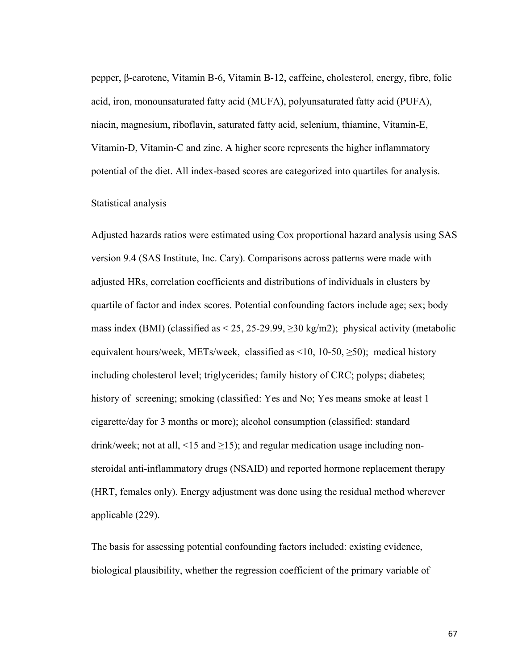pepper, β-carotene, Vitamin B-6, Vitamin B-12, caffeine, cholesterol, energy, fibre, folic acid, iron, monounsaturated fatty acid (MUFA), polyunsaturated fatty acid (PUFA), niacin, magnesium, riboflavin, saturated fatty acid, selenium, thiamine, Vitamin-E, Vitamin-D, Vitamin-C and zinc. A higher score represents the higher inflammatory potential of the diet. All index-based scores are categorized into quartiles for analysis.

### Statistical analysis

Adjusted hazards ratios were estimated using Cox proportional hazard analysis using SAS version 9.4 (SAS Institute, Inc. Cary). Comparisons across patterns were made with adjusted HRs, correlation coefficients and distributions of individuals in clusters by quartile of factor and index scores. Potential confounding factors include age; sex; body mass index (BMI) (classified as  $\leq$  25, 25-29.99,  $\geq$  30 kg/m2); physical activity (metabolic equivalent hours/week, METs/week, classified as  $\leq 10$ , 10-50,  $\geq 50$ ); medical history including cholesterol level; triglycerides; family history of CRC; polyps; diabetes; history of screening; smoking (classified: Yes and No; Yes means smoke at least 1 cigarette/day for 3 months or more); alcohol consumption (classified: standard drink/week; not at all, <15 and  $\geq$ 15); and regular medication usage including nonsteroidal anti-inflammatory drugs (NSAID) and reported hormone replacement therapy (HRT, females only). Energy adjustment was done using the residual method wherever applicable (229).

The basis for assessing potential confounding factors included: existing evidence, biological plausibility, whether the regression coefficient of the primary variable of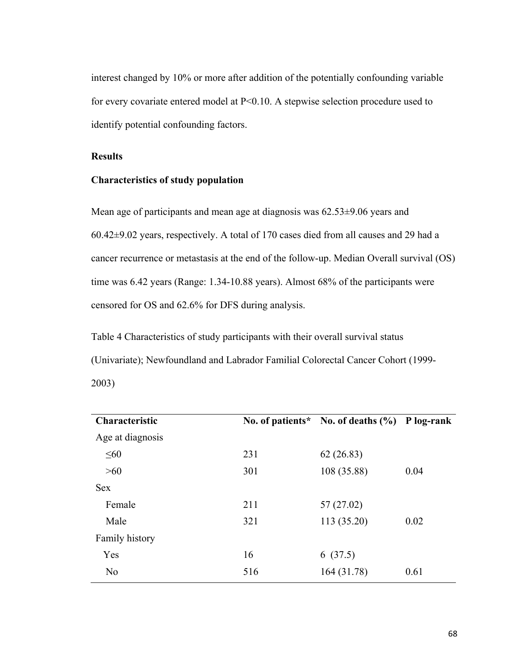interest changed by 10% or more after addition of the potentially confounding variable for every covariate entered model at P<0.10. A stepwise selection procedure used to identify potential confounding factors.

## **Results**

## **Characteristics of study population**

Mean age of participants and mean age at diagnosis was 62.53±9.06 years and 60.42±9.02 years, respectively. A total of 170 cases died from all causes and 29 had a cancer recurrence or metastasis at the end of the follow-up. Median Overall survival (OS) time was 6.42 years (Range: 1.34-10.88 years). Almost 68% of the participants were censored for OS and 62.6% for DFS during analysis.

Table 4 Characteristics of study participants with their overall survival status (Univariate); Newfoundland and Labrador Familial Colorectal Cancer Cohort (1999- 2003)

| Characteristic   |     | No. of patients* No. of deaths (%) P log-rank |      |
|------------------|-----|-----------------------------------------------|------|
| Age at diagnosis |     |                                               |      |
| $\leq 60$        | 231 | 62(26.83)                                     |      |
| >60              | 301 | 108 (35.88)                                   | 0.04 |
| <b>Sex</b>       |     |                                               |      |
| Female           | 211 | 57 (27.02)                                    |      |
| Male             | 321 | 113 (35.20)                                   | 0.02 |
| Family history   |     |                                               |      |
| Yes              | 16  | 6(37.5)                                       |      |
| N <sub>0</sub>   | 516 | 164 (31.78)                                   | 0.61 |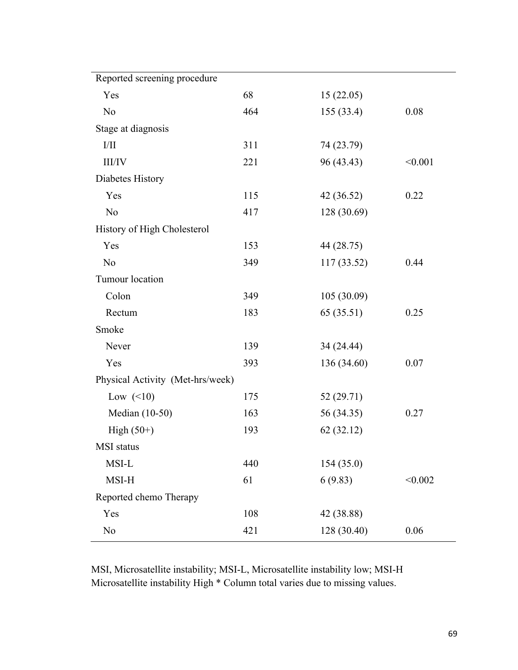| Reported screening procedure     |     |             |         |
|----------------------------------|-----|-------------|---------|
| Yes                              | 68  | 15(22.05)   |         |
| N <sub>o</sub>                   | 464 | 155(33.4)   | 0.08    |
| Stage at diagnosis               |     |             |         |
| I/II                             | 311 | 74 (23.79)  |         |
| <b>III/IV</b>                    | 221 | 96 (43.43)  | < 0.001 |
| Diabetes History                 |     |             |         |
| Yes                              | 115 | 42 (36.52)  | 0.22    |
| N <sub>o</sub>                   | 417 | 128 (30.69) |         |
| History of High Cholesterol      |     |             |         |
| Yes                              | 153 | 44 (28.75)  |         |
| N <sub>o</sub>                   | 349 | 117(33.52)  | 0.44    |
| Tumour location                  |     |             |         |
| Colon                            | 349 | 105 (30.09) |         |
| Rectum                           | 183 | 65(35.51)   | 0.25    |
| Smoke                            |     |             |         |
| Never                            | 139 | 34 (24.44)  |         |
| Yes                              | 393 | 136 (34.60) | 0.07    |
| Physical Activity (Met-hrs/week) |     |             |         |
| Low $(\leq 10)$                  | 175 | 52 (29.71)  |         |
| Median (10-50)                   | 163 | 56 (34.35)  | 0.27    |
| High $(50+)$                     | 193 | 62(32.12)   |         |
| MSI status                       |     |             |         |
| MSI-L                            | 440 | 154(35.0)   |         |
| MSI-H                            | 61  | 6(9.83)     | < 0.002 |
| Reported chemo Therapy           |     |             |         |
| Yes                              | 108 | 42 (38.88)  |         |
| N <sub>o</sub>                   | 421 | 128 (30.40) | 0.06    |

MSI, Microsatellite instability; MSI-L, Microsatellite instability low; MSI-H Microsatellite instability High \* Column total varies due to missing values.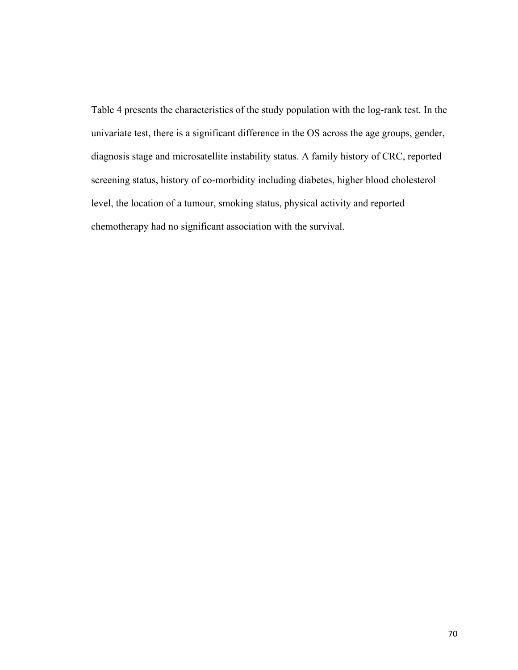Table 4 presents the characteristics of the study population with the log-rank test. In the univariate test, there is a significant difference in the OS across the age groups, gender, diagnosis stage and microsatellite instability status. A family history of CRC, reported screening status, history of co-morbidity including diabetes, higher blood cholesterol level, the location of a tumour, smoking status, physical activity and reported chemotherapy had no significant association with the survival.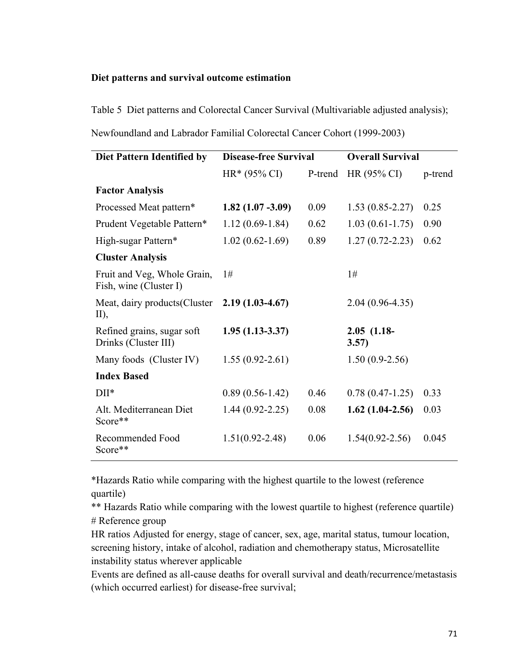## **Diet patterns and survival outcome estimation**

Table 5 Diet patterns and Colorectal Cancer Survival (Multivariable adjusted analysis); Newfoundland and Labrador Familial Colorectal Cancer Cohort (1999-2003)

| Diet Pattern Identified by                            | <b>Disease-free Survival</b> |         | <b>Overall Survival</b> |         |
|-------------------------------------------------------|------------------------------|---------|-------------------------|---------|
|                                                       | $HR*(95\% CI)$               | P-trend | $HR(95\% CI)$           | p-trend |
| <b>Factor Analysis</b>                                |                              |         |                         |         |
| Processed Meat pattern*                               | $1.82(1.07 - 3.09)$          | 0.09    | $1.53(0.85 - 2.27)$     | 0.25    |
| Prudent Vegetable Pattern*                            | $1.12(0.69-1.84)$            | 0.62    | $1.03(0.61-1.75)$       | 0.90    |
| High-sugar Pattern*                                   | $1.02(0.62 - 1.69)$          | 0.89    | $1.27(0.72 - 2.23)$     | 0.62    |
| <b>Cluster Analysis</b>                               |                              |         |                         |         |
| Fruit and Veg, Whole Grain,<br>Fish, wine (Cluster I) | 1#                           |         | 1#                      |         |
| Meat, dairy products (Cluster<br>$II$ ,               | $2.19(1.03-4.67)$            |         | $2.04(0.96-4.35)$       |         |
| Refined grains, sugar soft<br>Drinks (Cluster III)    | $1.95(1.13-3.37)$            |         | $2.05$ (1.18-<br>3.57)  |         |
| Many foods (Cluster IV)                               | $1.55(0.92 - 2.61)$          |         | $1.50(0.9-2.56)$        |         |
| <b>Index Based</b>                                    |                              |         |                         |         |
| $DII^*$                                               | $0.89(0.56 - 1.42)$          | 0.46    | $0.78(0.47-1.25)$       | 0.33    |
| Alt. Mediterranean Diet<br>Score**                    | $1.44(0.92 - 2.25)$          | 0.08    | $1.62(1.04-2.56)$       | 0.03    |
| Recommended Food<br>Score**                           | $1.51(0.92 - 2.48)$          | 0.06    | $1.54(0.92 - 2.56)$     | 0.045   |

\*Hazards Ratio while comparing with the highest quartile to the lowest (reference quartile)

\*\* Hazards Ratio while comparing with the lowest quartile to highest (reference quartile) # Reference group

HR ratios Adjusted for energy, stage of cancer, sex, age, marital status, tumour location, screening history, intake of alcohol, radiation and chemotherapy status, Microsatellite instability status wherever applicable

Events are defined as all-cause deaths for overall survival and death/recurrence/metastasis (which occurred earliest) for disease-free survival;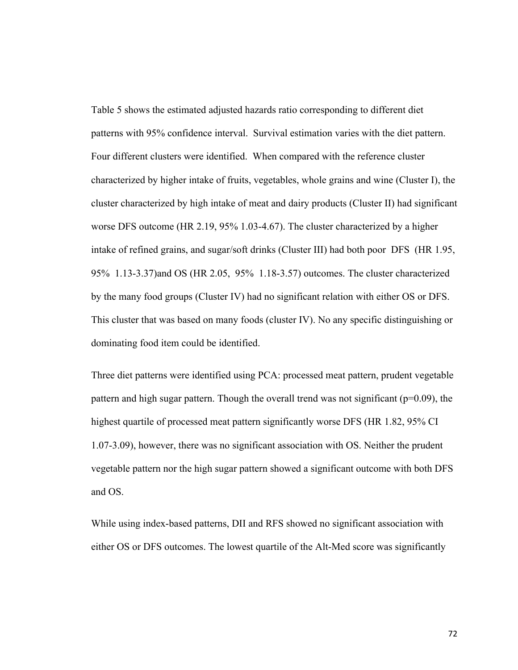Table 5 shows the estimated adjusted hazards ratio corresponding to different diet patterns with 95% confidence interval. Survival estimation varies with the diet pattern. Four different clusters were identified. When compared with the reference cluster characterized by higher intake of fruits, vegetables, whole grains and wine (Cluster I), the cluster characterized by high intake of meat and dairy products (Cluster II) had significant worse DFS outcome (HR 2.19, 95% 1.03-4.67). The cluster characterized by a higher intake of refined grains, and sugar/soft drinks (Cluster III) had both poor DFS (HR 1.95, 95% 1.13-3.37)and OS (HR 2.05, 95% 1.18-3.57) outcomes. The cluster characterized by the many food groups (Cluster IV) had no significant relation with either OS or DFS. This cluster that was based on many foods (cluster IV). No any specific distinguishing or dominating food item could be identified.

Three diet patterns were identified using PCA: processed meat pattern, prudent vegetable pattern and high sugar pattern. Though the overall trend was not significant ( $p=0.09$ ), the highest quartile of processed meat pattern significantly worse DFS (HR 1.82, 95% CI 1.07-3.09), however, there was no significant association with OS. Neither the prudent vegetable pattern nor the high sugar pattern showed a significant outcome with both DFS and OS.

While using index-based patterns, DII and RFS showed no significant association with either OS or DFS outcomes. The lowest quartile of the Alt-Med score was significantly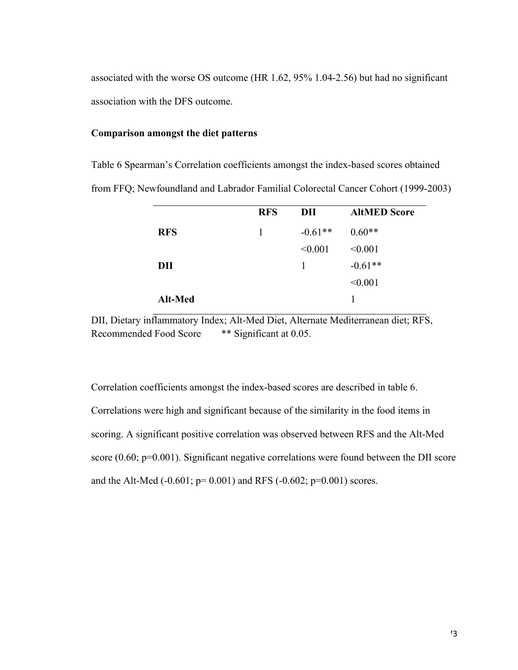associated with the worse OS outcome (HR 1.62, 95% 1.04-2.56) but had no significant association with the DFS outcome.

### **Comparison amongst the diet patterns**

Table 6 Spearman's Correlation coefficients amongst the index-based scores obtained from FFQ; Newfoundland and Labrador Familial Colorectal Cancer Cohort (1999-2003)

|            | <b>RFS</b> | DII       | <b>AltMED Score</b> |
|------------|------------|-----------|---------------------|
| <b>RFS</b> | 1          | $-0.61**$ | $0.60**$            |
|            |            | < 0.001   | < 0.001             |
| DII        |            | 1         | $-0.61**$           |
|            |            |           | < 0.001             |
| Alt-Med    |            |           | 1                   |

DII, Dietary inflammatory Index; Alt-Med Diet, Alternate Mediterranean diet; RFS, Recommended Food Score \*\* Significant at 0.05.

Correlation coefficients amongst the index-based scores are described in table 6. Correlations were high and significant because of the similarity in the food items in scoring. A significant positive correlation was observed between RFS and the Alt-Med score (0.60; p=0.001). Significant negative correlations were found between the DII score and the Alt-Med  $(-0.601; p= 0.001)$  and RFS  $(-0.602; p=0.001)$  scores.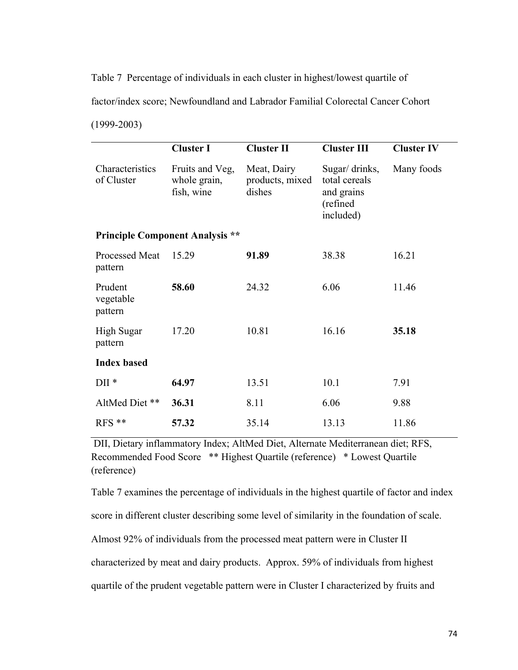Table 7 Percentage of individuals in each cluster in highest/lowest quartile of factor/index score; Newfoundland and Labrador Familial Colorectal Cancer Cohort (1999-2003)

|                                        | <b>Cluster I</b>                              | <b>Cluster II</b>                        | <b>Cluster III</b>                                                     | <b>Cluster IV</b> |  |
|----------------------------------------|-----------------------------------------------|------------------------------------------|------------------------------------------------------------------------|-------------------|--|
| Characteristics<br>of Cluster          | Fruits and Veg,<br>whole grain,<br>fish, wine | Meat, Dairy<br>products, mixed<br>dishes | Sugar/ drinks,<br>total cereals<br>and grains<br>(refined<br>included) | Many foods        |  |
| <b>Principle Component Analysis **</b> |                                               |                                          |                                                                        |                   |  |
| <b>Processed Meat</b><br>pattern       | 15.29                                         | 91.89                                    | 38.38                                                                  | 16.21             |  |
| Prudent<br>vegetable<br>pattern        | 58.60                                         | 24.32                                    | 6.06                                                                   | 11.46             |  |
| <b>High Sugar</b><br>pattern           | 17.20                                         | 10.81                                    | 16.16                                                                  | 35.18             |  |
| <b>Index based</b>                     |                                               |                                          |                                                                        |                   |  |
| $DII*$                                 | 64.97                                         | 13.51                                    | 10.1                                                                   | 7.91              |  |
| AltMed Diet **                         | 36.31                                         | 8.11                                     | 6.06                                                                   | 9.88              |  |
| $RFS$ **                               | 57.32                                         | 35.14                                    | 13.13                                                                  | 11.86             |  |

DII, Dietary inflammatory Index; AltMed Diet, Alternate Mediterranean diet; RFS, Recommended Food Score \*\* Highest Quartile (reference) \* Lowest Quartile (reference)

Table 7 examines the percentage of individuals in the highest quartile of factor and index score in different cluster describing some level of similarity in the foundation of scale. Almost 92% of individuals from the processed meat pattern were in Cluster II characterized by meat and dairy products. Approx. 59% of individuals from highest quartile of the prudent vegetable pattern were in Cluster I characterized by fruits and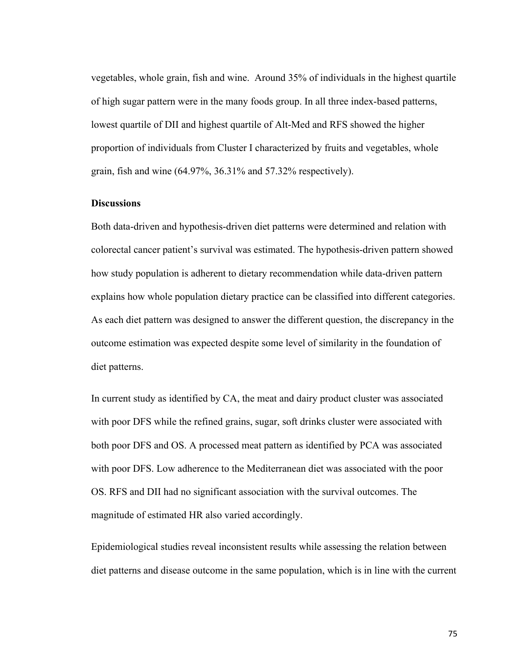vegetables, whole grain, fish and wine. Around 35% of individuals in the highest quartile of high sugar pattern were in the many foods group. In all three index-based patterns, lowest quartile of DII and highest quartile of Alt-Med and RFS showed the higher proportion of individuals from Cluster I characterized by fruits and vegetables, whole grain, fish and wine (64.97%, 36.31% and 57.32% respectively).

#### **Discussions**

Both data-driven and hypothesis-driven diet patterns were determined and relation with colorectal cancer patient's survival was estimated. The hypothesis-driven pattern showed how study population is adherent to dietary recommendation while data-driven pattern explains how whole population dietary practice can be classified into different categories. As each diet pattern was designed to answer the different question, the discrepancy in the outcome estimation was expected despite some level of similarity in the foundation of diet patterns.

In current study as identified by CA, the meat and dairy product cluster was associated with poor DFS while the refined grains, sugar, soft drinks cluster were associated with both poor DFS and OS. A processed meat pattern as identified by PCA was associated with poor DFS. Low adherence to the Mediterranean diet was associated with the poor OS. RFS and DII had no significant association with the survival outcomes. The magnitude of estimated HR also varied accordingly.

Epidemiological studies reveal inconsistent results while assessing the relation between diet patterns and disease outcome in the same population, which is in line with the current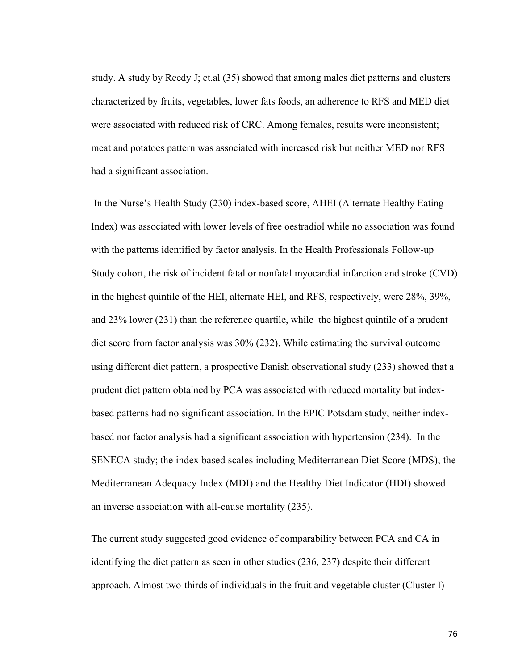study. A study by Reedy J; et.al (35) showed that among males diet patterns and clusters characterized by fruits, vegetables, lower fats foods, an adherence to RFS and MED diet were associated with reduced risk of CRC. Among females, results were inconsistent; meat and potatoes pattern was associated with increased risk but neither MED nor RFS had a significant association.

In the Nurse's Health Study (230) index-based score, AHEI (Alternate Healthy Eating Index) was associated with lower levels of free oestradiol while no association was found with the patterns identified by factor analysis. In the Health Professionals Follow-up Study cohort, the risk of incident fatal or nonfatal myocardial infarction and stroke (CVD) in the highest quintile of the HEI, alternate HEI, and RFS, respectively, were 28%, 39%, and 23% lower (231) than the reference quartile, while the highest quintile of a prudent diet score from factor analysis was 30% (232). While estimating the survival outcome using different diet pattern, a prospective Danish observational study (233) showed that a prudent diet pattern obtained by PCA was associated with reduced mortality but indexbased patterns had no significant association. In the EPIC Potsdam study, neither indexbased nor factor analysis had a significant association with hypertension (234). In the SENECA study; the index based scales including Mediterranean Diet Score (MDS), the Mediterranean Adequacy Index (MDI) and the Healthy Diet Indicator (HDI) showed an inverse association with all-cause mortality (235).

The current study suggested good evidence of comparability between PCA and CA in identifying the diet pattern as seen in other studies (236, 237) despite their different approach. Almost two-thirds of individuals in the fruit and vegetable cluster (Cluster I)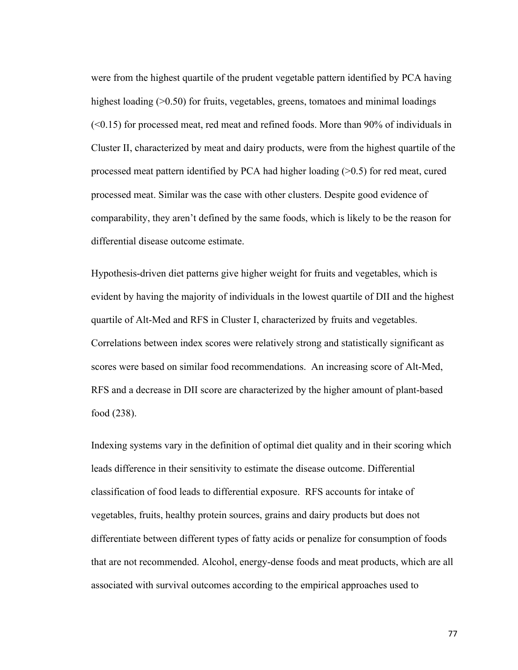were from the highest quartile of the prudent vegetable pattern identified by PCA having highest loading ( $>0.50$ ) for fruits, vegetables, greens, tomatoes and minimal loadings  $( $0.15$ ) for processed meat, red meat and refined foods. More than 90% of individuals in$ Cluster II, characterized by meat and dairy products, were from the highest quartile of the processed meat pattern identified by PCA had higher loading (>0.5) for red meat, cured processed meat. Similar was the case with other clusters. Despite good evidence of comparability, they aren't defined by the same foods, which is likely to be the reason for differential disease outcome estimate.

Hypothesis-driven diet patterns give higher weight for fruits and vegetables, which is evident by having the majority of individuals in the lowest quartile of DII and the highest quartile of Alt-Med and RFS in Cluster I, characterized by fruits and vegetables. Correlations between index scores were relatively strong and statistically significant as scores were based on similar food recommendations. An increasing score of Alt-Med, RFS and a decrease in DII score are characterized by the higher amount of plant-based food (238).

Indexing systems vary in the definition of optimal diet quality and in their scoring which leads difference in their sensitivity to estimate the disease outcome. Differential classification of food leads to differential exposure. RFS accounts for intake of vegetables, fruits, healthy protein sources, grains and dairy products but does not differentiate between different types of fatty acids or penalize for consumption of foods that are not recommended. Alcohol, energy-dense foods and meat products, which are all associated with survival outcomes according to the empirical approaches used to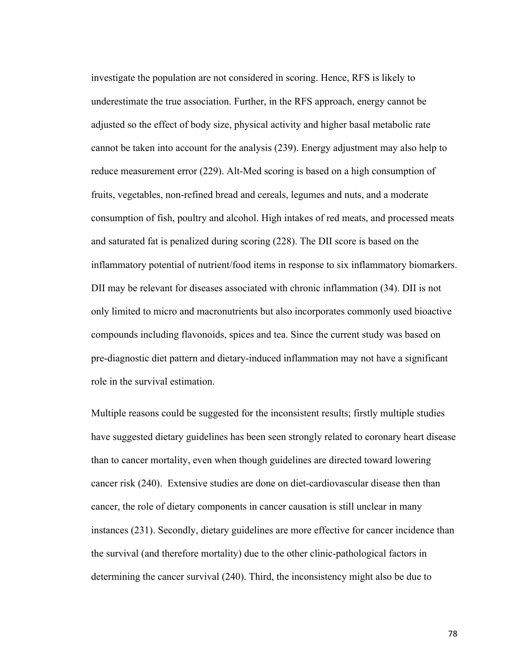investigate the population are not considered in scoring. Hence, RFS is likely to underestimate the true association. Further, in the RFS approach, energy cannot be adjusted so the effect of body size, physical activity and higher basal metabolic rate cannot be taken into account for the analysis (239). Energy adjustment may also help to reduce measurement error (229). Alt-Med scoring is based on a high consumption of fruits, vegetables, non-refined bread and cereals, legumes and nuts, and a moderate consumption of fish, poultry and alcohol. High intakes of red meats, and processed meats and saturated fat is penalized during scoring (228). The DII score is based on the inflammatory potential of nutrient/food items in response to six inflammatory biomarkers. DII may be relevant for diseases associated with chronic inflammation (34). DII is not only limited to micro and macronutrients but also incorporates commonly used bioactive compounds including flavonoids, spices and tea. Since the current study was based on pre-diagnostic diet pattern and dietary-induced inflammation may not have a significant role in the survival estimation.

Multiple reasons could be suggested for the inconsistent results; firstly multiple studies have suggested dietary guidelines has been seen strongly related to coronary heart disease than to cancer mortality, even when though guidelines are directed toward lowering cancer risk (240). Extensive studies are done on diet-cardiovascular disease then than cancer, the role of dietary components in cancer causation is still unclear in many instances (231). Secondly, dietary guidelines are more effective for cancer incidence than the survival (and therefore mortality) due to the other clinic-pathological factors in determining the cancer survival (240). Third, the inconsistency might also be due to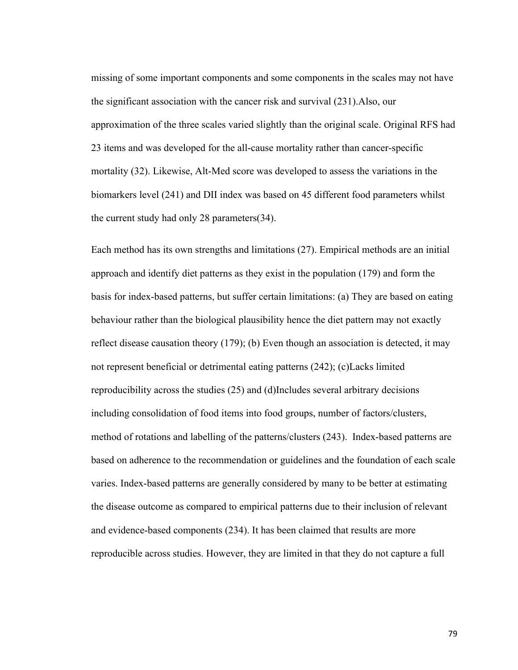missing of some important components and some components in the scales may not have the significant association with the cancer risk and survival (231).Also, our approximation of the three scales varied slightly than the original scale. Original RFS had 23 items and was developed for the all-cause mortality rather than cancer-specific mortality (32). Likewise, Alt-Med score was developed to assess the variations in the biomarkers level (241) and DII index was based on 45 different food parameters whilst the current study had only 28 parameters(34).

Each method has its own strengths and limitations (27). Empirical methods are an initial approach and identify diet patterns as they exist in the population (179) and form the basis for index-based patterns, but suffer certain limitations: (a) They are based on eating behaviour rather than the biological plausibility hence the diet pattern may not exactly reflect disease causation theory (179); (b) Even though an association is detected, it may not represent beneficial or detrimental eating patterns (242); (c)Lacks limited reproducibility across the studies (25) and (d)Includes several arbitrary decisions including consolidation of food items into food groups, number of factors/clusters, method of rotations and labelling of the patterns/clusters (243). Index-based patterns are based on adherence to the recommendation or guidelines and the foundation of each scale varies. Index-based patterns are generally considered by many to be better at estimating the disease outcome as compared to empirical patterns due to their inclusion of relevant and evidence-based components (234). It has been claimed that results are more reproducible across studies. However, they are limited in that they do not capture a full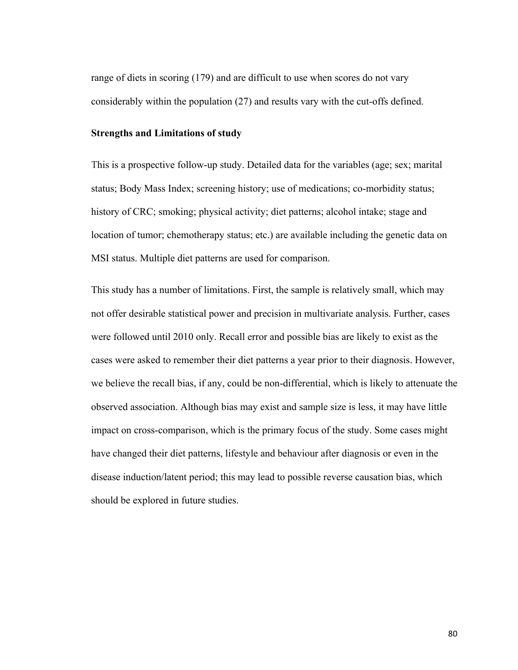range of diets in scoring (179) and are difficult to use when scores do not vary considerably within the population (27) and results vary with the cut-offs defined.

#### **Strengths and Limitations of study**

This is a prospective follow-up study. Detailed data for the variables (age; sex; marital status; Body Mass Index; screening history; use of medications; co-morbidity status; history of CRC; smoking; physical activity; diet patterns; alcohol intake; stage and location of tumor; chemotherapy status; etc.) are available including the genetic data on MSI status. Multiple diet patterns are used for comparison.

This study has a number of limitations. First, the sample is relatively small, which may not offer desirable statistical power and precision in multivariate analysis. Further, cases were followed until 2010 only. Recall error and possible bias are likely to exist as the cases were asked to remember their diet patterns a year prior to their diagnosis. However, we believe the recall bias, if any, could be non-differential, which is likely to attenuate the observed association. Although bias may exist and sample size is less, it may have little impact on cross-comparison, which is the primary focus of the study. Some cases might have changed their diet patterns, lifestyle and behaviour after diagnosis or even in the disease induction/latent period; this may lead to possible reverse causation bias, which should be explored in future studies.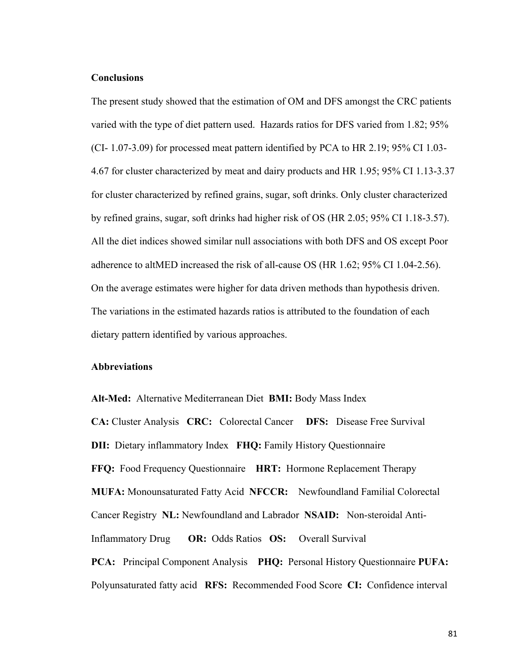#### **Conclusions**

The present study showed that the estimation of OM and DFS amongst the CRC patients varied with the type of diet pattern used. Hazards ratios for DFS varied from 1.82; 95% (CI- 1.07-3.09) for processed meat pattern identified by PCA to HR 2.19; 95% CI 1.03- 4.67 for cluster characterized by meat and dairy products and HR 1.95; 95% CI 1.13-3.37 for cluster characterized by refined grains, sugar, soft drinks. Only cluster characterized by refined grains, sugar, soft drinks had higher risk of OS (HR 2.05; 95% CI 1.18-3.57). All the diet indices showed similar null associations with both DFS and OS except Poor adherence to altMED increased the risk of all-cause OS (HR 1.62; 95% CI 1.04-2.56). On the average estimates were higher for data driven methods than hypothesis driven. The variations in the estimated hazards ratios is attributed to the foundation of each dietary pattern identified by various approaches.

## **Abbreviations**

**Alt-Med:** Alternative Mediterranean Diet **BMI:** Body Mass Index **CA:** Cluster Analysis **CRC:** Colorectal Cancer **DFS:** Disease Free Survival **DII:** Dietary inflammatory Index **FHQ:** Family History Questionnaire **FFQ:** Food Frequency Questionnaire **HRT:** Hormone Replacement Therapy **MUFA:** Monounsaturated Fatty Acid **NFCCR:** Newfoundland Familial Colorectal Cancer Registry **NL:** Newfoundland and Labrador **NSAID:** Non-steroidal Anti-Inflammatory Drug **OR:** Odds Ratios **OS:** Overall Survival **PCA:** Principal Component Analysis **PHQ:** Personal History Questionnaire **PUFA:** Polyunsaturated fatty acid **RFS:** Recommended Food Score **CI:** Confidence interval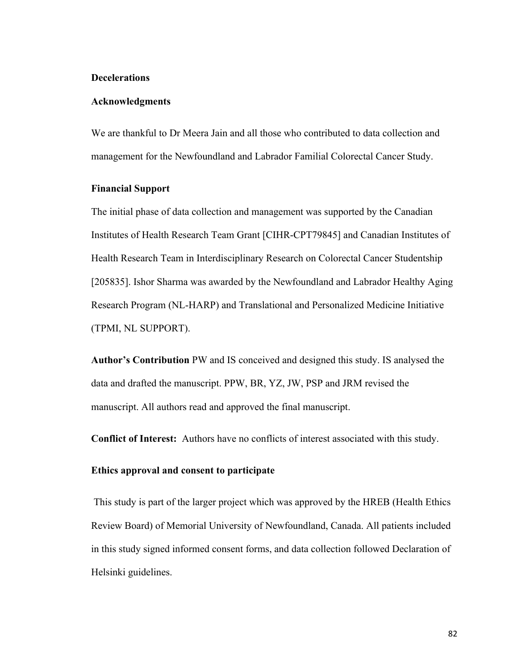#### **Decelerations**

#### **Acknowledgments**

We are thankful to Dr Meera Jain and all those who contributed to data collection and management for the Newfoundland and Labrador Familial Colorectal Cancer Study.

### **Financial Support**

The initial phase of data collection and management was supported by the Canadian Institutes of Health Research Team Grant [CIHR-CPT79845] and Canadian Institutes of Health Research Team in Interdisciplinary Research on Colorectal Cancer Studentship [205835]. Ishor Sharma was awarded by the Newfoundland and Labrador Healthy Aging Research Program (NL-HARP) and Translational and Personalized Medicine Initiative (TPMI, NL SUPPORT).

**Author's Contribution** PW and IS conceived and designed this study. IS analysed the data and drafted the manuscript. PPW, BR, YZ, JW, PSP and JRM revised the manuscript. All authors read and approved the final manuscript.

**Conflict of Interest:** Authors have no conflicts of interest associated with this study.

# **Ethics approval and consent to participate**

This study is part of the larger project which was approved by the HREB (Health Ethics Review Board) of Memorial University of Newfoundland, Canada. All patients included in this study signed informed consent forms, and data collection followed Declaration of Helsinki guidelines.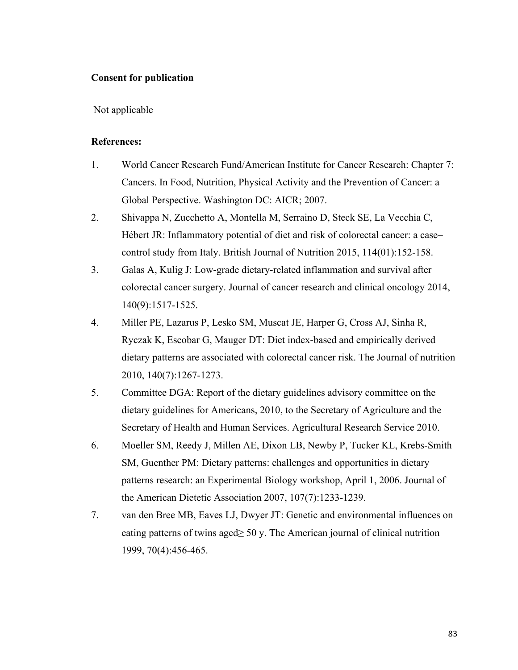# **Consent for publication**

Not applicable

## **References:**

- 1. World Cancer Research Fund/American Institute for Cancer Research: Chapter 7: Cancers. In Food, Nutrition, Physical Activity and the Prevention of Cancer: a Global Perspective. Washington DC: AICR; 2007.
- 2. Shivappa N, Zucchetto A, Montella M, Serraino D, Steck SE, La Vecchia C, Hébert JR: Inflammatory potential of diet and risk of colorectal cancer: a case– control study from Italy. British Journal of Nutrition 2015, 114(01):152-158.
- 3. Galas A, Kulig J: Low-grade dietary-related inflammation and survival after colorectal cancer surgery. Journal of cancer research and clinical oncology 2014, 140(9):1517-1525.
- 4. Miller PE, Lazarus P, Lesko SM, Muscat JE, Harper G, Cross AJ, Sinha R, Ryczak K, Escobar G, Mauger DT: Diet index-based and empirically derived dietary patterns are associated with colorectal cancer risk. The Journal of nutrition 2010, 140(7):1267-1273.
- 5. Committee DGA: Report of the dietary guidelines advisory committee on the dietary guidelines for Americans, 2010, to the Secretary of Agriculture and the Secretary of Health and Human Services. Agricultural Research Service 2010.
- 6. Moeller SM, Reedy J, Millen AE, Dixon LB, Newby P, Tucker KL, Krebs-Smith SM, Guenther PM: Dietary patterns: challenges and opportunities in dietary patterns research: an Experimental Biology workshop, April 1, 2006. Journal of the American Dietetic Association 2007, 107(7):1233-1239.
- 7. van den Bree MB, Eaves LJ, Dwyer JT: Genetic and environmental influences on eating patterns of twins aged $\geq$  50 y. The American journal of clinical nutrition 1999, 70(4):456-465.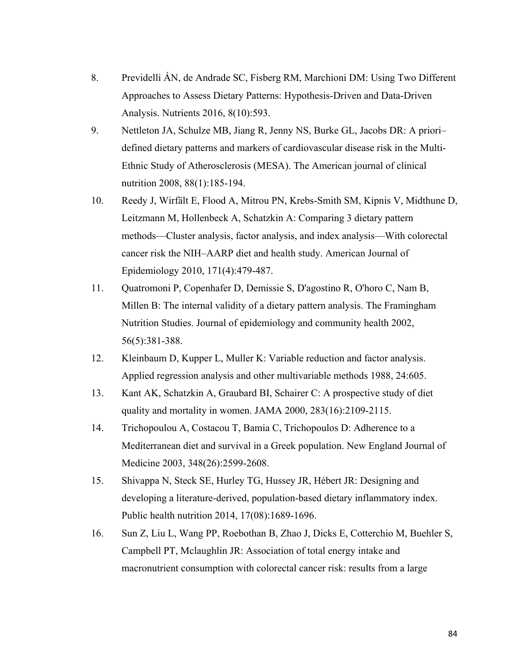- 8. Previdelli ÁN, de Andrade SC, Fisberg RM, Marchioni DM: Using Two Different Approaches to Assess Dietary Patterns: Hypothesis-Driven and Data-Driven Analysis. Nutrients 2016, 8(10):593.
- 9. Nettleton JA, Schulze MB, Jiang R, Jenny NS, Burke GL, Jacobs DR: A priori– defined dietary patterns and markers of cardiovascular disease risk in the Multi-Ethnic Study of Atherosclerosis (MESA). The American journal of clinical nutrition 2008, 88(1):185-194.
- 10. Reedy J, Wirfält E, Flood A, Mitrou PN, Krebs-Smith SM, Kipnis V, Midthune D, Leitzmann M, Hollenbeck A, Schatzkin A: Comparing 3 dietary pattern methods—Cluster analysis, factor analysis, and index analysis—With colorectal cancer risk the NIH–AARP diet and health study. American Journal of Epidemiology 2010, 171(4):479-487.
- 11. Quatromoni P, Copenhafer D, Demissie S, D'agostino R, O'horo C, Nam B, Millen B: The internal validity of a dietary pattern analysis. The Framingham Nutrition Studies. Journal of epidemiology and community health 2002, 56(5):381-388.
- 12. Kleinbaum D, Kupper L, Muller K: Variable reduction and factor analysis. Applied regression analysis and other multivariable methods 1988, 24:605.
- 13. Kant AK, Schatzkin A, Graubard BI, Schairer C: A prospective study of diet quality and mortality in women. JAMA 2000, 283(16):2109-2115.
- 14. Trichopoulou A, Costacou T, Bamia C, Trichopoulos D: Adherence to a Mediterranean diet and survival in a Greek population. New England Journal of Medicine 2003, 348(26):2599-2608.
- 15. Shivappa N, Steck SE, Hurley TG, Hussey JR, Hébert JR: Designing and developing a literature-derived, population-based dietary inflammatory index. Public health nutrition 2014, 17(08):1689-1696.
- 16. Sun Z, Liu L, Wang PP, Roebothan B, Zhao J, Dicks E, Cotterchio M, Buehler S, Campbell PT, Mclaughlin JR: Association of total energy intake and macronutrient consumption with colorectal cancer risk: results from a large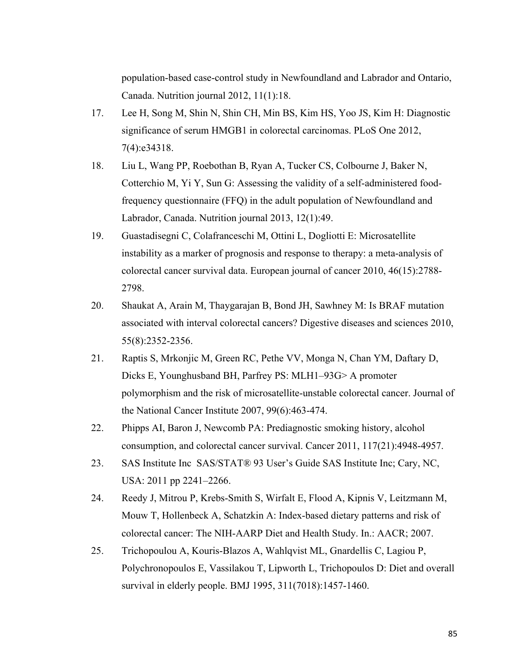population-based case-control study in Newfoundland and Labrador and Ontario, Canada. Nutrition journal 2012, 11(1):18.

- 17. Lee H, Song M, Shin N, Shin CH, Min BS, Kim HS, Yoo JS, Kim H: Diagnostic significance of serum HMGB1 in colorectal carcinomas. PLoS One 2012, 7(4):e34318.
- 18. Liu L, Wang PP, Roebothan B, Ryan A, Tucker CS, Colbourne J, Baker N, Cotterchio M, Yi Y, Sun G: Assessing the validity of a self-administered foodfrequency questionnaire (FFQ) in the adult population of Newfoundland and Labrador, Canada. Nutrition journal 2013, 12(1):49.
- 19. Guastadisegni C, Colafranceschi M, Ottini L, Dogliotti E: Microsatellite instability as a marker of prognosis and response to therapy: a meta-analysis of colorectal cancer survival data. European journal of cancer 2010, 46(15):2788- 2798.
- 20. Shaukat A, Arain M, Thaygarajan B, Bond JH, Sawhney M: Is BRAF mutation associated with interval colorectal cancers? Digestive diseases and sciences 2010, 55(8):2352-2356.
- 21. Raptis S, Mrkonjic M, Green RC, Pethe VV, Monga N, Chan YM, Daftary D, Dicks E, Younghusband BH, Parfrey PS: MLH1–93G> A promoter polymorphism and the risk of microsatellite-unstable colorectal cancer. Journal of the National Cancer Institute 2007, 99(6):463-474.
- 22. Phipps AI, Baron J, Newcomb PA: Prediagnostic smoking history, alcohol consumption, and colorectal cancer survival. Cancer 2011, 117(21):4948-4957.
- 23. SAS Institute Inc SAS/STAT® 93 User's Guide SAS Institute Inc; Cary, NC, USA: 2011 pp 2241–2266.
- 24. Reedy J, Mitrou P, Krebs-Smith S, Wirfalt E, Flood A, Kipnis V, Leitzmann M, Mouw T, Hollenbeck A, Schatzkin A: Index-based dietary patterns and risk of colorectal cancer: The NIH-AARP Diet and Health Study. In.: AACR; 2007.
- 25. Trichopoulou A, Kouris-Blazos A, Wahlqvist ML, Gnardellis C, Lagiou P, Polychronopoulos E, Vassilakou T, Lipworth L, Trichopoulos D: Diet and overall survival in elderly people. BMJ 1995, 311(7018):1457-1460.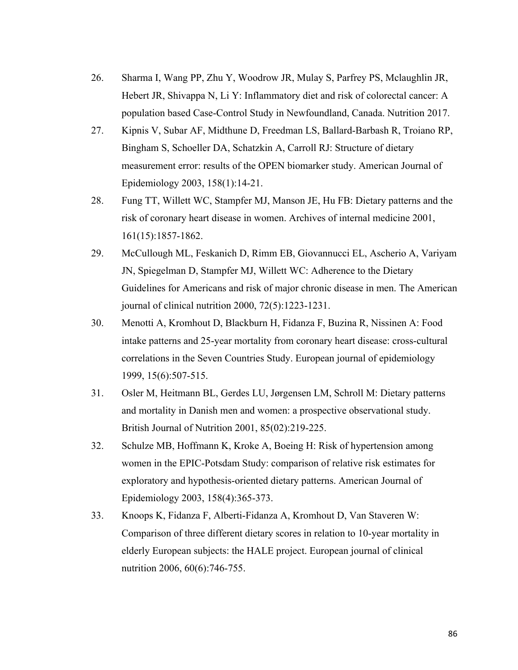- 26. Sharma I, Wang PP, Zhu Y, Woodrow JR, Mulay S, Parfrey PS, Mclaughlin JR, Hebert JR, Shivappa N, Li Y: Inflammatory diet and risk of colorectal cancer: A population based Case-Control Study in Newfoundland, Canada. Nutrition 2017.
- 27. Kipnis V, Subar AF, Midthune D, Freedman LS, Ballard-Barbash R, Troiano RP, Bingham S, Schoeller DA, Schatzkin A, Carroll RJ: Structure of dietary measurement error: results of the OPEN biomarker study. American Journal of Epidemiology 2003, 158(1):14-21.
- 28. Fung TT, Willett WC, Stampfer MJ, Manson JE, Hu FB: Dietary patterns and the risk of coronary heart disease in women. Archives of internal medicine 2001, 161(15):1857-1862.
- 29. McCullough ML, Feskanich D, Rimm EB, Giovannucci EL, Ascherio A, Variyam JN, Spiegelman D, Stampfer MJ, Willett WC: Adherence to the Dietary Guidelines for Americans and risk of major chronic disease in men. The American journal of clinical nutrition 2000, 72(5):1223-1231.
- 30. Menotti A, Kromhout D, Blackburn H, Fidanza F, Buzina R, Nissinen A: Food intake patterns and 25-year mortality from coronary heart disease: cross-cultural correlations in the Seven Countries Study. European journal of epidemiology 1999, 15(6):507-515.
- 31. Osler M, Heitmann BL, Gerdes LU, Jørgensen LM, Schroll M: Dietary patterns and mortality in Danish men and women: a prospective observational study. British Journal of Nutrition 2001, 85(02):219-225.
- 32. Schulze MB, Hoffmann K, Kroke A, Boeing H: Risk of hypertension among women in the EPIC-Potsdam Study: comparison of relative risk estimates for exploratory and hypothesis-oriented dietary patterns. American Journal of Epidemiology 2003, 158(4):365-373.
- 33. Knoops K, Fidanza F, Alberti-Fidanza A, Kromhout D, Van Staveren W: Comparison of three different dietary scores in relation to 10-year mortality in elderly European subjects: the HALE project. European journal of clinical nutrition 2006, 60(6):746-755.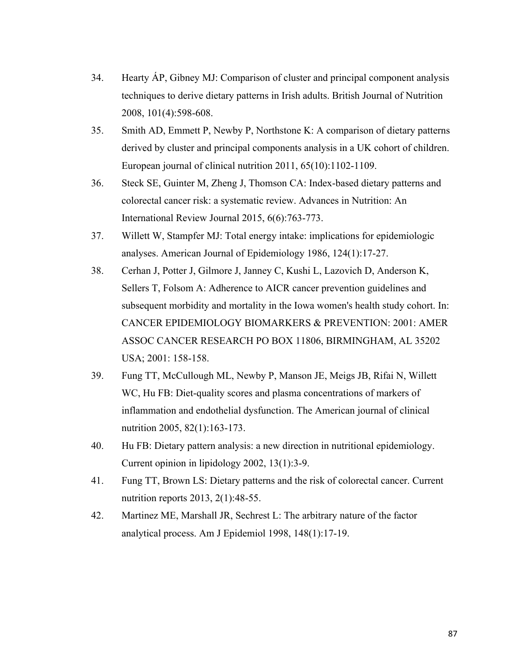- 34. Hearty ÁP, Gibney MJ: Comparison of cluster and principal component analysis techniques to derive dietary patterns in Irish adults. British Journal of Nutrition 2008, 101(4):598-608.
- 35. Smith AD, Emmett P, Newby P, Northstone K: A comparison of dietary patterns derived by cluster and principal components analysis in a UK cohort of children. European journal of clinical nutrition 2011, 65(10):1102-1109.
- 36. Steck SE, Guinter M, Zheng J, Thomson CA: Index-based dietary patterns and colorectal cancer risk: a systematic review. Advances in Nutrition: An International Review Journal 2015, 6(6):763-773.
- 37. Willett W, Stampfer MJ: Total energy intake: implications for epidemiologic analyses. American Journal of Epidemiology 1986, 124(1):17-27.
- 38. Cerhan J, Potter J, Gilmore J, Janney C, Kushi L, Lazovich D, Anderson K, Sellers T, Folsom A: Adherence to AICR cancer prevention guidelines and subsequent morbidity and mortality in the Iowa women's health study cohort. In: CANCER EPIDEMIOLOGY BIOMARKERS & PREVENTION: 2001: AMER ASSOC CANCER RESEARCH PO BOX 11806, BIRMINGHAM, AL 35202 USA; 2001: 158-158.
- 39. Fung TT, McCullough ML, Newby P, Manson JE, Meigs JB, Rifai N, Willett WC, Hu FB: Diet-quality scores and plasma concentrations of markers of inflammation and endothelial dysfunction. The American journal of clinical nutrition 2005, 82(1):163-173.
- 40. Hu FB: Dietary pattern analysis: a new direction in nutritional epidemiology. Current opinion in lipidology 2002, 13(1):3-9.
- 41. Fung TT, Brown LS: Dietary patterns and the risk of colorectal cancer. Current nutrition reports 2013, 2(1):48-55.
- 42. Martinez ME, Marshall JR, Sechrest L: The arbitrary nature of the factor analytical process. Am J Epidemiol 1998, 148(1):17-19.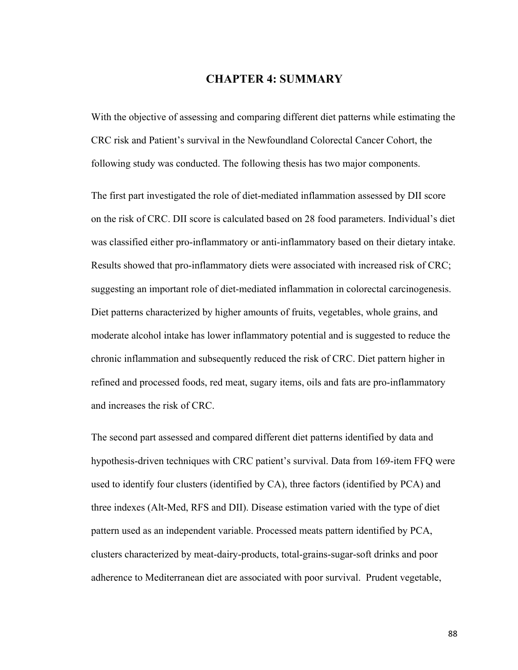# **CHAPTER 4: SUMMARY**

With the objective of assessing and comparing different diet patterns while estimating the CRC risk and Patient's survival in the Newfoundland Colorectal Cancer Cohort, the following study was conducted. The following thesis has two major components.

The first part investigated the role of diet-mediated inflammation assessed by DII score on the risk of CRC. DII score is calculated based on 28 food parameters. Individual's diet was classified either pro-inflammatory or anti-inflammatory based on their dietary intake. Results showed that pro-inflammatory diets were associated with increased risk of CRC; suggesting an important role of diet-mediated inflammation in colorectal carcinogenesis. Diet patterns characterized by higher amounts of fruits, vegetables, whole grains, and moderate alcohol intake has lower inflammatory potential and is suggested to reduce the chronic inflammation and subsequently reduced the risk of CRC. Diet pattern higher in refined and processed foods, red meat, sugary items, oils and fats are pro-inflammatory and increases the risk of CRC.

The second part assessed and compared different diet patterns identified by data and hypothesis-driven techniques with CRC patient's survival. Data from 169-item FFQ were used to identify four clusters (identified by CA), three factors (identified by PCA) and three indexes (Alt-Med, RFS and DII). Disease estimation varied with the type of diet pattern used as an independent variable. Processed meats pattern identified by PCA, clusters characterized by meat-dairy-products, total-grains-sugar-soft drinks and poor adherence to Mediterranean diet are associated with poor survival. Prudent vegetable,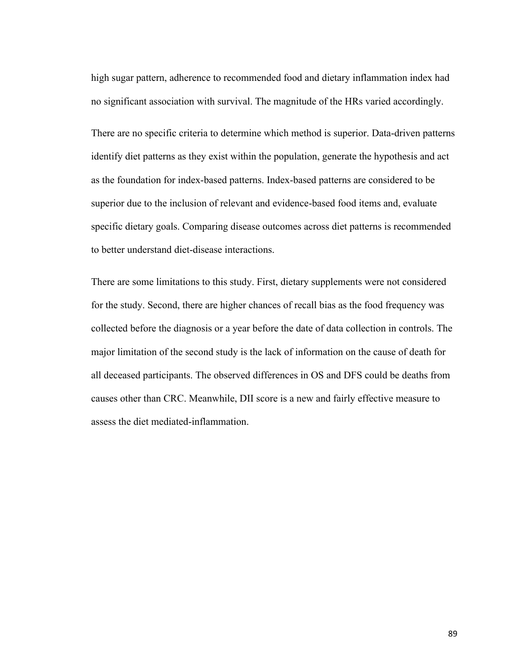high sugar pattern, adherence to recommended food and dietary inflammation index had no significant association with survival. The magnitude of the HRs varied accordingly.

There are no specific criteria to determine which method is superior. Data-driven patterns identify diet patterns as they exist within the population, generate the hypothesis and act as the foundation for index-based patterns. Index-based patterns are considered to be superior due to the inclusion of relevant and evidence-based food items and, evaluate specific dietary goals. Comparing disease outcomes across diet patterns is recommended to better understand diet-disease interactions.

There are some limitations to this study. First, dietary supplements were not considered for the study. Second, there are higher chances of recall bias as the food frequency was collected before the diagnosis or a year before the date of data collection in controls. The major limitation of the second study is the lack of information on the cause of death for all deceased participants. The observed differences in OS and DFS could be deaths from causes other than CRC. Meanwhile, DII score is a new and fairly effective measure to assess the diet mediated-inflammation.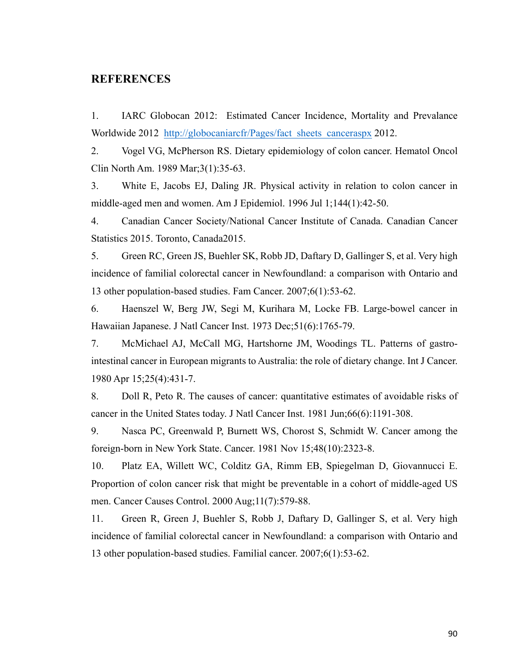# **REFERENCES**

1. IARC Globocan 2012: Estimated Cancer Incidence, Mortality and Prevalance Worldwide 2012 http://globocaniarcfr/Pages/fact\_sheets\_canceraspx 2012.

2. Vogel VG, McPherson RS. Dietary epidemiology of colon cancer. Hematol Oncol Clin North Am. 1989 Mar;3(1):35-63.

3. White E, Jacobs EJ, Daling JR. Physical activity in relation to colon cancer in middle-aged men and women. Am J Epidemiol. 1996 Jul 1;144(1):42-50.

4. Canadian Cancer Society/National Cancer Institute of Canada. Canadian Cancer Statistics 2015. Toronto, Canada2015.

5. Green RC, Green JS, Buehler SK, Robb JD, Daftary D, Gallinger S, et al. Very high incidence of familial colorectal cancer in Newfoundland: a comparison with Ontario and 13 other population-based studies. Fam Cancer. 2007;6(1):53-62.

6. Haenszel W, Berg JW, Segi M, Kurihara M, Locke FB. Large-bowel cancer in Hawaiian Japanese. J Natl Cancer Inst. 1973 Dec;51(6):1765-79.

7. McMichael AJ, McCall MG, Hartshorne JM, Woodings TL. Patterns of gastrointestinal cancer in European migrants to Australia: the role of dietary change. Int J Cancer. 1980 Apr 15;25(4):431-7.

8. Doll R, Peto R. The causes of cancer: quantitative estimates of avoidable risks of cancer in the United States today. J Natl Cancer Inst. 1981 Jun;66(6):1191-308.

9. Nasca PC, Greenwald P, Burnett WS, Chorost S, Schmidt W. Cancer among the foreign-born in New York State. Cancer. 1981 Nov 15;48(10):2323-8.

10. Platz EA, Willett WC, Colditz GA, Rimm EB, Spiegelman D, Giovannucci E. Proportion of colon cancer risk that might be preventable in a cohort of middle-aged US men. Cancer Causes Control. 2000 Aug;11(7):579-88.

11. Green R, Green J, Buehler S, Robb J, Daftary D, Gallinger S, et al. Very high incidence of familial colorectal cancer in Newfoundland: a comparison with Ontario and 13 other population-based studies. Familial cancer. 2007;6(1):53-62.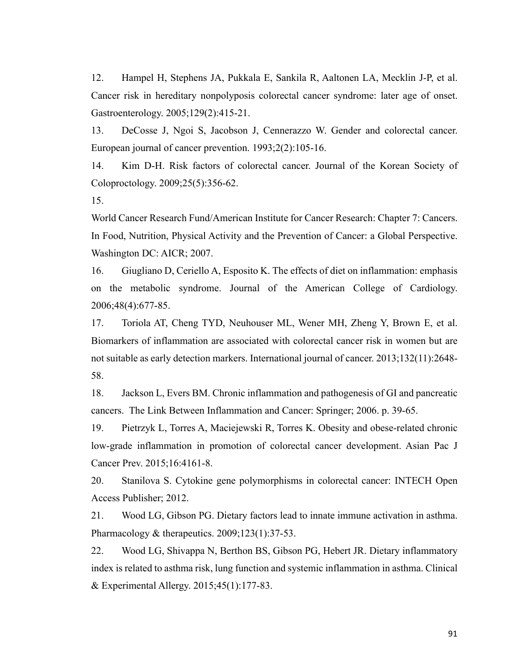12. Hampel H, Stephens JA, Pukkala E, Sankila R, Aaltonen LA, Mecklin J-P, et al. Cancer risk in hereditary nonpolyposis colorectal cancer syndrome: later age of onset. Gastroenterology. 2005;129(2):415-21.

13. DeCosse J, Ngoi S, Jacobson J, Cennerazzo W. Gender and colorectal cancer. European journal of cancer prevention. 1993;2(2):105-16.

14. Kim D-H. Risk factors of colorectal cancer. Journal of the Korean Society of Coloproctology. 2009;25(5):356-62.

15.

World Cancer Research Fund/American Institute for Cancer Research: Chapter 7: Cancers. In Food, Nutrition, Physical Activity and the Prevention of Cancer: a Global Perspective. Washington DC: AICR; 2007.

16. Giugliano D, Ceriello A, Esposito K. The effects of diet on inflammation: emphasis on the metabolic syndrome. Journal of the American College of Cardiology. 2006;48(4):677-85.

17. Toriola AT, Cheng TYD, Neuhouser ML, Wener MH, Zheng Y, Brown E, et al. Biomarkers of inflammation are associated with colorectal cancer risk in women but are not suitable as early detection markers. International journal of cancer. 2013;132(11):2648- 58.

18. Jackson L, Evers BM. Chronic inflammation and pathogenesis of GI and pancreatic cancers. The Link Between Inflammation and Cancer: Springer; 2006. p. 39-65.

19. Pietrzyk L, Torres A, Maciejewski R, Torres K. Obesity and obese-related chronic low-grade inflammation in promotion of colorectal cancer development. Asian Pac J Cancer Prev. 2015;16:4161-8.

20. Stanilova S. Cytokine gene polymorphisms in colorectal cancer: INTECH Open Access Publisher; 2012.

21. Wood LG, Gibson PG. Dietary factors lead to innate immune activation in asthma. Pharmacology & therapeutics. 2009;123(1):37-53.

22. Wood LG, Shivappa N, Berthon BS, Gibson PG, Hebert JR. Dietary inflammatory index is related to asthma risk, lung function and systemic inflammation in asthma. Clinical & Experimental Allergy. 2015;45(1):177-83.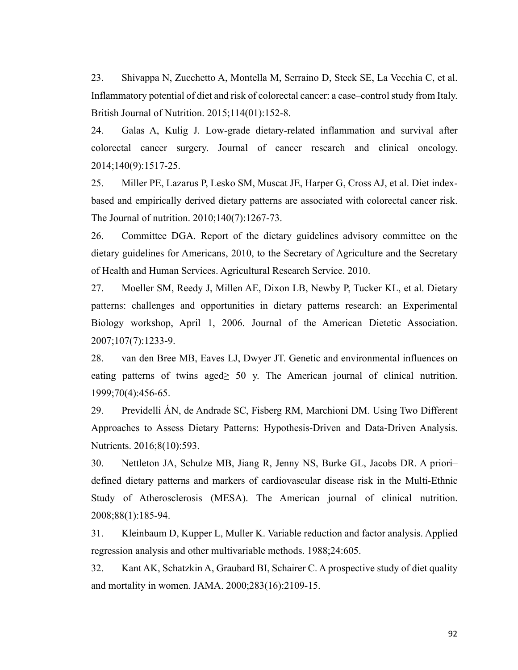23. Shivappa N, Zucchetto A, Montella M, Serraino D, Steck SE, La Vecchia C, et al. Inflammatory potential of diet and risk of colorectal cancer: a case–control study from Italy. British Journal of Nutrition. 2015;114(01):152-8.

24. Galas A, Kulig J. Low-grade dietary-related inflammation and survival after colorectal cancer surgery. Journal of cancer research and clinical oncology. 2014;140(9):1517-25.

25. Miller PE, Lazarus P, Lesko SM, Muscat JE, Harper G, Cross AJ, et al. Diet indexbased and empirically derived dietary patterns are associated with colorectal cancer risk. The Journal of nutrition. 2010;140(7):1267-73.

26. Committee DGA. Report of the dietary guidelines advisory committee on the dietary guidelines for Americans, 2010, to the Secretary of Agriculture and the Secretary of Health and Human Services. Agricultural Research Service. 2010.

27. Moeller SM, Reedy J, Millen AE, Dixon LB, Newby P, Tucker KL, et al. Dietary patterns: challenges and opportunities in dietary patterns research: an Experimental Biology workshop, April 1, 2006. Journal of the American Dietetic Association. 2007;107(7):1233-9.

28. van den Bree MB, Eaves LJ, Dwyer JT. Genetic and environmental influences on eating patterns of twins aged $\geq$  50 y. The American journal of clinical nutrition. 1999;70(4):456-65.

29. Previdelli ÁN, de Andrade SC, Fisberg RM, Marchioni DM. Using Two Different Approaches to Assess Dietary Patterns: Hypothesis-Driven and Data-Driven Analysis. Nutrients. 2016;8(10):593.

30. Nettleton JA, Schulze MB, Jiang R, Jenny NS, Burke GL, Jacobs DR. A priori– defined dietary patterns and markers of cardiovascular disease risk in the Multi-Ethnic Study of Atherosclerosis (MESA). The American journal of clinical nutrition. 2008;88(1):185-94.

31. Kleinbaum D, Kupper L, Muller K. Variable reduction and factor analysis. Applied regression analysis and other multivariable methods. 1988;24:605.

32. Kant AK, Schatzkin A, Graubard BI, Schairer C. A prospective study of diet quality and mortality in women. JAMA. 2000;283(16):2109-15.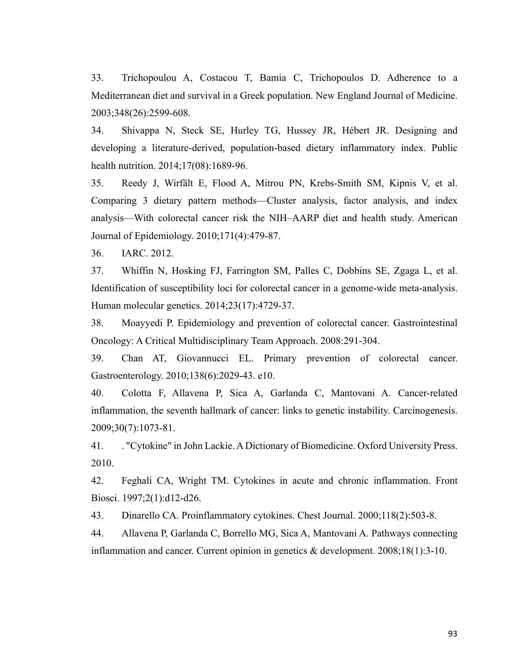33. Trichopoulou A, Costacou T, Bamia C, Trichopoulos D. Adherence to a Mediterranean diet and survival in a Greek population. New England Journal of Medicine. 2003;348(26):2599-608.

34. Shivappa N, Steck SE, Hurley TG, Hussey JR, Hébert JR. Designing and developing a literature-derived, population-based dietary inflammatory index. Public health nutrition. 2014;17(08):1689-96.

35. Reedy J, Wirfält E, Flood A, Mitrou PN, Krebs-Smith SM, Kipnis V, et al. Comparing 3 dietary pattern methods—Cluster analysis, factor analysis, and index analysis—With colorectal cancer risk the NIH–AARP diet and health study. American Journal of Epidemiology. 2010;171(4):479-87.

36. IARC. 2012.

37. Whiffin N, Hosking FJ, Farrington SM, Palles C, Dobbins SE, Zgaga L, et al. Identification of susceptibility loci for colorectal cancer in a genome-wide meta-analysis. Human molecular genetics. 2014;23(17):4729-37.

38. Moayyedi P. Epidemiology and prevention of colorectal cancer. Gastrointestinal Oncology: A Critical Multidisciplinary Team Approach. 2008:291-304.

39. Chan AT, Giovannucci EL. Primary prevention of colorectal cancer. Gastroenterology. 2010;138(6):2029-43. e10.

40. Colotta F, Allavena P, Sica A, Garlanda C, Mantovani A. Cancer-related inflammation, the seventh hallmark of cancer: links to genetic instability. Carcinogenesis. 2009;30(7):1073-81.

41. . "Cytokine" in John Lackie. A Dictionary of Biomedicine. Oxford University Press. 2010.

42. Feghali CA, Wright TM. Cytokines in acute and chronic inflammation. Front Biosci. 1997;2(1):d12-d26.

43. Dinarello CA. Proinflammatory cytokines. Chest Journal. 2000;118(2):503-8.

44. Allavena P, Garlanda C, Borrello MG, Sica A, Mantovani A. Pathways connecting inflammation and cancer. Current opinion in genetics & development. 2008;18(1):3-10.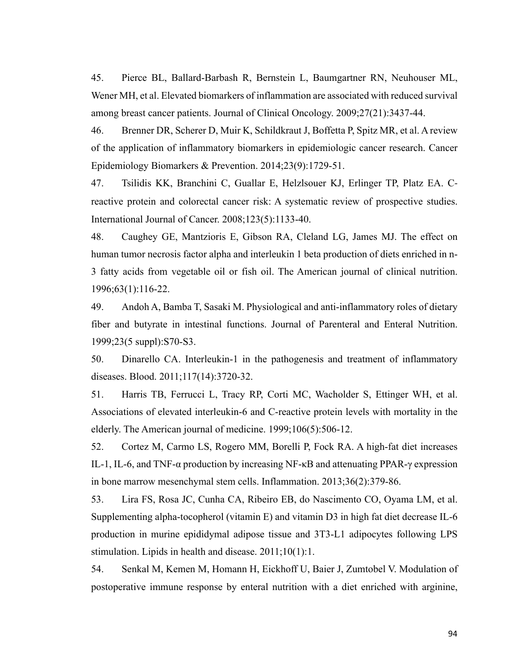45. Pierce BL, Ballard-Barbash R, Bernstein L, Baumgartner RN, Neuhouser ML, Wener MH, et al. Elevated biomarkers of inflammation are associated with reduced survival among breast cancer patients. Journal of Clinical Oncology. 2009;27(21):3437-44.

46. Brenner DR, Scherer D, Muir K, Schildkraut J, Boffetta P, Spitz MR, et al. A review of the application of inflammatory biomarkers in epidemiologic cancer research. Cancer Epidemiology Biomarkers & Prevention. 2014;23(9):1729-51.

47. Tsilidis KK, Branchini C, Guallar E, Helzlsouer KJ, Erlinger TP, Platz EA. Creactive protein and colorectal cancer risk: A systematic review of prospective studies. International Journal of Cancer. 2008;123(5):1133-40.

48. Caughey GE, Mantzioris E, Gibson RA, Cleland LG, James MJ. The effect on human tumor necrosis factor alpha and interleukin 1 beta production of diets enriched in n-3 fatty acids from vegetable oil or fish oil. The American journal of clinical nutrition. 1996;63(1):116-22.

49. Andoh A, Bamba T, Sasaki M. Physiological and anti-inflammatory roles of dietary fiber and butyrate in intestinal functions. Journal of Parenteral and Enteral Nutrition. 1999;23(5 suppl):S70-S3.

50. Dinarello CA. Interleukin-1 in the pathogenesis and treatment of inflammatory diseases. Blood. 2011;117(14):3720-32.

51. Harris TB, Ferrucci L, Tracy RP, Corti MC, Wacholder S, Ettinger WH, et al. Associations of elevated interleukin-6 and C-reactive protein levels with mortality in the elderly. The American journal of medicine. 1999;106(5):506-12.

52. Cortez M, Carmo LS, Rogero MM, Borelli P, Fock RA. A high-fat diet increases IL-1, IL-6, and TNF- $\alpha$  production by increasing NF- $\kappa$ B and attenuating PPAR- $\gamma$  expression in bone marrow mesenchymal stem cells. Inflammation. 2013;36(2):379-86.

53. Lira FS, Rosa JC, Cunha CA, Ribeiro EB, do Nascimento CO, Oyama LM, et al. Supplementing alpha-tocopherol (vitamin E) and vitamin D3 in high fat diet decrease IL-6 production in murine epididymal adipose tissue and 3T3-L1 adipocytes following LPS stimulation. Lipids in health and disease. 2011;10(1):1.

54. Senkal M, Kemen M, Homann H, Eickhoff U, Baier J, Zumtobel V. Modulation of postoperative immune response by enteral nutrition with a diet enriched with arginine,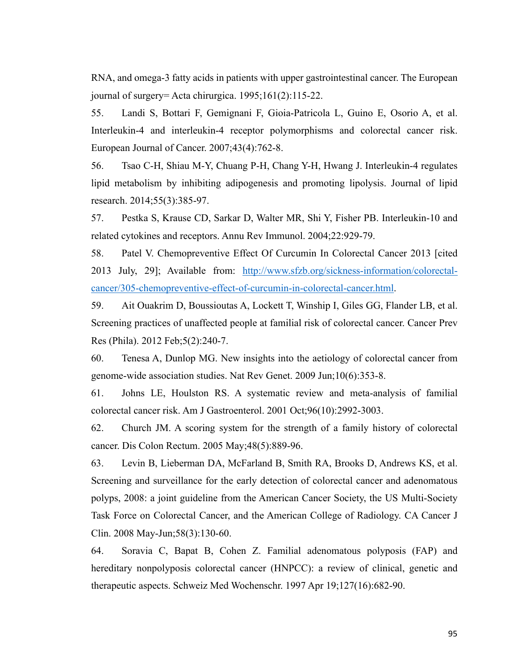RNA, and omega-3 fatty acids in patients with upper gastrointestinal cancer. The European journal of surgery= Acta chirurgica. 1995;161(2):115-22.

55. Landi S, Bottari F, Gemignani F, Gioia-Patricola L, Guino E, Osorio A, et al. Interleukin-4 and interleukin-4 receptor polymorphisms and colorectal cancer risk. European Journal of Cancer. 2007;43(4):762-8.

56. Tsao C-H, Shiau M-Y, Chuang P-H, Chang Y-H, Hwang J. Interleukin-4 regulates lipid metabolism by inhibiting adipogenesis and promoting lipolysis. Journal of lipid research. 2014;55(3):385-97.

57. Pestka S, Krause CD, Sarkar D, Walter MR, Shi Y, Fisher PB. Interleukin-10 and related cytokines and receptors. Annu Rev Immunol. 2004;22:929-79.

58. Patel V. Chemopreventive Effect Of Curcumin In Colorectal Cancer 2013 [cited 2013 July, 29]; Available from: http://www.sfzb.org/sickness-information/colorectalcancer/305-chemopreventive-effect-of-curcumin-in-colorectal-cancer.html.

59. Ait Ouakrim D, Boussioutas A, Lockett T, Winship I, Giles GG, Flander LB, et al. Screening practices of unaffected people at familial risk of colorectal cancer. Cancer Prev Res (Phila). 2012 Feb;5(2):240-7.

60. Tenesa A, Dunlop MG. New insights into the aetiology of colorectal cancer from genome-wide association studies. Nat Rev Genet. 2009 Jun;10(6):353-8.

61. Johns LE, Houlston RS. A systematic review and meta-analysis of familial colorectal cancer risk. Am J Gastroenterol. 2001 Oct;96(10):2992-3003.

62. Church JM. A scoring system for the strength of a family history of colorectal cancer. Dis Colon Rectum. 2005 May;48(5):889-96.

63. Levin B, Lieberman DA, McFarland B, Smith RA, Brooks D, Andrews KS, et al. Screening and surveillance for the early detection of colorectal cancer and adenomatous polyps, 2008: a joint guideline from the American Cancer Society, the US Multi-Society Task Force on Colorectal Cancer, and the American College of Radiology. CA Cancer J Clin. 2008 May-Jun;58(3):130-60.

64. Soravia C, Bapat B, Cohen Z. Familial adenomatous polyposis (FAP) and hereditary nonpolyposis colorectal cancer (HNPCC): a review of clinical, genetic and therapeutic aspects. Schweiz Med Wochenschr. 1997 Apr 19;127(16):682-90.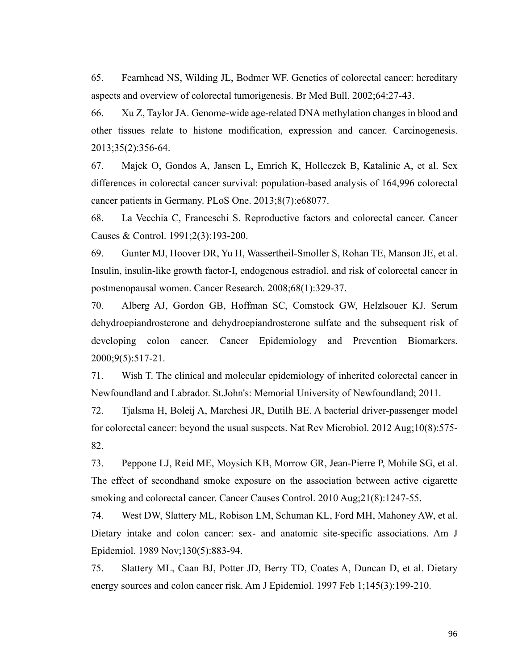65. Fearnhead NS, Wilding JL, Bodmer WF. Genetics of colorectal cancer: hereditary aspects and overview of colorectal tumorigenesis. Br Med Bull. 2002;64:27-43.

66. Xu Z, Taylor JA. Genome-wide age-related DNA methylation changes in blood and other tissues relate to histone modification, expression and cancer. Carcinogenesis. 2013;35(2):356-64.

67. Majek O, Gondos A, Jansen L, Emrich K, Holleczek B, Katalinic A, et al. Sex differences in colorectal cancer survival: population-based analysis of 164,996 colorectal cancer patients in Germany. PLoS One. 2013;8(7):e68077.

68. La Vecchia C, Franceschi S. Reproductive factors and colorectal cancer. Cancer Causes & Control. 1991;2(3):193-200.

69. Gunter MJ, Hoover DR, Yu H, Wassertheil-Smoller S, Rohan TE, Manson JE, et al. Insulin, insulin-like growth factor-I, endogenous estradiol, and risk of colorectal cancer in postmenopausal women. Cancer Research. 2008;68(1):329-37.

70. Alberg AJ, Gordon GB, Hoffman SC, Comstock GW, Helzlsouer KJ. Serum dehydroepiandrosterone and dehydroepiandrosterone sulfate and the subsequent risk of developing colon cancer. Cancer Epidemiology and Prevention Biomarkers. 2000;9(5):517-21.

71. Wish T. The clinical and molecular epidemiology of inherited colorectal cancer in Newfoundland and Labrador. St.John's: Memorial University of Newfoundland; 2011.

72. Tjalsma H, Boleij A, Marchesi JR, Dutilh BE. A bacterial driver-passenger model for colorectal cancer: beyond the usual suspects. Nat Rev Microbiol. 2012 Aug;10(8):575- 82.

73. Peppone LJ, Reid ME, Moysich KB, Morrow GR, Jean-Pierre P, Mohile SG, et al. The effect of secondhand smoke exposure on the association between active cigarette smoking and colorectal cancer. Cancer Causes Control. 2010 Aug;21(8):1247-55.

74. West DW, Slattery ML, Robison LM, Schuman KL, Ford MH, Mahoney AW, et al. Dietary intake and colon cancer: sex- and anatomic site-specific associations. Am J Epidemiol. 1989 Nov;130(5):883-94.

75. Slattery ML, Caan BJ, Potter JD, Berry TD, Coates A, Duncan D, et al. Dietary energy sources and colon cancer risk. Am J Epidemiol. 1997 Feb 1;145(3):199-210.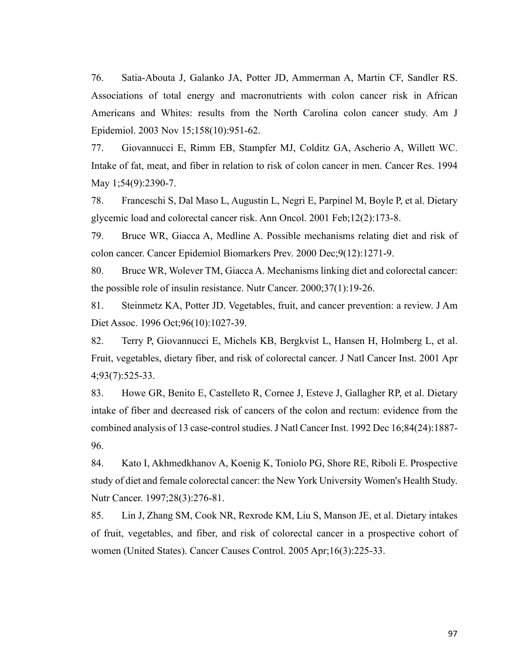76. Satia-Abouta J, Galanko JA, Potter JD, Ammerman A, Martin CF, Sandler RS. Associations of total energy and macronutrients with colon cancer risk in African Americans and Whites: results from the North Carolina colon cancer study. Am J Epidemiol. 2003 Nov 15;158(10):951-62.

77. Giovannucci E, Rimm EB, Stampfer MJ, Colditz GA, Ascherio A, Willett WC. Intake of fat, meat, and fiber in relation to risk of colon cancer in men. Cancer Res. 1994 May 1;54(9):2390-7.

78. Franceschi S, Dal Maso L, Augustin L, Negri E, Parpinel M, Boyle P, et al. Dietary glycemic load and colorectal cancer risk. Ann Oncol. 2001 Feb;12(2):173-8.

79. Bruce WR, Giacca A, Medline A. Possible mechanisms relating diet and risk of colon cancer. Cancer Epidemiol Biomarkers Prev. 2000 Dec;9(12):1271-9.

80. Bruce WR, Wolever TM, Giacca A. Mechanisms linking diet and colorectal cancer: the possible role of insulin resistance. Nutr Cancer. 2000;37(1):19-26.

81. Steinmetz KA, Potter JD. Vegetables, fruit, and cancer prevention: a review. J Am Diet Assoc. 1996 Oct;96(10):1027-39.

82. Terry P, Giovannucci E, Michels KB, Bergkvist L, Hansen H, Holmberg L, et al. Fruit, vegetables, dietary fiber, and risk of colorectal cancer. J Natl Cancer Inst. 2001 Apr 4;93(7):525-33.

83. Howe GR, Benito E, Castelleto R, Cornee J, Esteve J, Gallagher RP, et al. Dietary intake of fiber and decreased risk of cancers of the colon and rectum: evidence from the combined analysis of 13 case-control studies. J Natl Cancer Inst. 1992 Dec 16;84(24):1887- 96.

84. Kato I, Akhmedkhanov A, Koenig K, Toniolo PG, Shore RE, Riboli E. Prospective study of diet and female colorectal cancer: the New York University Women's Health Study. Nutr Cancer. 1997;28(3):276-81.

85. Lin J, Zhang SM, Cook NR, Rexrode KM, Liu S, Manson JE, et al. Dietary intakes of fruit, vegetables, and fiber, and risk of colorectal cancer in a prospective cohort of women (United States). Cancer Causes Control. 2005 Apr;16(3):225-33.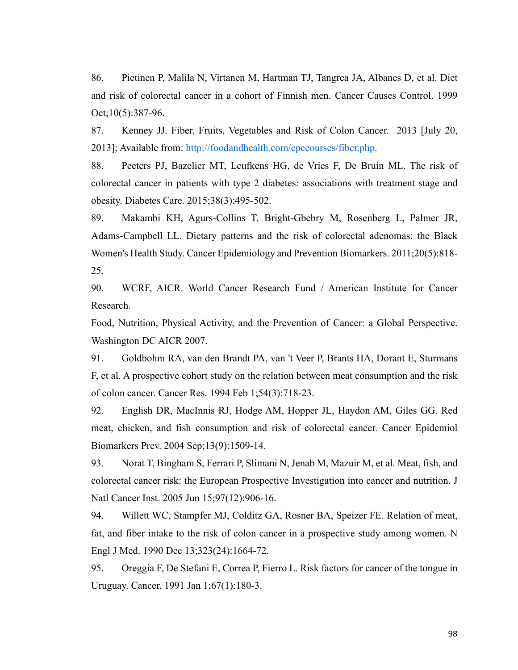86. Pietinen P, Malila N, Virtanen M, Hartman TJ, Tangrea JA, Albanes D, et al. Diet and risk of colorectal cancer in a cohort of Finnish men. Cancer Causes Control. 1999 Oct;10(5):387-96.

87. Kenney JJ. Fiber, Fruits, Vegetables and Risk of Colon Cancer. 2013 [July 20, 2013]; Available from: http://foodandhealth.com/cpecourses/fiber.php.

88. Peeters PJ, Bazelier MT, Leufkens HG, de Vries F, De Bruin ML. The risk of colorectal cancer in patients with type 2 diabetes: associations with treatment stage and obesity. Diabetes Care. 2015;38(3):495-502.

89. Makambi KH, Agurs-Collins T, Bright-Gbebry M, Rosenberg L, Palmer JR, Adams-Campbell LL. Dietary patterns and the risk of colorectal adenomas: the Black Women's Health Study. Cancer Epidemiology and Prevention Biomarkers. 2011;20(5):818- 25.

90. WCRF, AICR. World Cancer Research Fund / American Institute for Cancer Research.

Food, Nutrition, Physical Activity, and the Prevention of Cancer: a Global Perspective. Washington DC AICR 2007.

91. Goldbohm RA, van den Brandt PA, van 't Veer P, Brants HA, Dorant E, Sturmans F, et al. A prospective cohort study on the relation between meat consumption and the risk of colon cancer. Cancer Res. 1994 Feb 1;54(3):718-23.

92. English DR, MacInnis RJ, Hodge AM, Hopper JL, Haydon AM, Giles GG. Red meat, chicken, and fish consumption and risk of colorectal cancer. Cancer Epidemiol Biomarkers Prev. 2004 Sep;13(9):1509-14.

93. Norat T, Bingham S, Ferrari P, Slimani N, Jenab M, Mazuir M, et al. Meat, fish, and colorectal cancer risk: the European Prospective Investigation into cancer and nutrition. J Natl Cancer Inst. 2005 Jun 15;97(12):906-16.

94. Willett WC, Stampfer MJ, Colditz GA, Rosner BA, Speizer FE. Relation of meat, fat, and fiber intake to the risk of colon cancer in a prospective study among women. N Engl J Med. 1990 Dec 13;323(24):1664-72.

95. Oreggia F, De Stefani E, Correa P, Fierro L. Risk factors for cancer of the tongue in Uruguay. Cancer. 1991 Jan 1;67(1):180-3.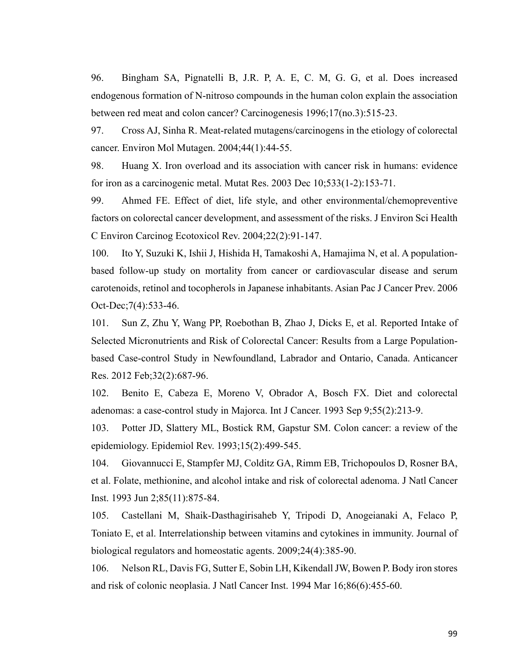96. Bingham SA, Pignatelli B, J.R. P, A. E, C. M, G. G, et al. Does increased endogenous formation of N-nitroso compounds in the human colon explain the association between red meat and colon cancer? Carcinogenesis 1996;17(no.3):515-23.

97. Cross AJ, Sinha R. Meat-related mutagens/carcinogens in the etiology of colorectal cancer. Environ Mol Mutagen. 2004;44(1):44-55.

98. Huang X. Iron overload and its association with cancer risk in humans: evidence for iron as a carcinogenic metal. Mutat Res. 2003 Dec 10;533(1-2):153-71.

99. Ahmed FE. Effect of diet, life style, and other environmental/chemopreventive factors on colorectal cancer development, and assessment of the risks. J Environ Sci Health C Environ Carcinog Ecotoxicol Rev. 2004;22(2):91-147.

100. Ito Y, Suzuki K, Ishii J, Hishida H, Tamakoshi A, Hamajima N, et al. A populationbased follow-up study on mortality from cancer or cardiovascular disease and serum carotenoids, retinol and tocopherols in Japanese inhabitants. Asian Pac J Cancer Prev. 2006 Oct-Dec;7(4):533-46.

101. Sun Z, Zhu Y, Wang PP, Roebothan B, Zhao J, Dicks E, et al. Reported Intake of Selected Micronutrients and Risk of Colorectal Cancer: Results from a Large Populationbased Case-control Study in Newfoundland, Labrador and Ontario, Canada. Anticancer Res. 2012 Feb;32(2):687-96.

102. Benito E, Cabeza E, Moreno V, Obrador A, Bosch FX. Diet and colorectal adenomas: a case-control study in Majorca. Int J Cancer. 1993 Sep 9;55(2):213-9.

103. Potter JD, Slattery ML, Bostick RM, Gapstur SM. Colon cancer: a review of the epidemiology. Epidemiol Rev. 1993;15(2):499-545.

104. Giovannucci E, Stampfer MJ, Colditz GA, Rimm EB, Trichopoulos D, Rosner BA, et al. Folate, methionine, and alcohol intake and risk of colorectal adenoma. J Natl Cancer Inst. 1993 Jun 2;85(11):875-84.

105. Castellani M, Shaik-Dasthagirisaheb Y, Tripodi D, Anogeianaki A, Felaco P, Toniato E, et al. Interrelationship between vitamins and cytokines in immunity. Journal of biological regulators and homeostatic agents. 2009;24(4):385-90.

106. Nelson RL, Davis FG, Sutter E, Sobin LH, Kikendall JW, Bowen P. Body iron stores and risk of colonic neoplasia. J Natl Cancer Inst. 1994 Mar 16;86(6):455-60.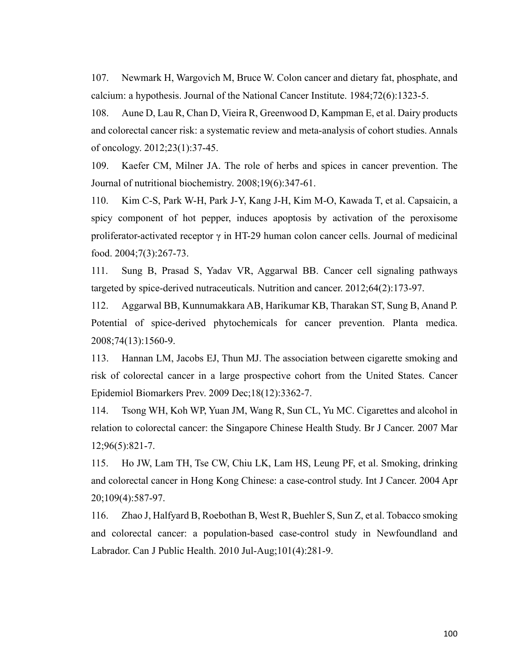107. Newmark H, Wargovich M, Bruce W. Colon cancer and dietary fat, phosphate, and calcium: a hypothesis. Journal of the National Cancer Institute. 1984;72(6):1323-5.

108. Aune D, Lau R, Chan D, Vieira R, Greenwood D, Kampman E, et al. Dairy products and colorectal cancer risk: a systematic review and meta-analysis of cohort studies. Annals of oncology. 2012;23(1):37-45.

109. Kaefer CM, Milner JA. The role of herbs and spices in cancer prevention. The Journal of nutritional biochemistry. 2008;19(6):347-61.

110. Kim C-S, Park W-H, Park J-Y, Kang J-H, Kim M-O, Kawada T, et al. Capsaicin, a spicy component of hot pepper, induces apoptosis by activation of the peroxisome proliferator-activated receptor  $\gamma$  in HT-29 human colon cancer cells. Journal of medicinal food. 2004;7(3):267-73.

111. Sung B, Prasad S, Yadav VR, Aggarwal BB. Cancer cell signaling pathways targeted by spice-derived nutraceuticals. Nutrition and cancer. 2012;64(2):173-97.

112. Aggarwal BB, Kunnumakkara AB, Harikumar KB, Tharakan ST, Sung B, Anand P. Potential of spice-derived phytochemicals for cancer prevention. Planta medica. 2008;74(13):1560-9.

113. Hannan LM, Jacobs EJ, Thun MJ. The association between cigarette smoking and risk of colorectal cancer in a large prospective cohort from the United States. Cancer Epidemiol Biomarkers Prev. 2009 Dec;18(12):3362-7.

114. Tsong WH, Koh WP, Yuan JM, Wang R, Sun CL, Yu MC. Cigarettes and alcohol in relation to colorectal cancer: the Singapore Chinese Health Study. Br J Cancer. 2007 Mar 12;96(5):821-7.

115. Ho JW, Lam TH, Tse CW, Chiu LK, Lam HS, Leung PF, et al. Smoking, drinking and colorectal cancer in Hong Kong Chinese: a case-control study. Int J Cancer. 2004 Apr 20;109(4):587-97.

116. Zhao J, Halfyard B, Roebothan B, West R, Buehler S, Sun Z, et al. Tobacco smoking and colorectal cancer: a population-based case-control study in Newfoundland and Labrador. Can J Public Health. 2010 Jul-Aug;101(4):281-9.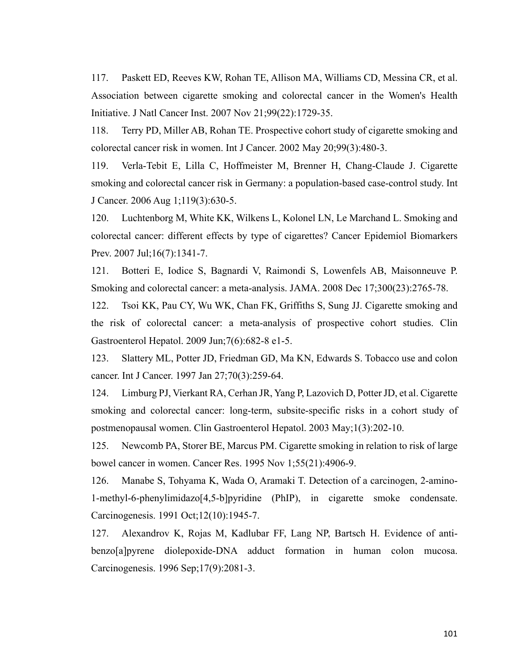117. Paskett ED, Reeves KW, Rohan TE, Allison MA, Williams CD, Messina CR, et al. Association between cigarette smoking and colorectal cancer in the Women's Health Initiative. J Natl Cancer Inst. 2007 Nov 21;99(22):1729-35.

118. Terry PD, Miller AB, Rohan TE. Prospective cohort study of cigarette smoking and colorectal cancer risk in women. Int J Cancer. 2002 May 20;99(3):480-3.

119. Verla-Tebit E, Lilla C, Hoffmeister M, Brenner H, Chang-Claude J. Cigarette smoking and colorectal cancer risk in Germany: a population-based case-control study. Int J Cancer. 2006 Aug 1;119(3):630-5.

120. Luchtenborg M, White KK, Wilkens L, Kolonel LN, Le Marchand L. Smoking and colorectal cancer: different effects by type of cigarettes? Cancer Epidemiol Biomarkers Prev. 2007 Jul;16(7):1341-7.

121. Botteri E, Iodice S, Bagnardi V, Raimondi S, Lowenfels AB, Maisonneuve P. Smoking and colorectal cancer: a meta-analysis. JAMA. 2008 Dec 17;300(23):2765-78.

122. Tsoi KK, Pau CY, Wu WK, Chan FK, Griffiths S, Sung JJ. Cigarette smoking and the risk of colorectal cancer: a meta-analysis of prospective cohort studies. Clin Gastroenterol Hepatol. 2009 Jun;7(6):682-8 e1-5.

123. Slattery ML, Potter JD, Friedman GD, Ma KN, Edwards S. Tobacco use and colon cancer. Int J Cancer. 1997 Jan 27;70(3):259-64.

124. Limburg PJ, Vierkant RA, Cerhan JR, Yang P, Lazovich D, Potter JD, et al. Cigarette smoking and colorectal cancer: long-term, subsite-specific risks in a cohort study of postmenopausal women. Clin Gastroenterol Hepatol. 2003 May;1(3):202-10.

125. Newcomb PA, Storer BE, Marcus PM. Cigarette smoking in relation to risk of large bowel cancer in women. Cancer Res. 1995 Nov 1;55(21):4906-9.

126. Manabe S, Tohyama K, Wada O, Aramaki T. Detection of a carcinogen, 2-amino-1-methyl-6-phenylimidazo[4,5-b]pyridine (PhIP), in cigarette smoke condensate. Carcinogenesis. 1991 Oct;12(10):1945-7.

127. Alexandrov K, Rojas M, Kadlubar FF, Lang NP, Bartsch H. Evidence of antibenzo[a]pyrene diolepoxide-DNA adduct formation in human colon mucosa. Carcinogenesis. 1996 Sep;17(9):2081-3.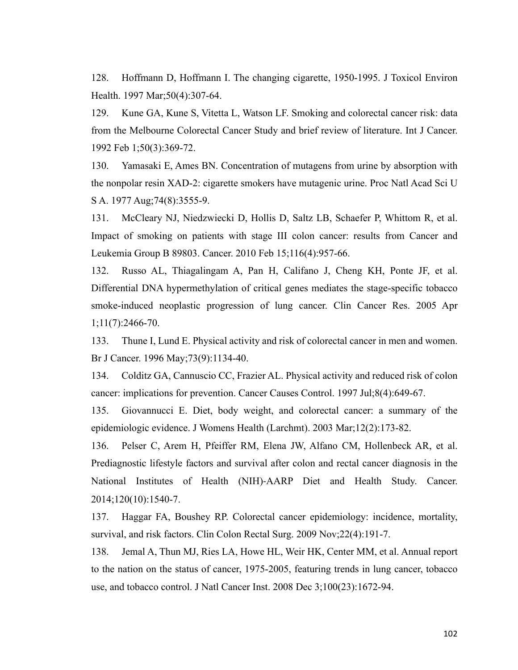128. Hoffmann D, Hoffmann I. The changing cigarette, 1950-1995. J Toxicol Environ Health. 1997 Mar;50(4):307-64.

129. Kune GA, Kune S, Vitetta L, Watson LF. Smoking and colorectal cancer risk: data from the Melbourne Colorectal Cancer Study and brief review of literature. Int J Cancer. 1992 Feb 1;50(3):369-72.

130. Yamasaki E, Ames BN. Concentration of mutagens from urine by absorption with the nonpolar resin XAD-2: cigarette smokers have mutagenic urine. Proc Natl Acad Sci U S A. 1977 Aug;74(8):3555-9.

131. McCleary NJ, Niedzwiecki D, Hollis D, Saltz LB, Schaefer P, Whittom R, et al. Impact of smoking on patients with stage III colon cancer: results from Cancer and Leukemia Group B 89803. Cancer. 2010 Feb 15;116(4):957-66.

132. Russo AL, Thiagalingam A, Pan H, Califano J, Cheng KH, Ponte JF, et al. Differential DNA hypermethylation of critical genes mediates the stage-specific tobacco smoke-induced neoplastic progression of lung cancer. Clin Cancer Res. 2005 Apr 1;11(7):2466-70.

133. Thune I, Lund E. Physical activity and risk of colorectal cancer in men and women. Br J Cancer. 1996 May;73(9):1134-40.

134. Colditz GA, Cannuscio CC, Frazier AL. Physical activity and reduced risk of colon cancer: implications for prevention. Cancer Causes Control. 1997 Jul;8(4):649-67.

135. Giovannucci E. Diet, body weight, and colorectal cancer: a summary of the epidemiologic evidence. J Womens Health (Larchmt). 2003 Mar;12(2):173-82.

136. Pelser C, Arem H, Pfeiffer RM, Elena JW, Alfano CM, Hollenbeck AR, et al. Prediagnostic lifestyle factors and survival after colon and rectal cancer diagnosis in the National Institutes of Health (NIH)-AARP Diet and Health Study. Cancer. 2014;120(10):1540-7.

137. Haggar FA, Boushey RP. Colorectal cancer epidemiology: incidence, mortality, survival, and risk factors. Clin Colon Rectal Surg. 2009 Nov;22(4):191-7.

138. Jemal A, Thun MJ, Ries LA, Howe HL, Weir HK, Center MM, et al. Annual report to the nation on the status of cancer, 1975-2005, featuring trends in lung cancer, tobacco use, and tobacco control. J Natl Cancer Inst. 2008 Dec 3;100(23):1672-94.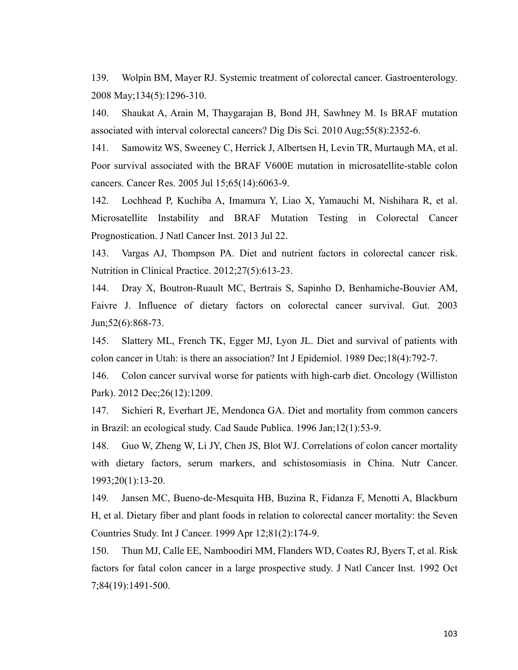139. Wolpin BM, Mayer RJ. Systemic treatment of colorectal cancer. Gastroenterology. 2008 May;134(5):1296-310.

140. Shaukat A, Arain M, Thaygarajan B, Bond JH, Sawhney M. Is BRAF mutation associated with interval colorectal cancers? Dig Dis Sci. 2010 Aug;55(8):2352-6.

141. Samowitz WS, Sweeney C, Herrick J, Albertsen H, Levin TR, Murtaugh MA, et al. Poor survival associated with the BRAF V600E mutation in microsatellite-stable colon cancers. Cancer Res. 2005 Jul 15;65(14):6063-9.

142. Lochhead P, Kuchiba A, Imamura Y, Liao X, Yamauchi M, Nishihara R, et al. Microsatellite Instability and BRAF Mutation Testing in Colorectal Cancer Prognostication. J Natl Cancer Inst. 2013 Jul 22.

143. Vargas AJ, Thompson PA. Diet and nutrient factors in colorectal cancer risk. Nutrition in Clinical Practice. 2012;27(5):613-23.

144. Dray X, Boutron-Ruault MC, Bertrais S, Sapinho D, Benhamiche-Bouvier AM, Faivre J. Influence of dietary factors on colorectal cancer survival. Gut. 2003 Jun;52(6):868-73.

145. Slattery ML, French TK, Egger MJ, Lyon JL. Diet and survival of patients with colon cancer in Utah: is there an association? Int J Epidemiol. 1989 Dec;18(4):792-7.

146. Colon cancer survival worse for patients with high-carb diet. Oncology (Williston Park). 2012 Dec;26(12):1209.

147. Sichieri R, Everhart JE, Mendonca GA. Diet and mortality from common cancers in Brazil: an ecological study. Cad Saude Publica. 1996 Jan;12(1):53-9.

148. Guo W, Zheng W, Li JY, Chen JS, Blot WJ. Correlations of colon cancer mortality with dietary factors, serum markers, and schistosomiasis in China. Nutr Cancer. 1993;20(1):13-20.

149. Jansen MC, Bueno-de-Mesquita HB, Buzina R, Fidanza F, Menotti A, Blackburn H, et al. Dietary fiber and plant foods in relation to colorectal cancer mortality: the Seven Countries Study. Int J Cancer. 1999 Apr 12;81(2):174-9.

150. Thun MJ, Calle EE, Namboodiri MM, Flanders WD, Coates RJ, Byers T, et al. Risk factors for fatal colon cancer in a large prospective study. J Natl Cancer Inst. 1992 Oct 7;84(19):1491-500.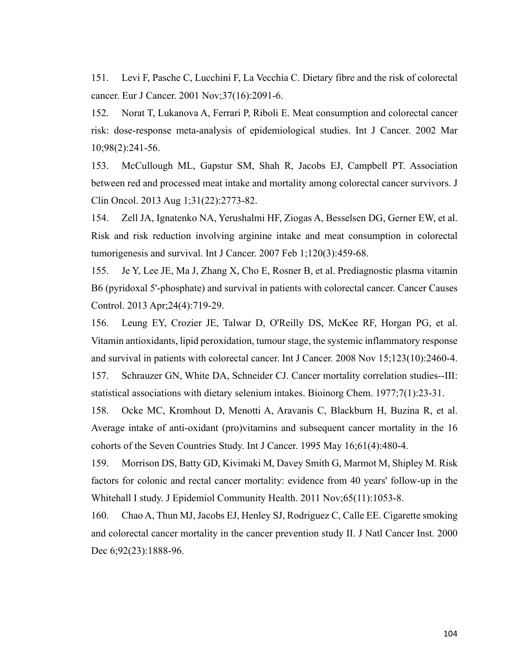151. Levi F, Pasche C, Lucchini F, La Vecchia C. Dietary fibre and the risk of colorectal cancer. Eur J Cancer. 2001 Nov;37(16):2091-6.

152. Norat T, Lukanova A, Ferrari P, Riboli E. Meat consumption and colorectal cancer risk: dose-response meta-analysis of epidemiological studies. Int J Cancer. 2002 Mar 10;98(2):241-56.

153. McCullough ML, Gapstur SM, Shah R, Jacobs EJ, Campbell PT. Association between red and processed meat intake and mortality among colorectal cancer survivors. J Clin Oncol. 2013 Aug 1;31(22):2773-82.

154. Zell JA, Ignatenko NA, Yerushalmi HF, Ziogas A, Besselsen DG, Gerner EW, et al. Risk and risk reduction involving arginine intake and meat consumption in colorectal tumorigenesis and survival. Int J Cancer. 2007 Feb 1;120(3):459-68.

155. Je Y, Lee JE, Ma J, Zhang X, Cho E, Rosner B, et al. Prediagnostic plasma vitamin B6 (pyridoxal 5'-phosphate) and survival in patients with colorectal cancer. Cancer Causes Control. 2013 Apr;24(4):719-29.

156. Leung EY, Crozier JE, Talwar D, O'Reilly DS, McKee RF, Horgan PG, et al. Vitamin antioxidants, lipid peroxidation, tumour stage, the systemic inflammatory response and survival in patients with colorectal cancer. Int J Cancer. 2008 Nov 15;123(10):2460-4.

157. Schrauzer GN, White DA, Schneider CJ. Cancer mortality correlation studies--III: statistical associations with dietary selenium intakes. Bioinorg Chem. 1977;7(1):23-31.

158. Ocke MC, Kromhout D, Menotti A, Aravanis C, Blackburn H, Buzina R, et al. Average intake of anti-oxidant (pro)vitamins and subsequent cancer mortality in the 16 cohorts of the Seven Countries Study. Int J Cancer. 1995 May 16;61(4):480-4.

159. Morrison DS, Batty GD, Kivimaki M, Davey Smith G, Marmot M, Shipley M. Risk factors for colonic and rectal cancer mortality: evidence from 40 years' follow-up in the Whitehall I study. J Epidemiol Community Health. 2011 Nov;65(11):1053-8.

160. Chao A, Thun MJ, Jacobs EJ, Henley SJ, Rodriguez C, Calle EE. Cigarette smoking and colorectal cancer mortality in the cancer prevention study II. J Natl Cancer Inst. 2000 Dec 6;92(23):1888-96.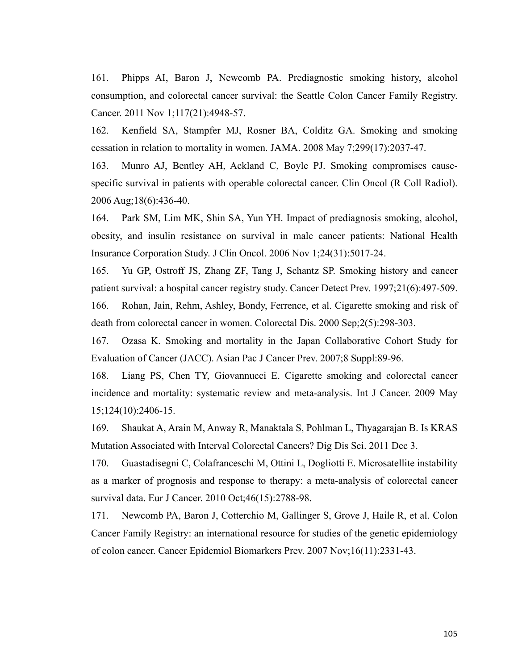161. Phipps AI, Baron J, Newcomb PA. Prediagnostic smoking history, alcohol consumption, and colorectal cancer survival: the Seattle Colon Cancer Family Registry. Cancer. 2011 Nov 1;117(21):4948-57.

162. Kenfield SA, Stampfer MJ, Rosner BA, Colditz GA. Smoking and smoking cessation in relation to mortality in women. JAMA. 2008 May 7;299(17):2037-47.

163. Munro AJ, Bentley AH, Ackland C, Boyle PJ. Smoking compromises causespecific survival in patients with operable colorectal cancer. Clin Oncol (R Coll Radiol). 2006 Aug;18(6):436-40.

164. Park SM, Lim MK, Shin SA, Yun YH. Impact of prediagnosis smoking, alcohol, obesity, and insulin resistance on survival in male cancer patients: National Health Insurance Corporation Study. J Clin Oncol. 2006 Nov 1;24(31):5017-24.

165. Yu GP, Ostroff JS, Zhang ZF, Tang J, Schantz SP. Smoking history and cancer patient survival: a hospital cancer registry study. Cancer Detect Prev. 1997;21(6):497-509.

166. Rohan, Jain, Rehm, Ashley, Bondy, Ferrence, et al. Cigarette smoking and risk of death from colorectal cancer in women. Colorectal Dis. 2000 Sep;2(5):298-303.

167. Ozasa K. Smoking and mortality in the Japan Collaborative Cohort Study for Evaluation of Cancer (JACC). Asian Pac J Cancer Prev. 2007;8 Suppl:89-96.

168. Liang PS, Chen TY, Giovannucci E. Cigarette smoking and colorectal cancer incidence and mortality: systematic review and meta-analysis. Int J Cancer. 2009 May 15;124(10):2406-15.

169. Shaukat A, Arain M, Anway R, Manaktala S, Pohlman L, Thyagarajan B. Is KRAS Mutation Associated with Interval Colorectal Cancers? Dig Dis Sci. 2011 Dec 3.

170. Guastadisegni C, Colafranceschi M, Ottini L, Dogliotti E. Microsatellite instability as a marker of prognosis and response to therapy: a meta-analysis of colorectal cancer survival data. Eur J Cancer. 2010 Oct;46(15):2788-98.

171. Newcomb PA, Baron J, Cotterchio M, Gallinger S, Grove J, Haile R, et al. Colon Cancer Family Registry: an international resource for studies of the genetic epidemiology of colon cancer. Cancer Epidemiol Biomarkers Prev. 2007 Nov;16(11):2331-43.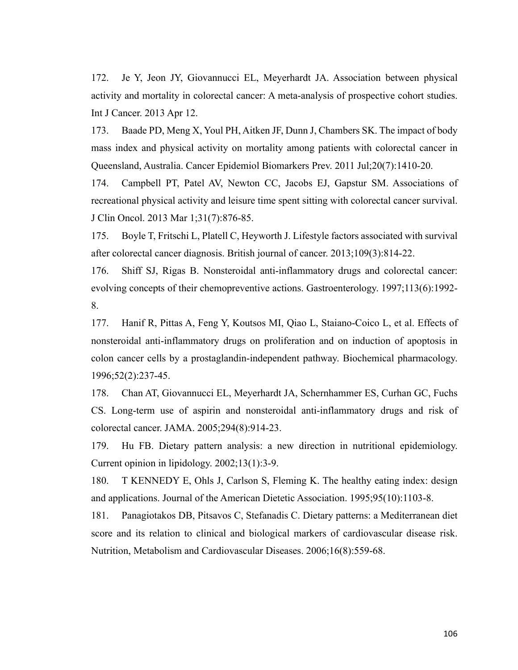172. Je Y, Jeon JY, Giovannucci EL, Meyerhardt JA. Association between physical activity and mortality in colorectal cancer: A meta-analysis of prospective cohort studies. Int J Cancer. 2013 Apr 12.

173. Baade PD, Meng X, Youl PH, Aitken JF, Dunn J, Chambers SK. The impact of body mass index and physical activity on mortality among patients with colorectal cancer in Queensland, Australia. Cancer Epidemiol Biomarkers Prev. 2011 Jul;20(7):1410-20.

174. Campbell PT, Patel AV, Newton CC, Jacobs EJ, Gapstur SM. Associations of recreational physical activity and leisure time spent sitting with colorectal cancer survival. J Clin Oncol. 2013 Mar 1;31(7):876-85.

175. Boyle T, Fritschi L, Platell C, Heyworth J. Lifestyle factors associated with survival after colorectal cancer diagnosis. British journal of cancer. 2013;109(3):814-22.

176. Shiff SJ, Rigas B. Nonsteroidal anti-inflammatory drugs and colorectal cancer: evolving concepts of their chemopreventive actions. Gastroenterology. 1997;113(6):1992- 8.

177. Hanif R, Pittas A, Feng Y, Koutsos MI, Qiao L, Staiano-Coico L, et al. Effects of nonsteroidal anti-inflammatory drugs on proliferation and on induction of apoptosis in colon cancer cells by a prostaglandin-independent pathway. Biochemical pharmacology. 1996;52(2):237-45.

178. Chan AT, Giovannucci EL, Meyerhardt JA, Schernhammer ES, Curhan GC, Fuchs CS. Long-term use of aspirin and nonsteroidal anti-inflammatory drugs and risk of colorectal cancer. JAMA. 2005;294(8):914-23.

179. Hu FB. Dietary pattern analysis: a new direction in nutritional epidemiology. Current opinion in lipidology. 2002;13(1):3-9.

180. T KENNEDY E, Ohls J, Carlson S, Fleming K. The healthy eating index: design and applications. Journal of the American Dietetic Association. 1995;95(10):1103-8.

181. Panagiotakos DB, Pitsavos C, Stefanadis C. Dietary patterns: a Mediterranean diet score and its relation to clinical and biological markers of cardiovascular disease risk. Nutrition, Metabolism and Cardiovascular Diseases. 2006;16(8):559-68.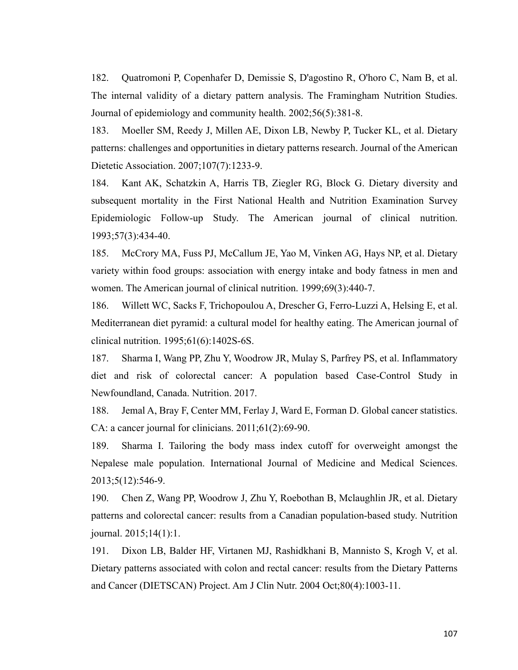182. Quatromoni P, Copenhafer D, Demissie S, D'agostino R, O'horo C, Nam B, et al. The internal validity of a dietary pattern analysis. The Framingham Nutrition Studies. Journal of epidemiology and community health. 2002;56(5):381-8.

183. Moeller SM, Reedy J, Millen AE, Dixon LB, Newby P, Tucker KL, et al. Dietary patterns: challenges and opportunities in dietary patterns research. Journal of the American Dietetic Association. 2007;107(7):1233-9.

184. Kant AK, Schatzkin A, Harris TB, Ziegler RG, Block G. Dietary diversity and subsequent mortality in the First National Health and Nutrition Examination Survey Epidemiologic Follow-up Study. The American journal of clinical nutrition. 1993;57(3):434-40.

185. McCrory MA, Fuss PJ, McCallum JE, Yao M, Vinken AG, Hays NP, et al. Dietary variety within food groups: association with energy intake and body fatness in men and women. The American journal of clinical nutrition. 1999;69(3):440-7.

186. Willett WC, Sacks F, Trichopoulou A, Drescher G, Ferro-Luzzi A, Helsing E, et al. Mediterranean diet pyramid: a cultural model for healthy eating. The American journal of clinical nutrition. 1995;61(6):1402S-6S.

187. Sharma I, Wang PP, Zhu Y, Woodrow JR, Mulay S, Parfrey PS, et al. Inflammatory diet and risk of colorectal cancer: A population based Case-Control Study in Newfoundland, Canada. Nutrition. 2017.

188. Jemal A, Bray F, Center MM, Ferlay J, Ward E, Forman D. Global cancer statistics. CA: a cancer journal for clinicians. 2011;61(2):69-90.

189. Sharma I. Tailoring the body mass index cutoff for overweight amongst the Nepalese male population. International Journal of Medicine and Medical Sciences. 2013;5(12):546-9.

190. Chen Z, Wang PP, Woodrow J, Zhu Y, Roebothan B, Mclaughlin JR, et al. Dietary patterns and colorectal cancer: results from a Canadian population-based study. Nutrition journal. 2015;14(1):1.

191. Dixon LB, Balder HF, Virtanen MJ, Rashidkhani B, Mannisto S, Krogh V, et al. Dietary patterns associated with colon and rectal cancer: results from the Dietary Patterns and Cancer (DIETSCAN) Project. Am J Clin Nutr. 2004 Oct;80(4):1003-11.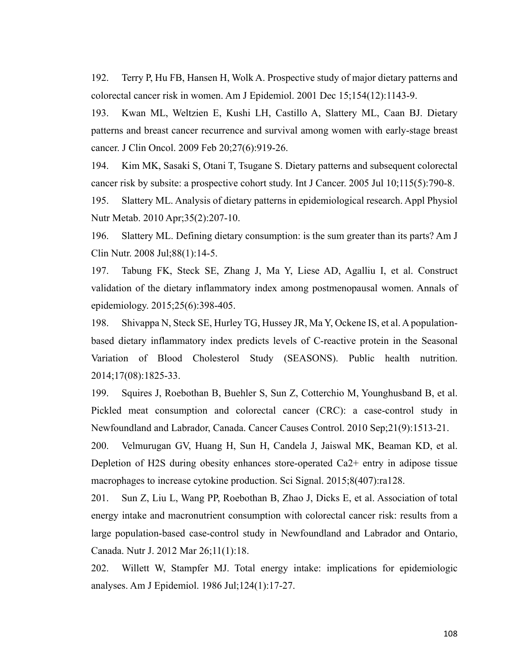192. Terry P, Hu FB, Hansen H, Wolk A. Prospective study of major dietary patterns and colorectal cancer risk in women. Am J Epidemiol. 2001 Dec 15;154(12):1143-9.

193. Kwan ML, Weltzien E, Kushi LH, Castillo A, Slattery ML, Caan BJ. Dietary patterns and breast cancer recurrence and survival among women with early-stage breast cancer. J Clin Oncol. 2009 Feb 20;27(6):919-26.

194. Kim MK, Sasaki S, Otani T, Tsugane S. Dietary patterns and subsequent colorectal cancer risk by subsite: a prospective cohort study. Int J Cancer. 2005 Jul 10;115(5):790-8.

195. Slattery ML. Analysis of dietary patterns in epidemiological research. Appl Physiol Nutr Metab. 2010 Apr;35(2):207-10.

196. Slattery ML. Defining dietary consumption: is the sum greater than its parts? Am J Clin Nutr. 2008 Jul;88(1):14-5.

197. Tabung FK, Steck SE, Zhang J, Ma Y, Liese AD, Agalliu I, et al. Construct validation of the dietary inflammatory index among postmenopausal women. Annals of epidemiology. 2015;25(6):398-405.

198. Shivappa N, Steck SE, Hurley TG, Hussey JR, Ma Y, Ockene IS, et al. A populationbased dietary inflammatory index predicts levels of C-reactive protein in the Seasonal Variation of Blood Cholesterol Study (SEASONS). Public health nutrition. 2014;17(08):1825-33.

199. Squires J, Roebothan B, Buehler S, Sun Z, Cotterchio M, Younghusband B, et al. Pickled meat consumption and colorectal cancer (CRC): a case-control study in Newfoundland and Labrador, Canada. Cancer Causes Control. 2010 Sep;21(9):1513-21.

200. Velmurugan GV, Huang H, Sun H, Candela J, Jaiswal MK, Beaman KD, et al. Depletion of H2S during obesity enhances store-operated Ca2+ entry in adipose tissue macrophages to increase cytokine production. Sci Signal. 2015;8(407):ra128.

201. Sun Z, Liu L, Wang PP, Roebothan B, Zhao J, Dicks E, et al. Association of total energy intake and macronutrient consumption with colorectal cancer risk: results from a large population-based case-control study in Newfoundland and Labrador and Ontario, Canada. Nutr J. 2012 Mar 26;11(1):18.

202. Willett W, Stampfer MJ. Total energy intake: implications for epidemiologic analyses. Am J Epidemiol. 1986 Jul;124(1):17-27.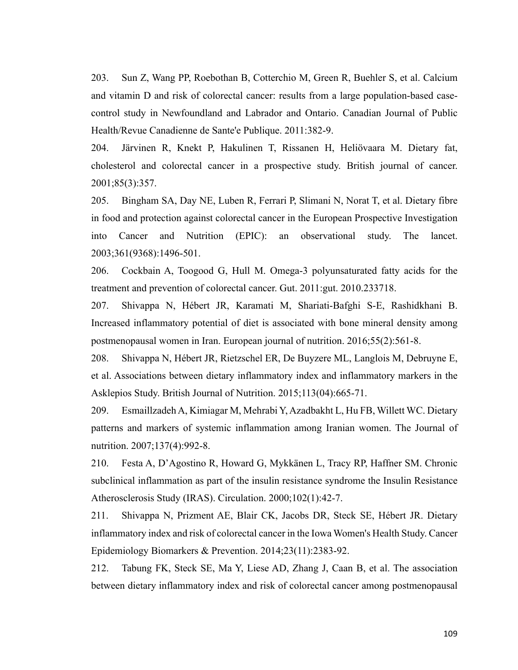203. Sun Z, Wang PP, Roebothan B, Cotterchio M, Green R, Buehler S, et al. Calcium and vitamin D and risk of colorectal cancer: results from a large population-based casecontrol study in Newfoundland and Labrador and Ontario. Canadian Journal of Public Health/Revue Canadienne de Sante'e Publique. 2011:382-9.

204. Järvinen R, Knekt P, Hakulinen T, Rissanen H, Heliövaara M. Dietary fat, cholesterol and colorectal cancer in a prospective study. British journal of cancer. 2001;85(3):357.

205. Bingham SA, Day NE, Luben R, Ferrari P, Slimani N, Norat T, et al. Dietary fibre in food and protection against colorectal cancer in the European Prospective Investigation into Cancer and Nutrition (EPIC): an observational study. The lancet. 2003;361(9368):1496-501.

206. Cockbain A, Toogood G, Hull M. Omega-3 polyunsaturated fatty acids for the treatment and prevention of colorectal cancer. Gut. 2011:gut. 2010.233718.

207. Shivappa N, Hébert JR, Karamati M, Shariati-Bafghi S-E, Rashidkhani B. Increased inflammatory potential of diet is associated with bone mineral density among postmenopausal women in Iran. European journal of nutrition. 2016;55(2):561-8.

208. Shivappa N, Hébert JR, Rietzschel ER, De Buyzere ML, Langlois M, Debruyne E, et al. Associations between dietary inflammatory index and inflammatory markers in the Asklepios Study. British Journal of Nutrition. 2015;113(04):665-71.

209. Esmaillzadeh A, Kimiagar M, Mehrabi Y, Azadbakht L, Hu FB, Willett WC. Dietary patterns and markers of systemic inflammation among Iranian women. The Journal of nutrition. 2007;137(4):992-8.

210. Festa A, D'Agostino R, Howard G, Mykkänen L, Tracy RP, Haffner SM. Chronic subclinical inflammation as part of the insulin resistance syndrome the Insulin Resistance Atherosclerosis Study (IRAS). Circulation. 2000;102(1):42-7.

211. Shivappa N, Prizment AE, Blair CK, Jacobs DR, Steck SE, Hébert JR. Dietary inflammatory index and risk of colorectal cancer in the Iowa Women's Health Study. Cancer Epidemiology Biomarkers & Prevention. 2014;23(11):2383-92.

212. Tabung FK, Steck SE, Ma Y, Liese AD, Zhang J, Caan B, et al. The association between dietary inflammatory index and risk of colorectal cancer among postmenopausal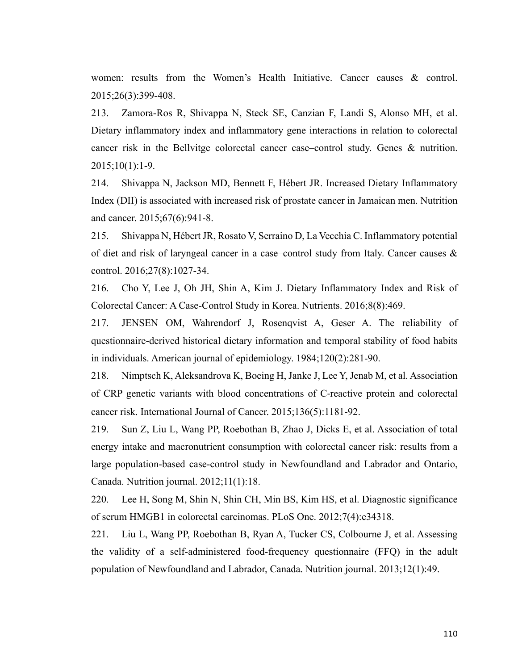women: results from the Women's Health Initiative. Cancer causes & control. 2015;26(3):399-408.

213. Zamora-Ros R, Shivappa N, Steck SE, Canzian F, Landi S, Alonso MH, et al. Dietary inflammatory index and inflammatory gene interactions in relation to colorectal cancer risk in the Bellvitge colorectal cancer case–control study. Genes & nutrition. 2015;10(1):1-9.

214. Shivappa N, Jackson MD, Bennett F, Hébert JR. Increased Dietary Inflammatory Index (DII) is associated with increased risk of prostate cancer in Jamaican men. Nutrition and cancer. 2015;67(6):941-8.

215. Shivappa N, Hébert JR, Rosato V, Serraino D, La Vecchia C. Inflammatory potential of diet and risk of laryngeal cancer in a case–control study from Italy. Cancer causes & control. 2016;27(8):1027-34.

216. Cho Y, Lee J, Oh JH, Shin A, Kim J. Dietary Inflammatory Index and Risk of Colorectal Cancer: A Case-Control Study in Korea. Nutrients. 2016;8(8):469.

217. JENSEN OM, Wahrendorf J, Rosenqvist A, Geser A. The reliability of questionnaire-derived historical dietary information and temporal stability of food habits in individuals. American journal of epidemiology. 1984;120(2):281-90.

218. Nimptsch K, Aleksandrova K, Boeing H, Janke J, Lee Y, Jenab M, et al. Association of CRP genetic variants with blood concentrations of C-reactive protein and colorectal cancer risk. International Journal of Cancer. 2015;136(5):1181-92.

219. Sun Z, Liu L, Wang PP, Roebothan B, Zhao J, Dicks E, et al. Association of total energy intake and macronutrient consumption with colorectal cancer risk: results from a large population-based case-control study in Newfoundland and Labrador and Ontario, Canada. Nutrition journal. 2012;11(1):18.

220. Lee H, Song M, Shin N, Shin CH, Min BS, Kim HS, et al. Diagnostic significance of serum HMGB1 in colorectal carcinomas. PLoS One. 2012;7(4):e34318.

221. Liu L, Wang PP, Roebothan B, Ryan A, Tucker CS, Colbourne J, et al. Assessing the validity of a self-administered food-frequency questionnaire (FFQ) in the adult population of Newfoundland and Labrador, Canada. Nutrition journal. 2013;12(1):49.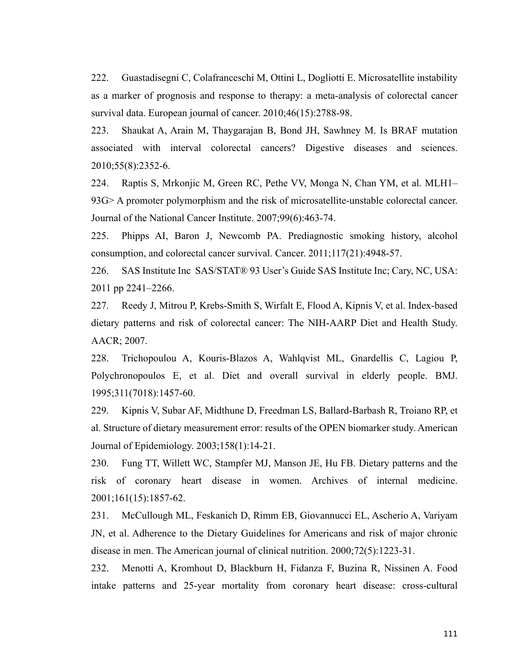222. Guastadisegni C, Colafranceschi M, Ottini L, Dogliotti E. Microsatellite instability as a marker of prognosis and response to therapy: a meta-analysis of colorectal cancer survival data. European journal of cancer. 2010;46(15):2788-98.

223. Shaukat A, Arain M, Thaygarajan B, Bond JH, Sawhney M. Is BRAF mutation associated with interval colorectal cancers? Digestive diseases and sciences. 2010;55(8):2352-6.

224. Raptis S, Mrkonjic M, Green RC, Pethe VV, Monga N, Chan YM, et al. MLH1– 93G> A promoter polymorphism and the risk of microsatellite-unstable colorectal cancer. Journal of the National Cancer Institute. 2007;99(6):463-74.

225. Phipps AI, Baron J, Newcomb PA. Prediagnostic smoking history, alcohol consumption, and colorectal cancer survival. Cancer. 2011;117(21):4948-57.

226. SAS Institute Inc SAS/STAT® 93 User's Guide SAS Institute Inc; Cary, NC, USA: 2011 pp 2241–2266.

227. Reedy J, Mitrou P, Krebs-Smith S, Wirfalt E, Flood A, Kipnis V, et al. Index-based dietary patterns and risk of colorectal cancer: The NIH-AARP Diet and Health Study. AACR; 2007.

228. Trichopoulou A, Kouris-Blazos A, Wahlqvist ML, Gnardellis C, Lagiou P, Polychronopoulos E, et al. Diet and overall survival in elderly people. BMJ. 1995;311(7018):1457-60.

229. Kipnis V, Subar AF, Midthune D, Freedman LS, Ballard-Barbash R, Troiano RP, et al. Structure of dietary measurement error: results of the OPEN biomarker study. American Journal of Epidemiology. 2003;158(1):14-21.

230. Fung TT, Willett WC, Stampfer MJ, Manson JE, Hu FB. Dietary patterns and the risk of coronary heart disease in women. Archives of internal medicine. 2001;161(15):1857-62.

231. McCullough ML, Feskanich D, Rimm EB, Giovannucci EL, Ascherio A, Variyam JN, et al. Adherence to the Dietary Guidelines for Americans and risk of major chronic disease in men. The American journal of clinical nutrition. 2000;72(5):1223-31.

232. Menotti A, Kromhout D, Blackburn H, Fidanza F, Buzina R, Nissinen A. Food intake patterns and 25-year mortality from coronary heart disease: cross-cultural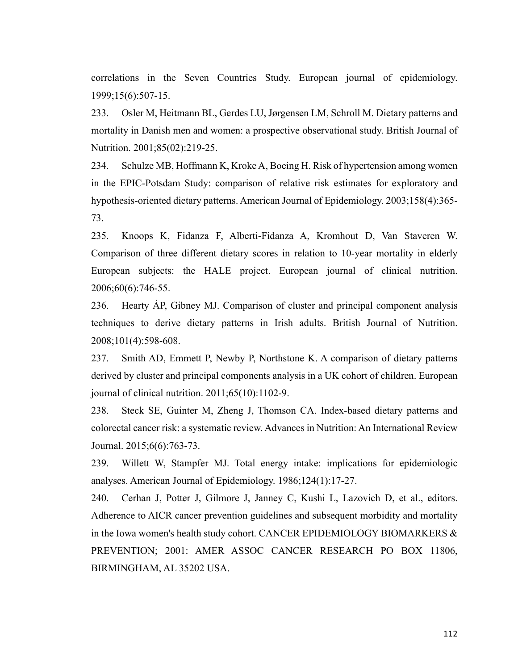correlations in the Seven Countries Study. European journal of epidemiology. 1999;15(6):507-15.

233. Osler M, Heitmann BL, Gerdes LU, Jørgensen LM, Schroll M. Dietary patterns and mortality in Danish men and women: a prospective observational study. British Journal of Nutrition. 2001;85(02):219-25.

234. Schulze MB, Hoffmann K, Kroke A, Boeing H. Risk of hypertension among women in the EPIC-Potsdam Study: comparison of relative risk estimates for exploratory and hypothesis-oriented dietary patterns. American Journal of Epidemiology. 2003;158(4):365- 73.

235. Knoops K, Fidanza F, Alberti-Fidanza A, Kromhout D, Van Staveren W. Comparison of three different dietary scores in relation to 10-year mortality in elderly European subjects: the HALE project. European journal of clinical nutrition. 2006;60(6):746-55.

236. Hearty ÁP, Gibney MJ. Comparison of cluster and principal component analysis techniques to derive dietary patterns in Irish adults. British Journal of Nutrition. 2008;101(4):598-608.

237. Smith AD, Emmett P, Newby P, Northstone K. A comparison of dietary patterns derived by cluster and principal components analysis in a UK cohort of children. European journal of clinical nutrition. 2011;65(10):1102-9.

238. Steck SE, Guinter M, Zheng J, Thomson CA. Index-based dietary patterns and colorectal cancer risk: a systematic review. Advances in Nutrition: An International Review Journal. 2015;6(6):763-73.

239. Willett W, Stampfer MJ. Total energy intake: implications for epidemiologic analyses. American Journal of Epidemiology. 1986;124(1):17-27.

240. Cerhan J, Potter J, Gilmore J, Janney C, Kushi L, Lazovich D, et al., editors. Adherence to AICR cancer prevention guidelines and subsequent morbidity and mortality in the Iowa women's health study cohort. CANCER EPIDEMIOLOGY BIOMARKERS  $\&$ PREVENTION; 2001: AMER ASSOC CANCER RESEARCH PO BOX 11806, BIRMINGHAM, AL 35202 USA.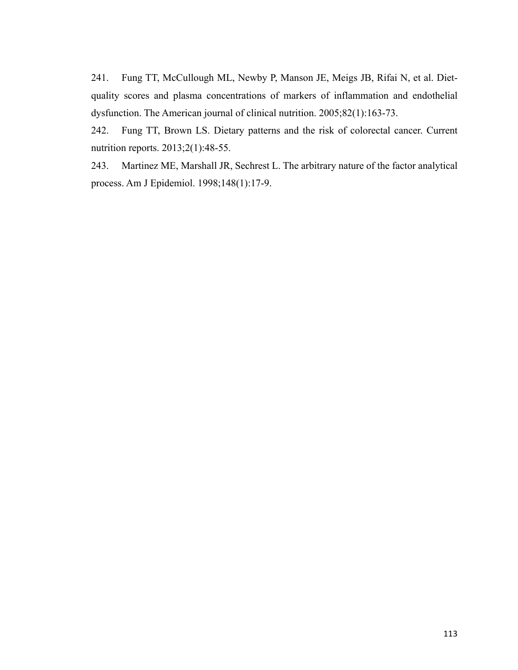241. Fung TT, McCullough ML, Newby P, Manson JE, Meigs JB, Rifai N, et al. Dietquality scores and plasma concentrations of markers of inflammation and endothelial dysfunction. The American journal of clinical nutrition. 2005;82(1):163-73.

242. Fung TT, Brown LS. Dietary patterns and the risk of colorectal cancer. Current nutrition reports. 2013;2(1):48-55.

243. Martinez ME, Marshall JR, Sechrest L. The arbitrary nature of the factor analytical process. Am J Epidemiol. 1998;148(1):17-9.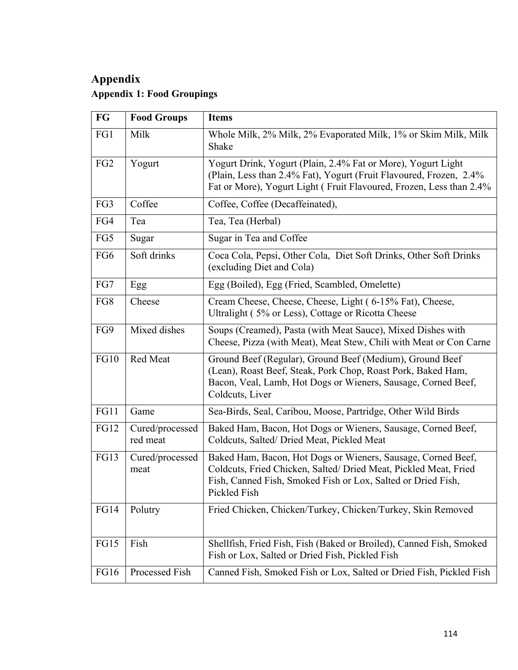## **Appendix Appendix 1: Food Groupings**

| FG              | <b>Food Groups</b>          | <b>Items</b>                                                                                                                                                                                                     |  |
|-----------------|-----------------------------|------------------------------------------------------------------------------------------------------------------------------------------------------------------------------------------------------------------|--|
| FG1             | Milk                        | Whole Milk, 2% Milk, 2% Evaporated Milk, 1% or Skim Milk, Milk<br>Shake                                                                                                                                          |  |
| FG <sub>2</sub> | Yogurt                      | Yogurt Drink, Yogurt (Plain, 2.4% Fat or More), Yogurt Light<br>(Plain, Less than 2.4% Fat), Yogurt (Fruit Flavoured, Frozen, 2.4%<br>Fat or More), Yogurt Light (Fruit Flavoured, Frozen, Less than 2.4%        |  |
| FG3             | Coffee                      | Coffee, Coffee (Decaffeinated),                                                                                                                                                                                  |  |
| FG4             | Tea                         | Tea, Tea (Herbal)                                                                                                                                                                                                |  |
| FG5             | Sugar                       | Sugar in Tea and Coffee                                                                                                                                                                                          |  |
| FG6             | Soft drinks                 | Coca Cola, Pepsi, Other Cola, Diet Soft Drinks, Other Soft Drinks<br>(excluding Diet and Cola)                                                                                                                   |  |
| FG7             | Egg                         | Egg (Boiled), Egg (Fried, Scambled, Omelette)                                                                                                                                                                    |  |
| FG8             | Cheese                      | Cream Cheese, Cheese, Cheese, Light (6-15% Fat), Cheese,<br>Ultralight (5% or Less), Cottage or Ricotta Cheese                                                                                                   |  |
| FG9             | Mixed dishes                | Soups (Creamed), Pasta (with Meat Sauce), Mixed Dishes with<br>Cheese, Pizza (with Meat), Meat Stew, Chili with Meat or Con Carne                                                                                |  |
| <b>FG10</b>     | Red Meat                    | Ground Beef (Regular), Ground Beef (Medium), Ground Beef<br>(Lean), Roast Beef, Steak, Pork Chop, Roast Pork, Baked Ham,<br>Bacon, Veal, Lamb, Hot Dogs or Wieners, Sausage, Corned Beef,<br>Coldcuts, Liver     |  |
| FG11            | Game                        | Sea-Birds, Seal, Caribou, Moose, Partridge, Other Wild Birds                                                                                                                                                     |  |
| <b>FG12</b>     | Cured/processed<br>red meat | Baked Ham, Bacon, Hot Dogs or Wieners, Sausage, Corned Beef,<br>Coldcuts, Salted/Dried Meat, Pickled Meat                                                                                                        |  |
| <b>FG13</b>     | Cured/processed<br>meat     | Baked Ham, Bacon, Hot Dogs or Wieners, Sausage, Corned Beef,<br>Coldcuts, Fried Chicken, Salted/ Dried Meat, Pickled Meat, Fried<br>Fish, Canned Fish, Smoked Fish or Lox, Salted or Dried Fish,<br>Pickled Fish |  |
| <b>FG14</b>     | Polutry                     | Fried Chicken, Chicken/Turkey, Chicken/Turkey, Skin Removed                                                                                                                                                      |  |
| <b>FG15</b>     | Fish                        | Shellfish, Fried Fish, Fish (Baked or Broiled), Canned Fish, Smoked<br>Fish or Lox, Salted or Dried Fish, Pickled Fish                                                                                           |  |
| <b>FG16</b>     | Processed Fish              | Canned Fish, Smoked Fish or Lox, Salted or Dried Fish, Pickled Fish                                                                                                                                              |  |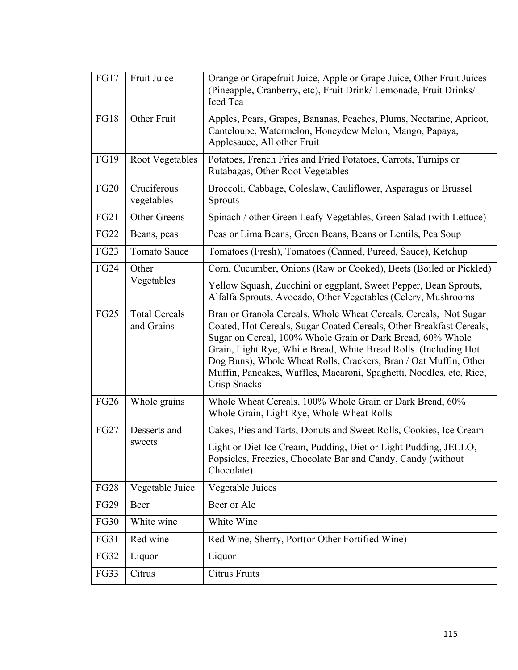| <b>FG17</b> | Fruit Juice                        | Orange or Grapefruit Juice, Apple or Grape Juice, Other Fruit Juices<br>(Pineapple, Cranberry, etc), Fruit Drink/Lemonade, Fruit Drinks/<br>Iced Tea                                                                                                                                                                                                                                                                                |  |
|-------------|------------------------------------|-------------------------------------------------------------------------------------------------------------------------------------------------------------------------------------------------------------------------------------------------------------------------------------------------------------------------------------------------------------------------------------------------------------------------------------|--|
| <b>FG18</b> | Other Fruit                        | Apples, Pears, Grapes, Bananas, Peaches, Plums, Nectarine, Apricot,<br>Canteloupe, Watermelon, Honeydew Melon, Mango, Papaya,<br>Applesauce, All other Fruit                                                                                                                                                                                                                                                                        |  |
| <b>FG19</b> | <b>Root Vegetables</b>             | Potatoes, French Fries and Fried Potatoes, Carrots, Turnips or<br>Rutabagas, Other Root Vegetables                                                                                                                                                                                                                                                                                                                                  |  |
| <b>FG20</b> | Cruciferous<br>vegetables          | Broccoli, Cabbage, Coleslaw, Cauliflower, Asparagus or Brussel<br><b>Sprouts</b>                                                                                                                                                                                                                                                                                                                                                    |  |
| FG21        | Other Greens                       | Spinach / other Green Leafy Vegetables, Green Salad (with Lettuce)                                                                                                                                                                                                                                                                                                                                                                  |  |
| <b>FG22</b> | Beans, peas                        | Peas or Lima Beans, Green Beans, Beans or Lentils, Pea Soup                                                                                                                                                                                                                                                                                                                                                                         |  |
| <b>FG23</b> | <b>Tomato Sauce</b>                | Tomatoes (Fresh), Tomatoes (Canned, Pureed, Sauce), Ketchup                                                                                                                                                                                                                                                                                                                                                                         |  |
| <b>FG24</b> | Other                              | Corn, Cucumber, Onions (Raw or Cooked), Beets (Boiled or Pickled)                                                                                                                                                                                                                                                                                                                                                                   |  |
| Vegetables  |                                    | Yellow Squash, Zucchini or eggplant, Sweet Pepper, Bean Sprouts,<br>Alfalfa Sprouts, Avocado, Other Vegetables (Celery, Mushrooms                                                                                                                                                                                                                                                                                                   |  |
| <b>FG25</b> | <b>Total Cereals</b><br>and Grains | Bran or Granola Cereals, Whole Wheat Cereals, Cereals, Not Sugar<br>Coated, Hot Cereals, Sugar Coated Cereals, Other Breakfast Cereals,<br>Sugar on Cereal, 100% Whole Grain or Dark Bread, 60% Whole<br>Grain, Light Rye, White Bread, White Bread Rolls (Including Hot<br>Dog Buns), Whole Wheat Rolls, Crackers, Bran / Oat Muffin, Other<br>Muffin, Pancakes, Waffles, Macaroni, Spaghetti, Noodles, etc, Rice,<br>Crisp Snacks |  |
| <b>FG26</b> | Whole grains                       | Whole Wheat Cereals, 100% Whole Grain or Dark Bread, 60%<br>Whole Grain, Light Rye, Whole Wheat Rolls                                                                                                                                                                                                                                                                                                                               |  |
| <b>FG27</b> | Desserts and                       | Cakes, Pies and Tarts, Donuts and Sweet Rolls, Cookies, Ice Cream                                                                                                                                                                                                                                                                                                                                                                   |  |
|             | sweets                             | Light or Diet Ice Cream, Pudding, Diet or Light Pudding, JELLO,<br>Popsicles, Freezies, Chocolate Bar and Candy, Candy (without<br>Chocolate)                                                                                                                                                                                                                                                                                       |  |
| <b>FG28</b> | Vegetable Juice                    | Vegetable Juices                                                                                                                                                                                                                                                                                                                                                                                                                    |  |
| <b>FG29</b> | Beer                               | Beer or Ale                                                                                                                                                                                                                                                                                                                                                                                                                         |  |
| <b>FG30</b> | White wine                         | White Wine                                                                                                                                                                                                                                                                                                                                                                                                                          |  |
| <b>FG31</b> | Red wine                           | Red Wine, Sherry, Port(or Other Fortified Wine)                                                                                                                                                                                                                                                                                                                                                                                     |  |
| <b>FG32</b> | Liquor                             | Liquor                                                                                                                                                                                                                                                                                                                                                                                                                              |  |
| FG33        | Citrus                             | Citrus Fruits                                                                                                                                                                                                                                                                                                                                                                                                                       |  |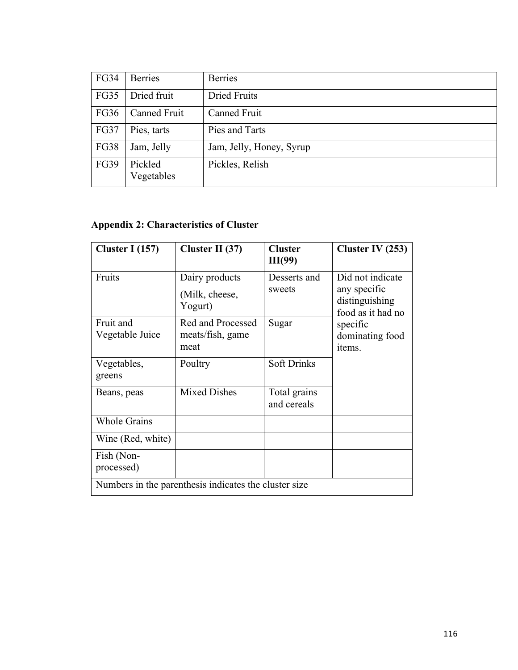| <b>FG34</b> | <b>Berries</b>        | <b>Berries</b>           |
|-------------|-----------------------|--------------------------|
| <b>FG35</b> | Dried fruit           | <b>Dried Fruits</b>      |
| <b>FG36</b> | Canned Fruit          | Canned Fruit             |
| <b>FG37</b> | Pies, tarts           | Pies and Tarts           |
| <b>FG38</b> | Jam, Jelly            | Jam, Jelly, Honey, Syrup |
| <b>FG39</b> | Pickled<br>Vegetables | Pickles, Relish          |

## **Appendix 2: Characteristics of Cluster**

| Cluster I $(157)$                                     | Cluster II $(37)$                             | <b>Cluster</b><br>III(99)   | Cluster IV $(253)$                                                                                               |
|-------------------------------------------------------|-----------------------------------------------|-----------------------------|------------------------------------------------------------------------------------------------------------------|
| Fruits                                                | Dairy products<br>(Milk, cheese,<br>Yogurt)   | Desserts and<br>sweets      | Did not indicate<br>any specific<br>distinguishing<br>food as it had no<br>specific<br>dominating food<br>items. |
| Fruit and<br>Vegetable Juice                          | Red and Processed<br>meats/fish, game<br>meat | Sugar                       |                                                                                                                  |
| Vegetables,<br>greens                                 | Poultry                                       | <b>Soft Drinks</b>          |                                                                                                                  |
| Beans, peas                                           | <b>Mixed Dishes</b>                           | Total grains<br>and cereals |                                                                                                                  |
| <b>Whole Grains</b>                                   |                                               |                             |                                                                                                                  |
| Wine (Red, white)                                     |                                               |                             |                                                                                                                  |
| Fish (Non-<br>processed)                              |                                               |                             |                                                                                                                  |
| Numbers in the parenthesis indicates the cluster size |                                               |                             |                                                                                                                  |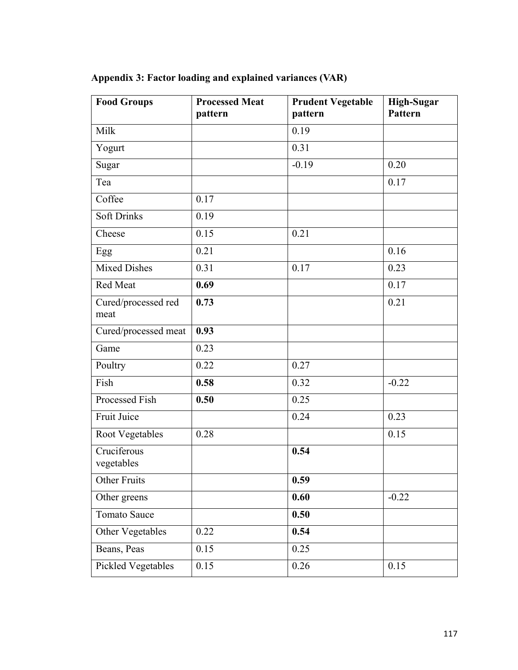| <b>Food Groups</b>          | <b>Processed Meat</b><br>pattern | <b>Prudent Vegetable</b><br>pattern | <b>High-Sugar</b><br>Pattern |
|-----------------------------|----------------------------------|-------------------------------------|------------------------------|
| Milk                        |                                  | 0.19                                |                              |
| Yogurt                      |                                  | 0.31                                |                              |
| Sugar                       |                                  | $-0.19$                             | 0.20                         |
| Tea                         |                                  |                                     | 0.17                         |
| Coffee                      | 0.17                             |                                     |                              |
| <b>Soft Drinks</b>          | 0.19                             |                                     |                              |
| Cheese                      | 0.15                             | 0.21                                |                              |
| Egg                         | 0.21                             |                                     | 0.16                         |
| <b>Mixed Dishes</b>         | 0.31                             | 0.17                                | 0.23                         |
| Red Meat                    | 0.69                             |                                     | 0.17                         |
| Cured/processed red<br>meat | 0.73                             |                                     | 0.21                         |
| Cured/processed meat        | 0.93                             |                                     |                              |
| Game                        | 0.23                             |                                     |                              |
| Poultry                     | 0.22                             | 0.27                                |                              |
| Fish                        | 0.58                             | 0.32                                | $-0.22$                      |
| Processed Fish              | 0.50                             | 0.25                                |                              |
| Fruit Juice                 |                                  | 0.24                                | 0.23                         |
| Root Vegetables             | 0.28                             |                                     | 0.15                         |
| Cruciferous<br>vegetables   |                                  | 0.54                                |                              |
| <b>Other Fruits</b>         |                                  | 0.59                                |                              |
| Other greens                |                                  | 0.60                                | $-0.22$                      |
| Tomato Sauce                |                                  | 0.50                                |                              |
| Other Vegetables            | 0.22                             | 0.54                                |                              |
| Beans, Peas                 | 0.15                             | 0.25                                |                              |
| Pickled Vegetables          | 0.15                             | 0.26                                | 0.15                         |

**Appendix 3: Factor loading and explained variances (VAR)**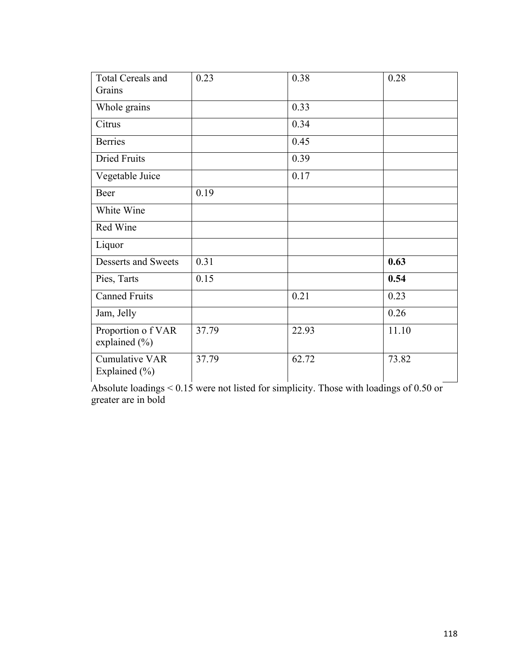| <b>Total Cereals and</b>                   | 0.23  | 0.38  | 0.28  |
|--------------------------------------------|-------|-------|-------|
| Grains                                     |       |       |       |
| Whole grains                               |       | 0.33  |       |
| Citrus                                     |       | 0.34  |       |
| <b>Berries</b>                             |       | 0.45  |       |
| <b>Dried Fruits</b>                        |       | 0.39  |       |
| Vegetable Juice                            |       | 0.17  |       |
| Beer                                       | 0.19  |       |       |
| White Wine                                 |       |       |       |
| Red Wine                                   |       |       |       |
| Liquor                                     |       |       |       |
| Desserts and Sweets                        | 0.31  |       | 0.63  |
| Pies, Tarts                                | 0.15  |       | 0.54  |
| <b>Canned Fruits</b>                       |       | 0.21  | 0.23  |
| Jam, Jelly                                 |       |       | 0.26  |
| Proportion of VAR<br>explained (%)         | 37.79 | 22.93 | 11.10 |
| <b>Cumulative VAR</b><br>Explained $(\% )$ | 37.79 | 62.72 | 73.82 |

Absolute loadings < 0.15 were not listed for simplicity. Those with loadings of 0.50 or greater are in bold